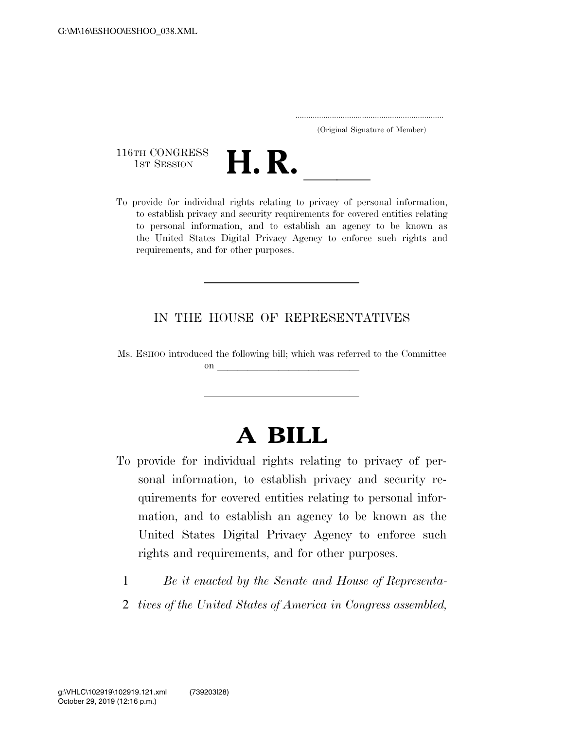| (Original Signature of Member) |  |
|--------------------------------|--|

116TH CONGRESS<br>1st Session

116TH CONGRESS<br>
1st SESSION<br>
To provide for individual rights relating to privacy of personal information, to establish privacy and security requirements for covered entities relating to personal information, and to establish an agency to be known as the United States Digital Privacy Agency to enforce such rights and requirements, and for other purposes.

# IN THE HOUSE OF REPRESENTATIVES

Ms. ESHOO introduced the following bill; which was referred to the Committee  $\mathbf{on}$ 

# **A BILL**

- To provide for individual rights relating to privacy of personal information, to establish privacy and security requirements for covered entities relating to personal information, and to establish an agency to be known as the United States Digital Privacy Agency to enforce such rights and requirements, and for other purposes.
	- 1 *Be it enacted by the Senate and House of Representa-*
	- 2 *tives of the United States of America in Congress assembled,*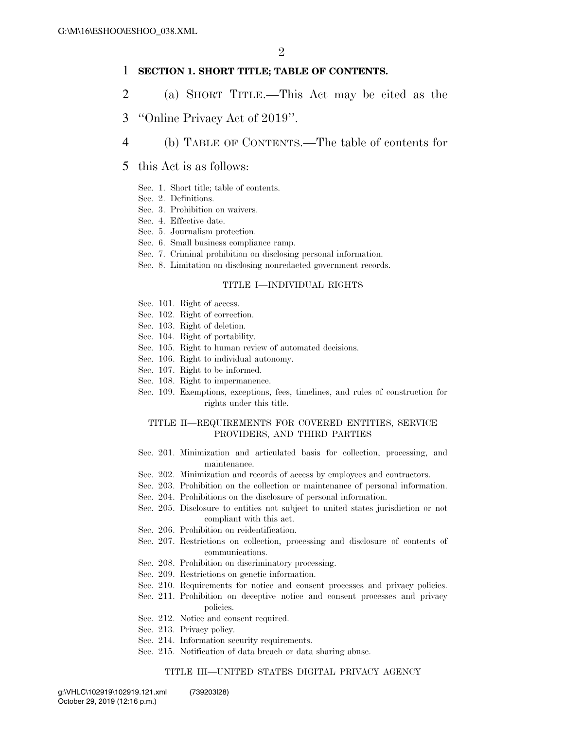#### 1 **SECTION 1. SHORT TITLE; TABLE OF CONTENTS.**

- 2 (a) SHORT TITLE.—This Act may be cited as the
- 3 ''Online Privacy Act of 2019''.
- 4 (b) TABLE OF CONTENTS.—The table of contents for

#### 5 this Act is as follows:

- Sec. 1. Short title; table of contents.
- Sec. 2. Definitions.
- Sec. 3. Prohibition on waivers.
- Sec. 4. Effective date.
- Sec. 5. Journalism protection.
- Sec. 6. Small business compliance ramp.
- Sec. 7. Criminal prohibition on disclosing personal information.
- Sec. 8. Limitation on disclosing nonredacted government records.

#### TITLE I—INDIVIDUAL RIGHTS

- Sec. 101. Right of access.
- Sec. 102. Right of correction.
- Sec. 103. Right of deletion.
- Sec. 104. Right of portability.
- Sec. 105. Right to human review of automated decisions.
- Sec. 106. Right to individual autonomy.
- Sec. 107. Right to be informed.
- Sec. 108. Right to impermanence.
- Sec. 109. Exemptions, exceptions, fees, timelines, and rules of construction for rights under this title.

#### TITLE II—REQUIREMENTS FOR COVERED ENTITIES, SERVICE PROVIDERS, AND THIRD PARTIES

- Sec. 201. Minimization and articulated basis for collection, processing, and maintenance.
- Sec. 202. Minimization and records of access by employees and contractors.
- Sec. 203. Prohibition on the collection or maintenance of personal information.
- Sec. 204. Prohibitions on the disclosure of personal information.
- Sec. 205. Disclosure to entities not subject to united states jurisdiction or not compliant with this act.
- Sec. 206. Prohibition on reidentification.
- Sec. 207. Restrictions on collection, processing and disclosure of contents of communications.
- Sec. 208. Prohibition on discriminatory processing.
- Sec. 209. Restrictions on genetic information.
- Sec. 210. Requirements for notice and consent processes and privacy policies.
- Sec. 211. Prohibition on deceptive notice and consent processes and privacy policies.
- Sec. 212. Notice and consent required.
- Sec. 213. Privacy policy.
- Sec. 214. Information security requirements.
- Sec. 215. Notification of data breach or data sharing abuse.

#### TITLE III—UNITED STATES DIGITAL PRIVACY AGENCY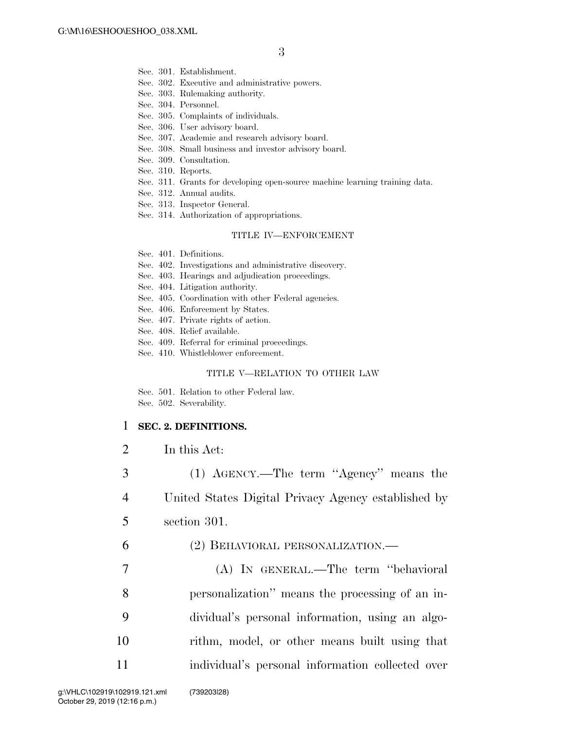- Sec. 301. Establishment.
- Sec. 302. Executive and administrative powers.
- Sec. 303. Rulemaking authority.
- Sec. 304. Personnel.
- Sec. 305. Complaints of individuals.
- Sec. 306. User advisory board.
- Sec. 307. Academic and research advisory board.
- Sec. 308. Small business and investor advisory board.
- Sec. 309. Consultation.
- Sec. 310. Reports.
- Sec. 311. Grants for developing open-source machine learning training data.
- Sec. 312. Annual audits.
- Sec. 313. Inspector General.
- Sec. 314. Authorization of appropriations.

#### TITLE IV—ENFORCEMENT

- Sec. 401. Definitions.
- Sec. 402. Investigations and administrative discovery.
- Sec. 403. Hearings and adjudication proceedings.
- Sec. 404. Litigation authority.
- Sec. 405. Coordination with other Federal agencies.
- Sec. 406. Enforcement by States.
- Sec. 407. Private rights of action.
- Sec. 408. Relief available.
- Sec. 409. Referral for criminal proceedings.
- Sec. 410. Whistleblower enforcement.

#### TITLE V—RELATION TO OTHER LAW

Sec. 501. Relation to other Federal law. Sec. 502. Severability.

#### 1 **SEC. 2. DEFINITIONS.**

2 In this Act:

3 (1) AGENCY.—The term ''Agency'' means the 4 United States Digital Privacy Agency established by 5 section 301.

6 (2) BEHAVIORAL PERSONALIZATION.—

 (A) IN GENERAL.—The term ''behavioral personalization'' means the processing of an in- dividual's personal information, using an algo- rithm, model, or other means built using that individual's personal information collected over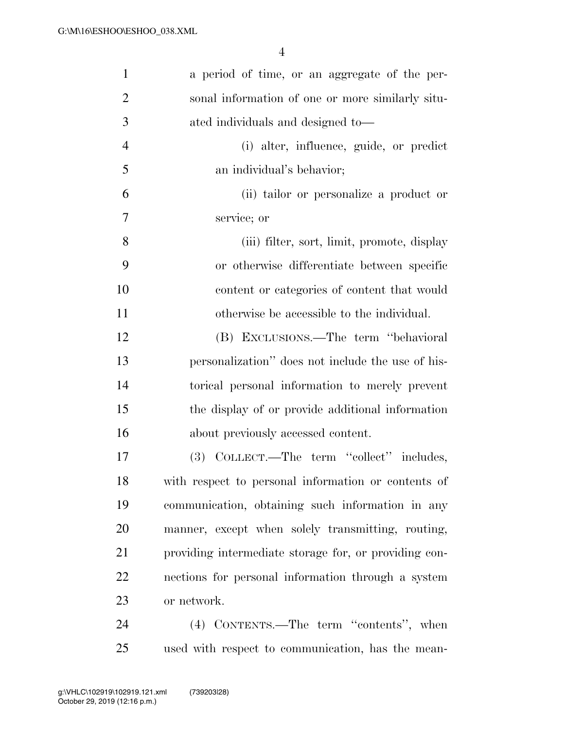| $\mathbf{1}$   | a period of time, or an aggregate of the per-         |
|----------------|-------------------------------------------------------|
| $\overline{2}$ | sonal information of one or more similarly situ-      |
| 3              | ated individuals and designed to-                     |
| $\overline{4}$ | (i) alter, influence, guide, or predict               |
| 5              | an individual's behavior;                             |
| 6              | (ii) tailor or personalize a product or               |
| 7              | service; or                                           |
| 8              | (iii) filter, sort, limit, promote, display           |
| 9              | or otherwise differentiate between specific           |
| 10             | content or categories of content that would           |
| 11             | otherwise be accessible to the individual.            |
| 12             | (B) EXCLUSIONS.—The term "behavioral                  |
| 13             | personalization" does not include the use of his-     |
| 14             | torical personal information to merely prevent        |
| 15             | the display of or provide additional information      |
| 16             | about previously accessed content.                    |
| 17             | (3) COLLECT.—The term "collect" includes,             |
| 18             | with respect to personal information or contents of   |
| 19             | communication, obtaining such information in any      |
| 20             | manner, except when solely transmitting, routing,     |
| 21             | providing intermediate storage for, or providing con- |
| 22             | nections for personal information through a system    |
| 23             | or network.                                           |
| 24             | (4) CONTENTS.—The term "contents", when               |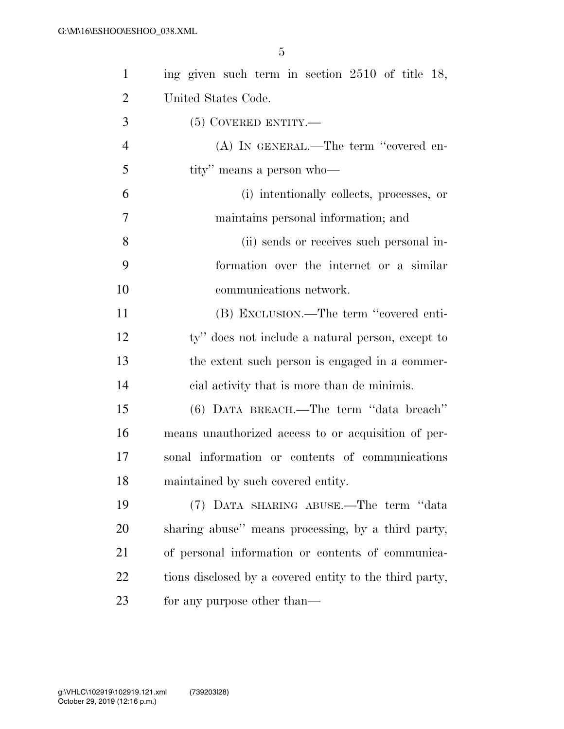| $\mathbf{1}$   | ing given such term in section 2510 of title 18,        |
|----------------|---------------------------------------------------------|
| $\overline{2}$ | United States Code.                                     |
| 3              | $(5)$ COVERED ENTITY.—                                  |
| $\overline{4}$ | (A) IN GENERAL.—The term "covered en-                   |
| 5              | tity" means a person who-                               |
| 6              | (i) intentionally collects, processes, or               |
| 7              | maintains personal information; and                     |
| 8              | (ii) sends or receives such personal in-                |
| 9              | formation over the internet or a similar                |
| 10             | communications network.                                 |
| 11             | (B) EXCLUSION.—The term "covered enti-                  |
| 12             | ty" does not include a natural person, except to        |
| 13             | the extent such person is engaged in a commer-          |
| 14             | eial activity that is more than de minimis.             |
| 15             | (6) DATA BREACH.—The term "data breach"                 |
| 16             | means unauthorized access to or acquisition of per-     |
| 17             | sonal information or contents of communications         |
| 18             | maintained by such covered entity.                      |
| 19             | (7) DATA SHARING ABUSE.—The term "data                  |
| 20             | sharing abuse" means processing, by a third party,      |
| 21             | of personal information or contents of communica-       |
| 22             | tions disclosed by a covered entity to the third party, |
| 23             | for any purpose other than—                             |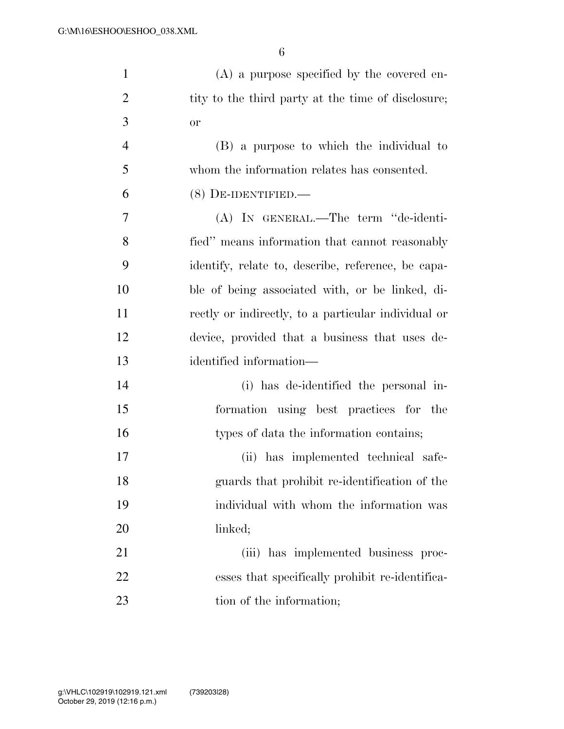| $\mathbf{1}$   | $(A)$ a purpose specified by the covered en-        |
|----------------|-----------------------------------------------------|
| $\overline{2}$ | tity to the third party at the time of disclosure;  |
| 3              | <b>or</b>                                           |
| $\overline{4}$ | (B) a purpose to which the individual to            |
| 5              | whom the information relates has consented.         |
| 6              | $(8)$ DE-IDENTIFIED.—                               |
| 7              | (A) IN GENERAL.—The term "de-identi-                |
| 8              | fied" means information that cannot reasonably      |
| 9              | identify, relate to, describe, reference, be capa-  |
| 10             | ble of being associated with, or be linked, di-     |
| 11             | rectly or indirectly, to a particular individual or |
| 12             | device, provided that a business that uses de-      |
| 13             | identified information—                             |
| 14             | (i) has de-identified the personal in-              |
| 15             | formation using best practices for the              |
| 16             | types of data the information contains;             |
| 17             | (ii) has implemented technical safe-                |
| 18             | guards that prohibit re-identification of the       |
| 19             | individual with whom the information was            |
| 20             | linked;                                             |
| 21             | (iii) has implemented business proc-                |
| 22             | esses that specifically prohibit re-identifica-     |
| 23             | tion of the information;                            |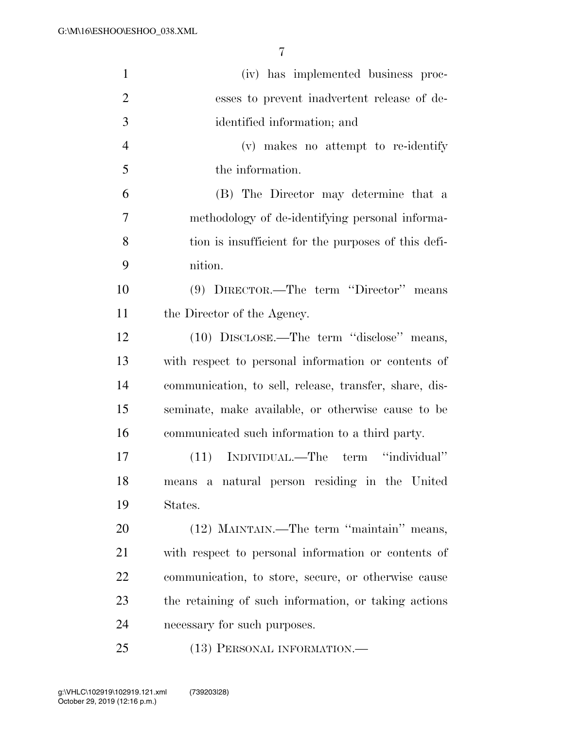| $\mathbf{1}$   | (iv) has implemented business proc-                    |
|----------------|--------------------------------------------------------|
| $\overline{2}$ | esses to prevent inadvertent release of de-            |
| 3              | identified information; and                            |
| $\overline{4}$ | (v) makes no attempt to re-identify                    |
| 5              | the information.                                       |
| 6              | (B) The Director may determine that a                  |
| $\tau$         | methodology of de-identifying personal informa-        |
| 8              | tion is insufficient for the purposes of this defi-    |
| 9              | nition.                                                |
| 10             | (9) DIRECTOR.—The term "Director" means                |
| 11             | the Director of the Agency.                            |
| 12             | (10) DISCLOSE.—The term "disclose" means,              |
| 13             | with respect to personal information or contents of    |
| 14             | communication, to sell, release, transfer, share, dis- |
| 15             | seminate, make available, or otherwise cause to be     |
| 16             | communicated such information to a third party.        |
| 17             | (11) INDIVIDUAL.—The term "individual"                 |
| 18             | means a natural person residing in the United          |
| 19             | States.                                                |
| 20             | (12) MAINTAIN.—The term "maintain" means,              |
| 21             | with respect to personal information or contents of    |
| 22             | communication, to store, secure, or otherwise cause    |
| 23             | the retaining of such information, or taking actions   |
| 24             | necessary for such purposes.                           |
| 25             | (13) PERSONAL INFORMATION.—                            |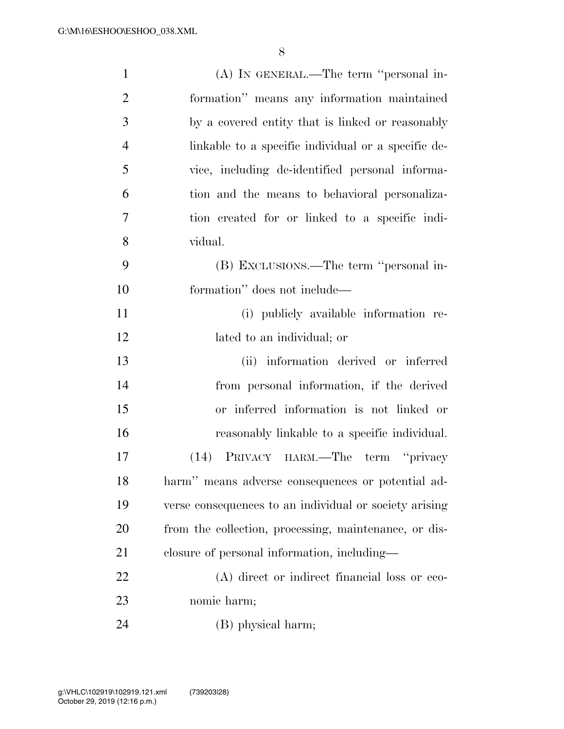| $\mathbf{1}$   | (A) IN GENERAL.—The term "personal in-                 |
|----------------|--------------------------------------------------------|
| $\overline{2}$ | formation" means any information maintained            |
| 3              | by a covered entity that is linked or reasonably       |
| $\overline{4}$ | linkable to a specific individual or a specific de-    |
| 5              | vice, including de-identified personal informa-        |
| 6              | tion and the means to behavioral personaliza-          |
| 7              | tion created for or linked to a specific indi-         |
| 8              | vidual.                                                |
| 9              | (B) EXCLUSIONS.—The term "personal in-                 |
| 10             | formation" does not include—                           |
| 11             | (i) publicly available information re-                 |
| 12             | lated to an individual; or                             |
| 13             | (ii) information derived or inferred                   |
| 14             | from personal information, if the derived              |
| 15             | or inferred information is not linked or               |
| 16             | reasonably linkable to a specific individual.          |
| 17             | (14) PRIVACY HARM.—The term "privacy                   |
| 18             | harm" means adverse consequences or potential ad-      |
| 19             | verse consequences to an individual or society arising |
| 20             | from the collection, processing, maintenance, or dis-  |
| 21             | closure of personal information, including—            |
| 22             | (A) direct or indirect financial loss or eco-          |
| 23             | nomic harm;                                            |
| 24             | (B) physical harm;                                     |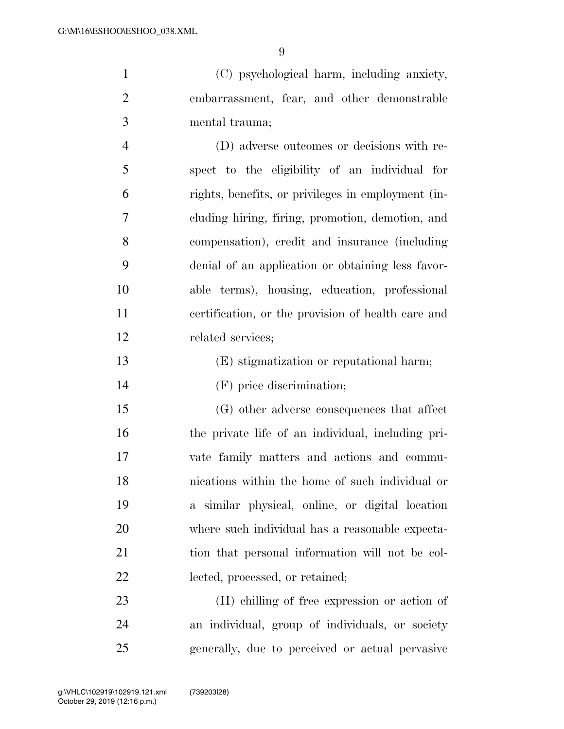(C) psychological harm, including anxiety, embarrassment, fear, and other demonstrable mental trauma;

 (D) adverse outcomes or decisions with re- spect to the eligibility of an individual for rights, benefits, or privileges in employment (in- cluding hiring, firing, promotion, demotion, and compensation), credit and insurance (including denial of an application or obtaining less favor- able terms), housing, education, professional certification, or the provision of health care and related services;

- (E) stigmatization or reputational harm;
- (F) price discrimination;

 (G) other adverse consequences that affect the private life of an individual, including pri- vate family matters and actions and commu- nications within the home of such individual or a similar physical, online, or digital location where such individual has a reasonable expecta-21 tion that personal information will not be col-lected, processed, or retained;

 (H) chilling of free expression or action of an individual, group of individuals, or society generally, due to perceived or actual pervasive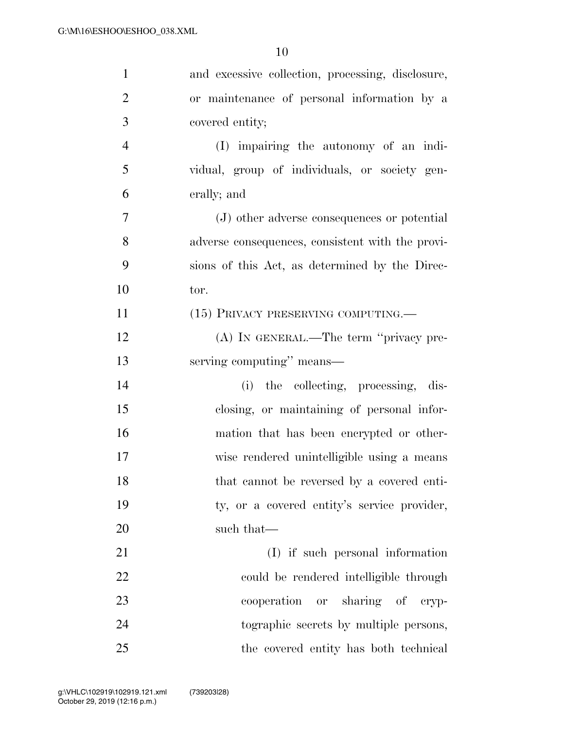| $\mathbf{1}$   | and excessive collection, processing, disclosure, |
|----------------|---------------------------------------------------|
| $\overline{2}$ | or maintenance of personal information by a       |
| 3              | covered entity;                                   |
| $\overline{4}$ | (I) impairing the autonomy of an indi-            |
| 5              | vidual, group of individuals, or society gen-     |
| 6              | erally; and                                       |
| 7              | (J) other adverse consequences or potential       |
| 8              | adverse consequences, consistent with the provi-  |
| 9              | sions of this Act, as determined by the Direc-    |
| 10             | tor.                                              |
| 11             | (15) PRIVACY PRESERVING COMPUTING.—               |
| 12             | (A) IN GENERAL.—The term "privacy pre-            |
| 13             | serving computing" means—                         |
| 14             | (i) the collecting, processing, dis-              |
| 15             | closing, or maintaining of personal infor-        |
| 16             | mation that has been encrypted or other-          |
| 17             | wise rendered unintelligible using a means        |
| 18             | that cannot be reversed by a covered enti-        |
| 19             | ty, or a covered entity's service provider,       |
| 20             | such that—                                        |
| 21             | (I) if such personal information                  |
| 22             | could be rendered intelligible through            |
| 23             | cooperation or sharing of cryp-                   |
| 24             | tographic secrets by multiple persons,            |
| 25             | the covered entity has both technical             |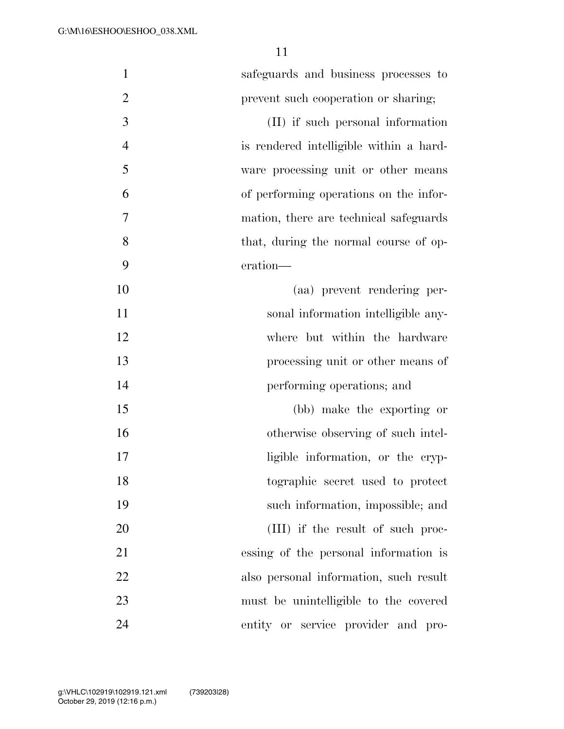| $\mathbf{1}$   | safeguards and business processes to    |
|----------------|-----------------------------------------|
| $\overline{2}$ | prevent such cooperation or sharing;    |
| $\mathfrak{Z}$ | (II) if such personal information       |
| $\overline{4}$ | is rendered intelligible within a hard- |
| 5              | ware processing unit or other means     |
| 6              | of performing operations on the infor-  |
| 7              | mation, there are technical safeguards  |
| 8              | that, during the normal course of op-   |
| 9              | eration—                                |
| 10             | (aa) prevent rendering per-             |
| 11             | sonal information intelligible any-     |
| 12             | where but within the hardware           |
| 13             | processing unit or other means of       |
| 14             | performing operations; and              |
| 15             | (bb) make the exporting or              |
| 16             | otherwise observing of such intel-      |
| 17             | ligible information, or the cryp-       |
| 18             | tographic secret used to protect        |
| 19             | such information, impossible; and       |
| 20             | (III) if the result of such proc-       |
| 21             | essing of the personal information is   |
| 22             | also personal information, such result  |
| 23             | must be unintelligible to the covered   |
| 24             | entity or service provider and pro-     |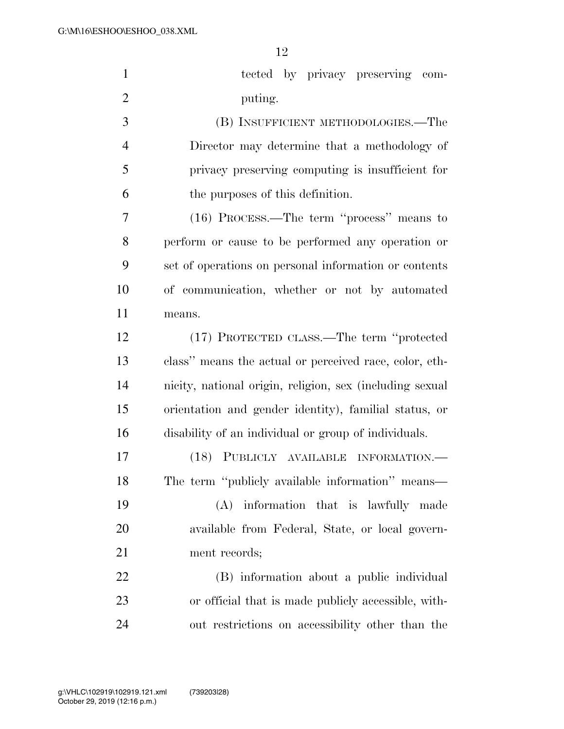| $\mathbf{1}$   | tected by privacy preserving com-                        |
|----------------|----------------------------------------------------------|
| $\overline{2}$ | puting.                                                  |
| 3              | (B) INSUFFICIENT METHODOLOGIES.—The                      |
| $\overline{4}$ | Director may determine that a methodology of             |
| 5              | privacy preserving computing is insufficient for         |
| 6              | the purposes of this definition.                         |
| 7              | (16) PROCESS.—The term "process" means to                |
| 8              | perform or cause to be performed any operation or        |
| 9              | set of operations on personal information or contents    |
| 10             | of communication, whether or not by automated            |
| 11             | means.                                                   |
| 12             | (17) PROTECTED CLASS.—The term "protected                |
| 13             | class" means the actual or perceived race, color, eth-   |
| 14             | nicity, national origin, religion, sex (including sexual |
| 15             | orientation and gender identity), familial status, or    |
| 16             | disability of an individual or group of individuals.     |
| 17             | (18) PUBLICLY AVAILABLE INFORMATION.-                    |
| 18             | The term "publicly available information" means—         |
| 19             | (A)<br>information that is lawfully made                 |
| 20             | available from Federal, State, or local govern-          |
| 21             | ment records;                                            |
| 22             | (B) information about a public individual                |
| 23             | or official that is made publicly accessible, with-      |
| 24             | out restrictions on accessibility other than the         |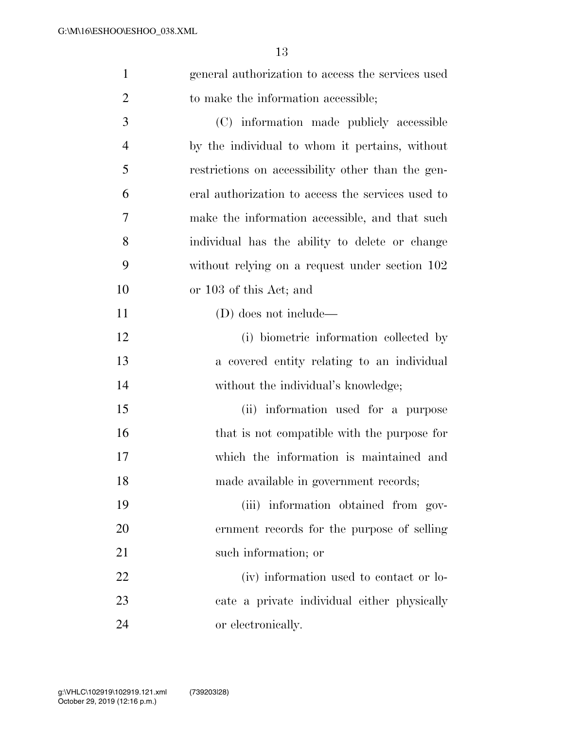| $\mathbf{1}$   | general authorization to access the services used |
|----------------|---------------------------------------------------|
| $\overline{2}$ | to make the information accessible;               |
| 3              | (C) information made publicly accessible          |
| $\overline{4}$ | by the individual to whom it pertains, without    |
| 5              | restrictions on accessibility other than the gen- |
| 6              | eral authorization to access the services used to |
| 7              | make the information accessible, and that such    |
| 8              | individual has the ability to delete or change    |
| 9              | without relying on a request under section 102    |
| 10             | or 103 of this Act; and                           |
| 11             | $(D)$ does not include—                           |
| 12             | (i) biometric information collected by            |
| 13             | a covered entity relating to an individual        |
| 14             | without the individual's knowledge;               |
| 15             | (ii) information used for a purpose               |
| 16             | that is not compatible with the purpose for       |
| 17             | which the information is maintained and           |
| 18             | made available in government records;             |
| 19             | (iii) information obtained from gov-              |
| 20             | ernment records for the purpose of selling        |
| 21             | such information; or                              |
| 22             | (iv) information used to contact or lo-           |
| 23             | cate a private individual either physically       |
| 24             | or electronically.                                |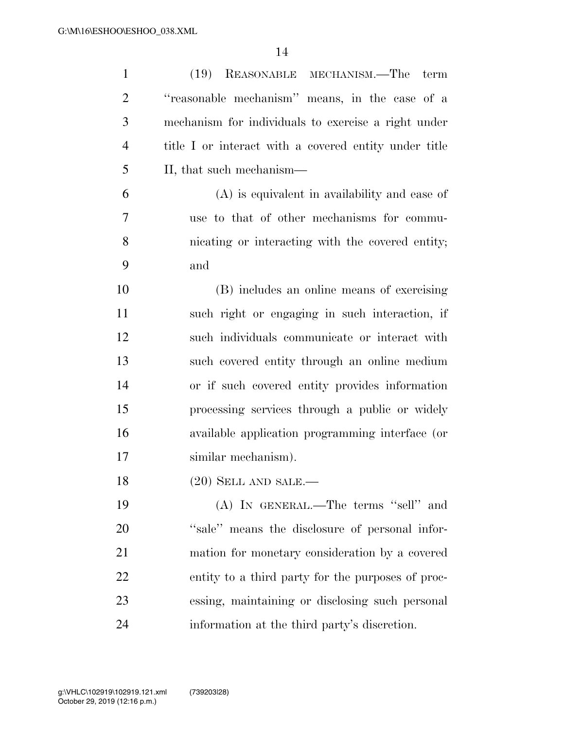| $\mathbf{1}$   | (19)<br>REASONABLE MECHANISM.—The term                |
|----------------|-------------------------------------------------------|
| $\overline{2}$ | "reasonable mechanism" means, in the case of a        |
| 3              | mechanism for individuals to exercise a right under   |
| $\overline{4}$ | title I or interact with a covered entity under title |
| 5              | II, that such mechanism—                              |
| 6              | $(A)$ is equivalent in availability and ease of       |
| 7              | use to that of other mechanisms for commu-            |
| 8              | nicating or interacting with the covered entity;      |
| 9              | and                                                   |
| 10             | (B) includes an online means of exercising            |
| 11             | such right or engaging in such interaction, if        |
| 12             | such individuals communicate or interact with         |
| 13             | such covered entity through an online medium          |
| 14             | or if such covered entity provides information        |
| 15             | processing services through a public or widely        |
| 16             | available application programming interface (or       |
| 17             | similar mechanism).                                   |
| 18             | $(20)$ SELL AND SALE.—                                |
| 19             | $(A)$ In GENERAL.—The terms "sell" and                |
| 20             | "sale" means the disclosure of personal infor-        |
| 21             | mation for monetary consideration by a covered        |
| 22             | entity to a third party for the purposes of proc-     |
| 23             | essing, maintaining or disclosing such personal       |
| 24             | information at the third party's discretion.          |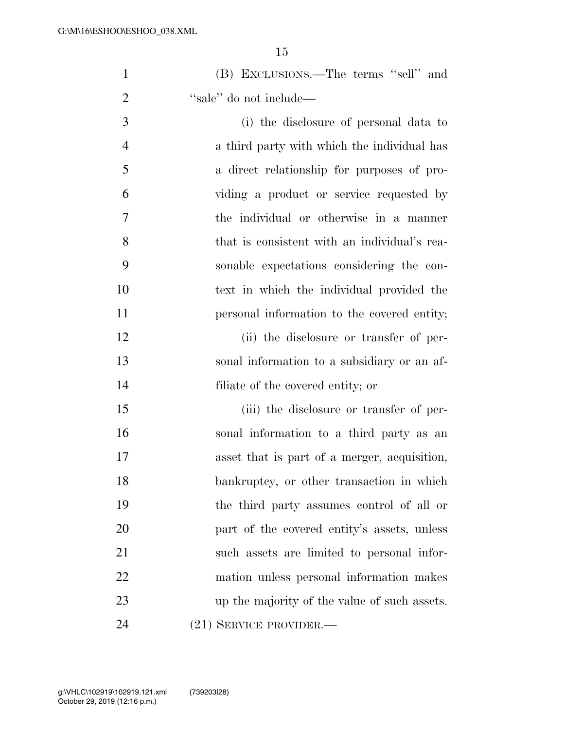| (B) EXCLUSIONS.—The terms "sell" and |
|--------------------------------------|
| "sale" do not include—               |

 (i) the disclosure of personal data to a third party with which the individual has a direct relationship for purposes of pro- viding a product or service requested by the individual or otherwise in a manner that is consistent with an individual's rea- sonable expectations considering the con- text in which the individual provided the personal information to the covered entity;

12 (ii) the disclosure or transfer of per- sonal information to a subsidiary or an af-filiate of the covered entity; or

 (iii) the disclosure or transfer of per- sonal information to a third party as an asset that is part of a merger, acquisition, bankruptcy, or other transaction in which the third party assumes control of all or part of the covered entity's assets, unless such assets are limited to personal infor- mation unless personal information makes up the majority of the value of such assets. (21) SERVICE PROVIDER.—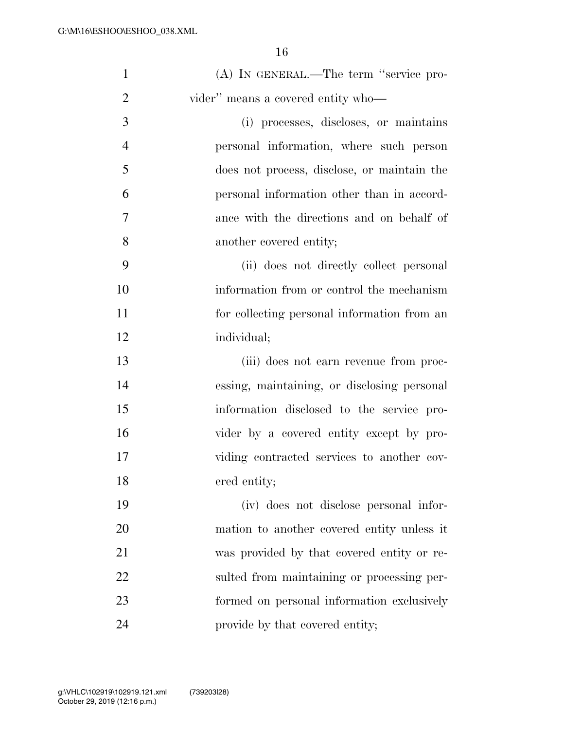| $\mathbf{1}$   | (A) IN GENERAL.—The term "service pro-      |
|----------------|---------------------------------------------|
| $\overline{2}$ | vider" means a covered entity who-          |
| 3              | (i) processes, discloses, or maintains      |
| 4              | personal information, where such person     |
| 5              | does not process, disclose, or maintain the |
| 6              | personal information other than in accord-  |
| $\overline{7}$ | ance with the directions and on behalf of   |
| 8              | another covered entity;                     |
| 9              | (ii) does not directly collect personal     |
| 10             | information from or control the mechanism   |
| 11             | for collecting personal information from an |
| 12             | individual;                                 |
| 13             | (iii) does not earn revenue from proc-      |
| 14             | essing, maintaining, or disclosing personal |
| 15             | information disclosed to the service pro-   |
| 16             | vider by a covered entity except by pro-    |
| 17             | viding contracted services to another cov-  |
| 18             | ered entity;                                |
| 19             | (iv) does not disclose personal infor-      |
| 20             | mation to another covered entity unless it  |
| 21             | was provided by that covered entity or re-  |
| 22             | sulted from maintaining or processing per-  |
| 23             | formed on personal information exclusively  |
| 24             | provide by that covered entity;             |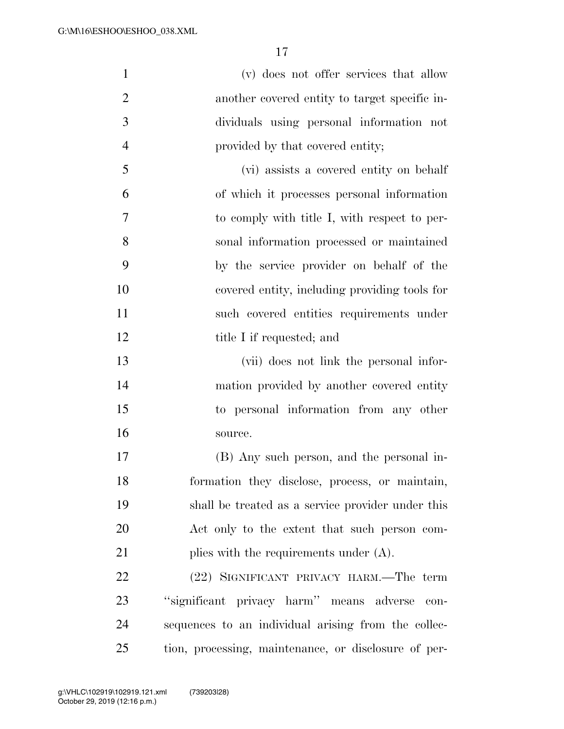| $\mathbf{1}$   | (v) does not offer services that allow            |
|----------------|---------------------------------------------------|
| $\overline{2}$ | another covered entity to target specific in-     |
| 3              | dividuals using personal information not          |
| $\overline{4}$ | provided by that covered entity;                  |
| 5              | (vi) assists a covered entity on behalf           |
| 6              | of which it processes personal information        |
| 7              | to comply with title I, with respect to per-      |
| 8              | sonal information processed or maintained         |
| 9              | by the service provider on behalf of the          |
| 10             | covered entity, including providing tools for     |
| 11             | such covered entities requirements under          |
| 12             | title I if requested; and                         |
| 13             | (vii) does not link the personal infor-           |
| 14             | mation provided by another covered entity         |
| 15             | to personal information from any other            |
| 16             | source.                                           |
| 17             | (B) Any such person, and the personal in-         |
| 18             | formation they disclose, process, or maintain,    |
| 19             | shall be treated as a service provider under this |
| 20             | Act only to the extent that such person com-      |

21 plies with the requirements under (A).

 (22) SIGNIFICANT PRIVACY HARM.—The term ''significant privacy harm'' means adverse con- sequences to an individual arising from the collec-tion, processing, maintenance, or disclosure of per-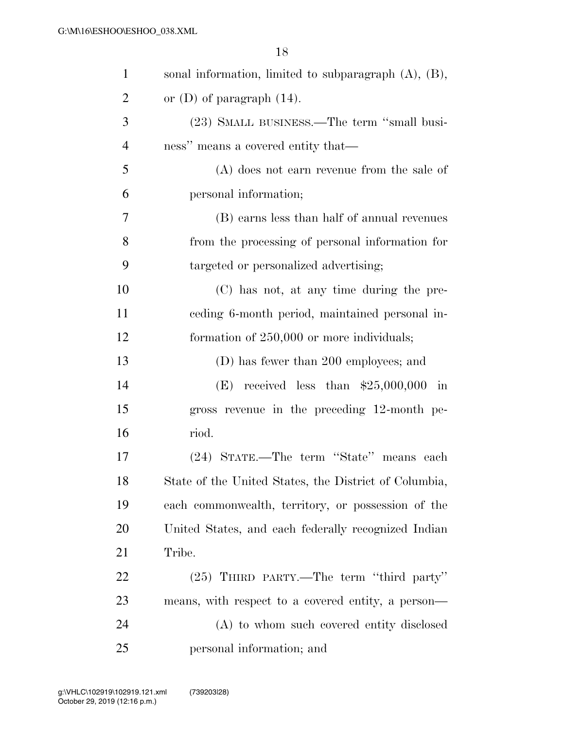| $\mathbf{1}$   | sonal information, limited to subparagraph $(A)$ , $(B)$ , |
|----------------|------------------------------------------------------------|
| $\overline{2}$ | or $(D)$ of paragraph $(14)$ .                             |
| 3              | (23) SMALL BUSINESS.—The term "small busi-                 |
| $\overline{4}$ | ness" means a covered entity that—                         |
| 5              | $(A)$ does not earn revenue from the sale of               |
| 6              | personal information;                                      |
| 7              | (B) earns less than half of annual revenues                |
| 8              | from the processing of personal information for            |
| 9              | targeted or personalized advertising;                      |
| 10             | (C) has not, at any time during the pre-                   |
| 11             | eeding 6-month period, maintained personal in-             |
| 12             | formation of 250,000 or more individuals;                  |
| 13             | (D) has fewer than 200 employees; and                      |
| 14             | (E) received less than $$25,000,000$<br>in                 |
| 15             | gross revenue in the preceding 12-month pe-                |
| 16             | riod.                                                      |
| 17             | (24) STATE.—The term "State" means each                    |
| 18             | State of the United States, the District of Columbia,      |
| 19             | each commonwealth, territory, or possession of the         |
| 20             | United States, and each federally recognized Indian        |
| 21             | Tribe.                                                     |
| <u>22</u>      | (25) THIRD PARTY.—The term "third party"                   |
| 23             | means, with respect to a covered entity, a person—         |
| 24             | (A) to whom such covered entity disclosed                  |
| 25             | personal information; and                                  |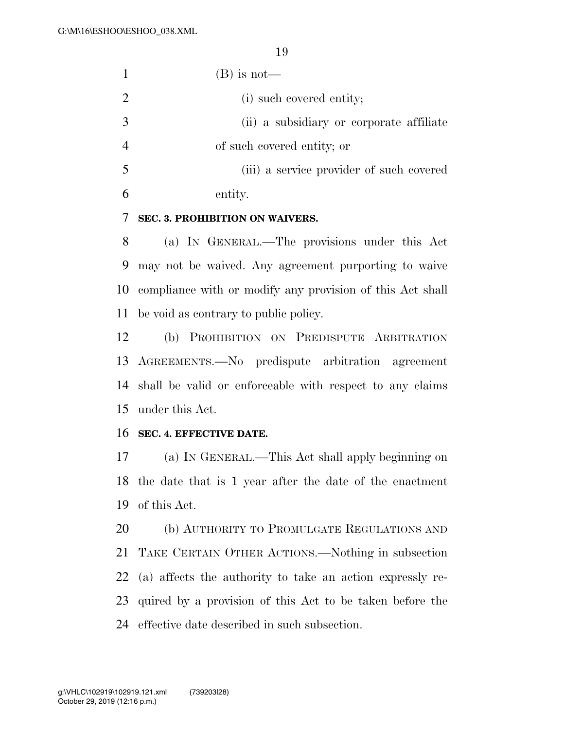|    | $(B)$ is not—                            |
|----|------------------------------------------|
|    | (i) such covered entity;                 |
| 3  | (ii) a subsidiary or corporate affiliate |
|    | of such covered entity; or               |
| -5 | (iii) a service provider of such covered |
|    | entity.                                  |

# **SEC. 3. PROHIBITION ON WAIVERS.**

 (a) IN GENERAL.—The provisions under this Act may not be waived. Any agreement purporting to waive compliance with or modify any provision of this Act shall be void as contrary to public policy.

 (b) PROHIBITION ON PREDISPUTE ARBITRATION AGREEMENTS.—No predispute arbitration agreement shall be valid or enforceable with respect to any claims under this Act.

### **SEC. 4. EFFECTIVE DATE.**

 (a) IN GENERAL.—This Act shall apply beginning on the date that is 1 year after the date of the enactment of this Act.

 (b) AUTHORITY TO PROMULGATE REGULATIONS AND TAKE CERTAIN OTHER ACTIONS.—Nothing in subsection (a) affects the authority to take an action expressly re- quired by a provision of this Act to be taken before the effective date described in such subsection.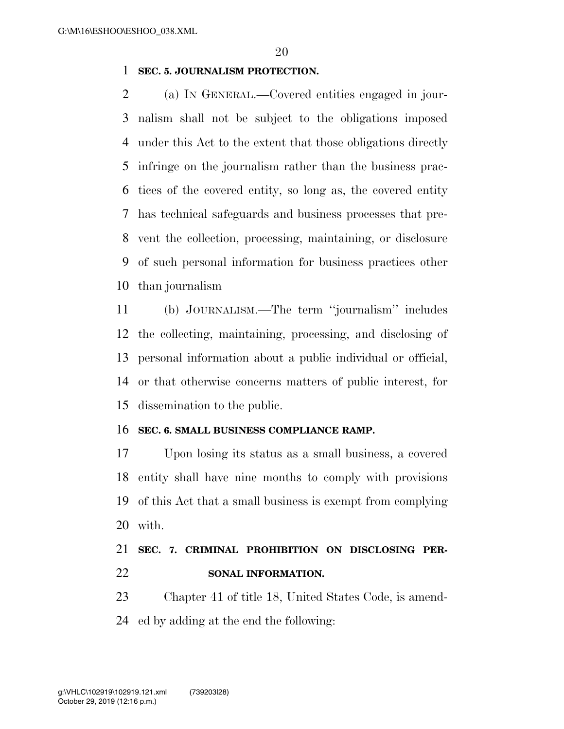# **SEC. 5. JOURNALISM PROTECTION.**

 (a) IN GENERAL.—Covered entities engaged in jour- nalism shall not be subject to the obligations imposed under this Act to the extent that those obligations directly infringe on the journalism rather than the business prac- tices of the covered entity, so long as, the covered entity has technical safeguards and business processes that pre- vent the collection, processing, maintaining, or disclosure of such personal information for business practices other than journalism

 (b) JOURNALISM.—The term ''journalism'' includes the collecting, maintaining, processing, and disclosing of personal information about a public individual or official, or that otherwise concerns matters of public interest, for dissemination to the public.

# **SEC. 6. SMALL BUSINESS COMPLIANCE RAMP.**

 Upon losing its status as a small business, a covered entity shall have nine months to comply with provisions of this Act that a small business is exempt from complying with.

# **SEC. 7. CRIMINAL PROHIBITION ON DISCLOSING PER-SONAL INFORMATION.**

 Chapter 41 of title 18, United States Code, is amend-ed by adding at the end the following: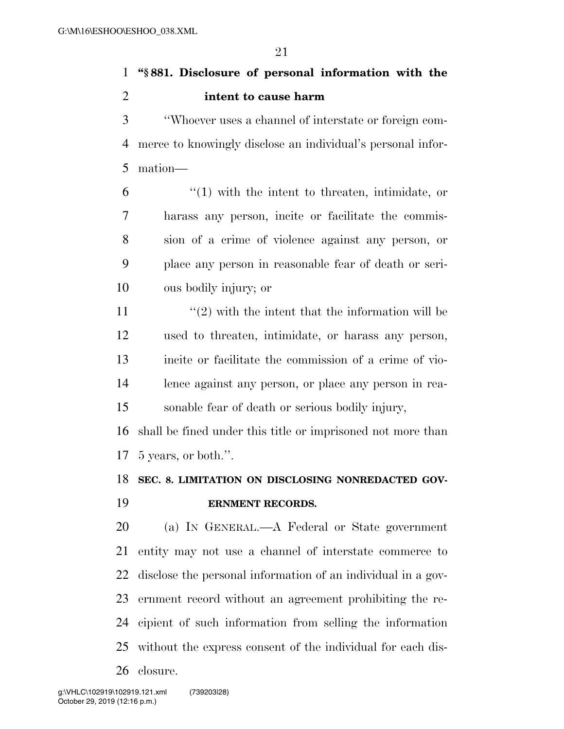**''§ 881. Disclosure of personal information with the intent to cause harm** 

 ''Whoever uses a channel of interstate or foreign com- merce to knowingly disclose an individual's personal infor-mation—

 ''(1) with the intent to threaten, intimidate, or harass any person, incite or facilitate the commis- sion of a crime of violence against any person, or place any person in reasonable fear of death or seri-ous bodily injury; or

 $\frac{u(2)}{2}$  with the intent that the information will be used to threaten, intimidate, or harass any person, incite or facilitate the commission of a crime of vio- lence against any person, or place any person in rea-sonable fear of death or serious bodily injury,

 shall be fined under this title or imprisoned not more than 5 years, or both.''.

# **SEC. 8. LIMITATION ON DISCLOSING NONREDACTED GOV-ERNMENT RECORDS.**

 (a) IN GENERAL.—A Federal or State government entity may not use a channel of interstate commerce to disclose the personal information of an individual in a gov- ernment record without an agreement prohibiting the re- cipient of such information from selling the information without the express consent of the individual for each dis-closure.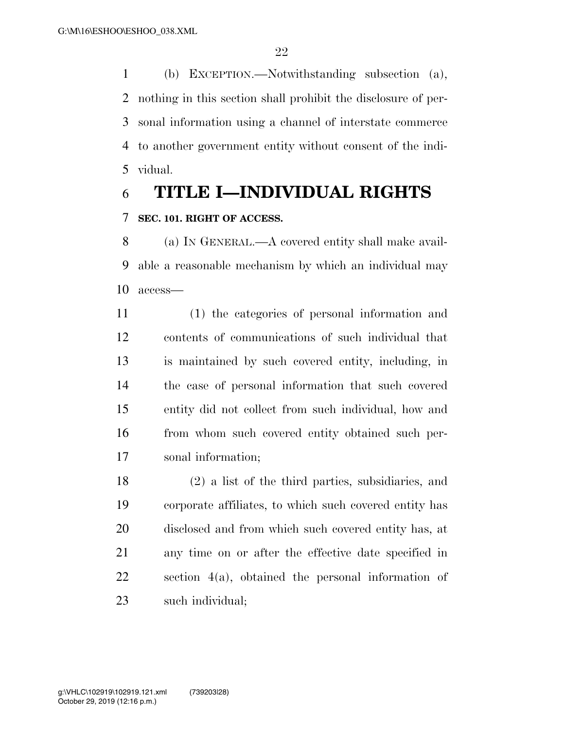(b) EXCEPTION.—Notwithstanding subsection (a), nothing in this section shall prohibit the disclosure of per- sonal information using a channel of interstate commerce to another government entity without consent of the indi-vidual.

# **TITLE I—INDIVIDUAL RIGHTS SEC. 101. RIGHT OF ACCESS.**

 (a) IN GENERAL.—A covered entity shall make avail- able a reasonable mechanism by which an individual may access—

 (1) the categories of personal information and contents of communications of such individual that is maintained by such covered entity, including, in the case of personal information that such covered entity did not collect from such individual, how and from whom such covered entity obtained such per-sonal information;

 (2) a list of the third parties, subsidiaries, and corporate affiliates, to which such covered entity has disclosed and from which such covered entity has, at any time on or after the effective date specified in section 4(a), obtained the personal information of such individual;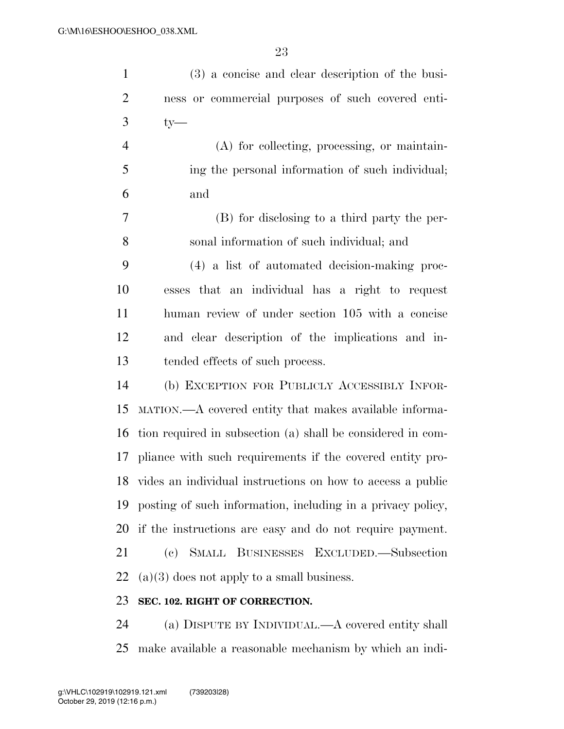| $\mathbf{1}$   | (3) a concise and clear description of the busi-              |
|----------------|---------------------------------------------------------------|
| $\overline{2}$ | ness or commercial purposes of such covered enti-             |
| $\mathfrak{Z}$ | $ty-$                                                         |
| $\overline{4}$ | (A) for collecting, processing, or maintain-                  |
| 5              | ing the personal information of such individual;              |
| 6              | and                                                           |
| 7              | (B) for disclosing to a third party the per-                  |
| 8              | sonal information of such individual; and                     |
| 9              | (4) a list of automated decision-making proc-                 |
| 10             | esses that an individual has a right to request               |
| 11             | human review of under section 105 with a concise              |
| 12             | and clear description of the implications and in-             |
| 13             | tended effects of such process.                               |
| 14             | (b) EXCEPTION FOR PUBLICLY ACCESSIBLY INFOR-                  |
| 15             | MATION.—A covered entity that makes available informa-        |
| 16             | tion required in subsection (a) shall be considered in com-   |
|                | 17 pliance with such requirements if the covered entity pro-  |
|                | 18 vides an individual instructions on how to access a public |
| 19             | posting of such information, including in a privacy policy,   |
| 20             | if the instructions are easy and do not require payment.      |
| 21             | SMALL BUSINESSES EXCLUDED. Subsection<br>(e)                  |
| 22             | $(a)(3)$ does not apply to a small business.                  |
| 23             | SEC. 102. RIGHT OF CORRECTION.                                |
|                |                                                               |

 (a) DISPUTE BY INDIVIDUAL.—A covered entity shall make available a reasonable mechanism by which an indi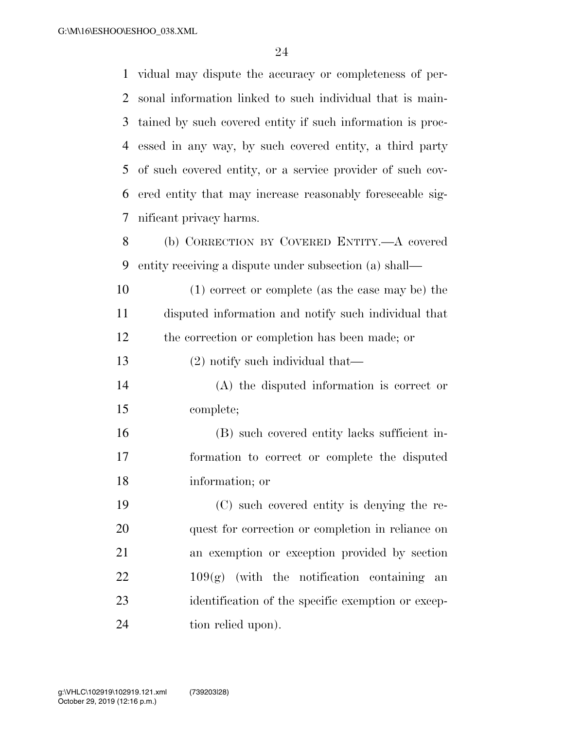vidual may dispute the accuracy or completeness of per- sonal information linked to such individual that is main- tained by such covered entity if such information is proc- essed in any way, by such covered entity, a third party of such covered entity, or a service provider of such cov- ered entity that may increase reasonably foreseeable sig-nificant privacy harms.

 (b) CORRECTION BY COVERED ENTITY.—A covered entity receiving a dispute under subsection (a) shall—

 (1) correct or complete (as the case may be) the disputed information and notify such individual that the correction or completion has been made; or

(2) notify such individual that—

 (A) the disputed information is correct or complete;

 (B) such covered entity lacks sufficient in- formation to correct or complete the disputed information; or

 (C) such covered entity is denying the re- quest for correction or completion in reliance on an exemption or exception provided by section  $22 \t 109(g)$  (with the notification containing an identification of the specific exemption or excep-tion relied upon).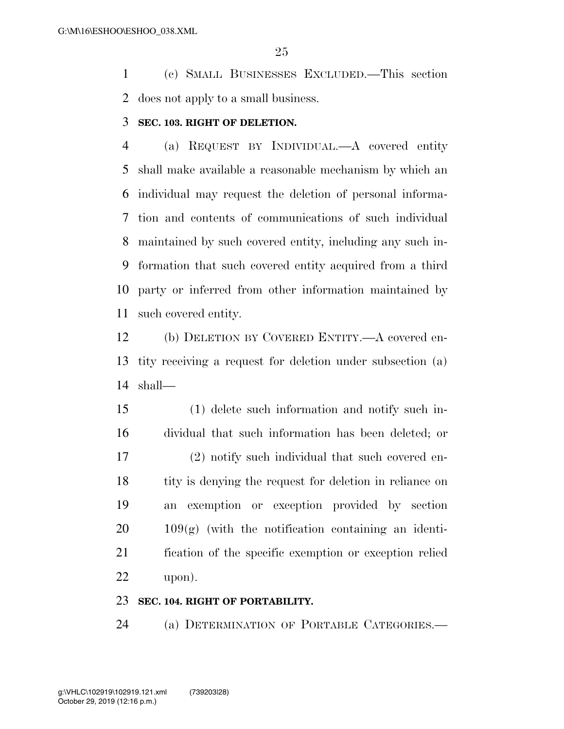(c) SMALL BUSINESSES EXCLUDED.—This section does not apply to a small business.

### **SEC. 103. RIGHT OF DELETION.**

 (a) REQUEST BY INDIVIDUAL.—A covered entity shall make available a reasonable mechanism by which an individual may request the deletion of personal informa- tion and contents of communications of such individual maintained by such covered entity, including any such in- formation that such covered entity acquired from a third party or inferred from other information maintained by such covered entity.

 (b) DELETION BY COVERED ENTITY.—A covered en- tity receiving a request for deletion under subsection (a) shall—

 (1) delete such information and notify such in- dividual that such information has been deleted; or (2) notify such individual that such covered en-18 tity is denying the request for deletion in reliance on an exemption or exception provided by section  $20 \qquad 109(g)$  (with the notification containing an identi- fication of the specific exemption or exception relied upon).

### **SEC. 104. RIGHT OF PORTABILITY.**

(a) DETERMINATION OF PORTABLE CATEGORIES.—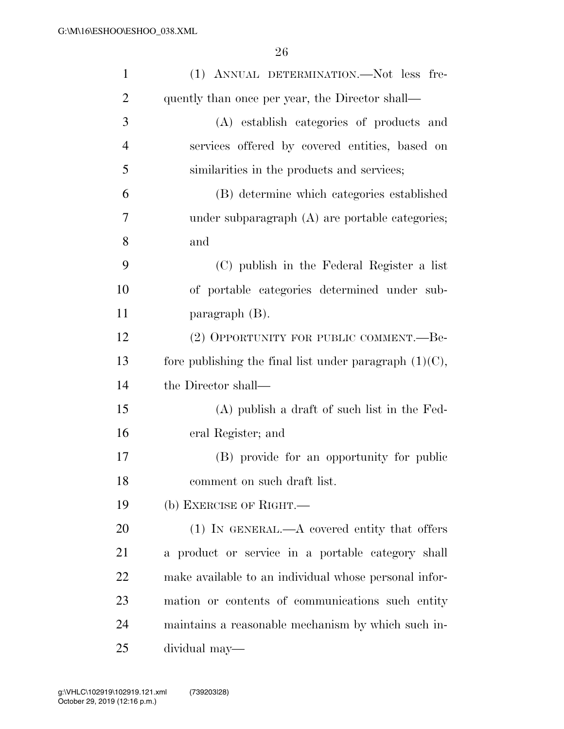| $\mathbf{1}$   | (1) ANNUAL DETERMINATION.-Not less fre-                   |
|----------------|-----------------------------------------------------------|
| $\overline{2}$ | quently than once per year, the Director shall—           |
| 3              | (A) establish categories of products and                  |
| $\overline{4}$ | services offered by covered entities, based on            |
| 5              | similarities in the products and services;                |
| 6              | (B) determine which categories established                |
| 7              | under subparagraph $(A)$ are portable categories;         |
| 8              | and                                                       |
| 9              | (C) publish in the Federal Register a list                |
| 10             | of portable categories determined under sub-              |
| 11             | paragraph $(B)$ .                                         |
| 12             | (2) OPPORTUNITY FOR PUBLIC COMMENT.—Be-                   |
| 13             | fore publishing the final list under paragraph $(1)(C)$ , |
| 14             | the Director shall—                                       |
| 15             | $(A)$ publish a draft of such list in the Fed-            |
| 16             | eral Register; and                                        |
| 17             | (B) provide for an opportunity for public                 |
| 18             | comment on such draft list.                               |
| 19             | (b) EXERCISE OF RIGHT.                                    |
| 20             | $(1)$ IN GENERAL.—A covered entity that offers            |
| 21             | a product or service in a portable category shall         |
| 22             | make available to an individual whose personal infor-     |
| 23             | mation or contents of communications such entity          |
| 24             | maintains a reasonable mechanism by which such in-        |
| 25             | dividual may-                                             |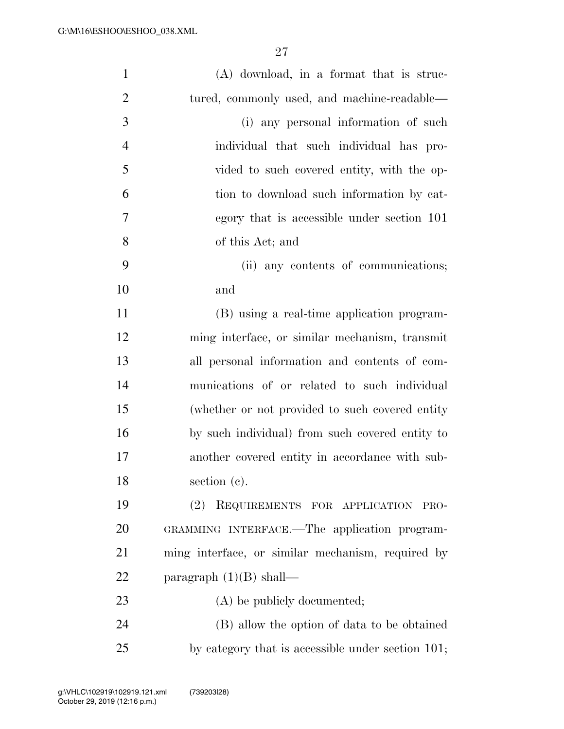| $\mathbf{1}$   | $(A)$ download, in a format that is struc-        |
|----------------|---------------------------------------------------|
| $\overline{2}$ | tured, commonly used, and machine-readable—       |
| 3              | (i) any personal information of such              |
| $\overline{4}$ | individual that such individual has pro-          |
| 5              | vided to such covered entity, with the op-        |
| 6              | tion to download such information by cat-         |
| 7              | egory that is accessible under section 101        |
| 8              | of this Act; and                                  |
| 9              | (ii) any contents of communications;              |
| 10             | and                                               |
| 11             | (B) using a real-time application program-        |
| 12             | ming interface, or similar mechanism, transmit    |
| 13             | all personal information and contents of com-     |
| 14             | munications of or related to such individual      |
| 15             | (whether or not provided to such covered entity)  |
| 16             | by such individual) from such covered entity to   |
| 17             | another covered entity in accordance with sub-    |
| 18             | section (c).                                      |
| 19             | (2)<br>REQUIREMENTS FOR APPLICATION<br>PRO-       |
| 20             | GRAMMING INTERFACE.—The application program-      |
| 21             | ming interface, or similar mechanism, required by |
| 22             | paragraph $(1)(B)$ shall—                         |
| 23             | (A) be publicly documented;                       |
| 24             | (B) allow the option of data to be obtained       |
| 25             | by category that is accessible under section 101; |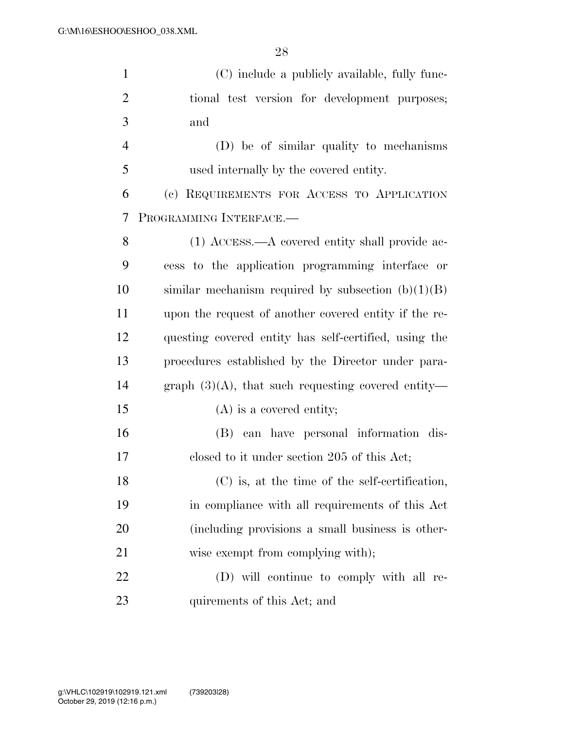| $\mathbf{1}$   | (C) include a publicly available, fully func-         |
|----------------|-------------------------------------------------------|
| $\overline{2}$ | tional test version for development purposes;         |
| 3              | and                                                   |
| $\overline{4}$ | (D) be of similar quality to mechanisms               |
| 5              | used internally by the covered entity.                |
| 6              | (c) REQUIREMENTS FOR ACCESS TO APPLICATION            |
| 7              | PROGRAMMING INTERFACE.-                               |
| 8              | $(1)$ ACCESS.—A covered entity shall provide ac-      |
| 9              | cess to the application programming interface or      |
| 10             | similar mechanism required by subsection $(b)(1)(B)$  |
| 11             | upon the request of another covered entity if the re- |
| 12             | questing covered entity has self-certified, using the |
| 13             | procedures established by the Director under para-    |
| 14             | graph $(3)(A)$ , that such requesting covered entity— |
| 15             | $(A)$ is a covered entity;                            |
| 16             | (B) can have personal information dis-                |
| 17             | closed to it under section 205 of this Act;           |
| 18             | (C) is, at the time of the self-certification,        |
| 19             | in compliance with all requirements of this Act       |
| 20             | (including provisions a small business is other-      |
| 21             | wise exempt from complying with);                     |
| 22             | (D) will continue to comply with all re-              |
| 23             | quirements of this Act; and                           |
|                |                                                       |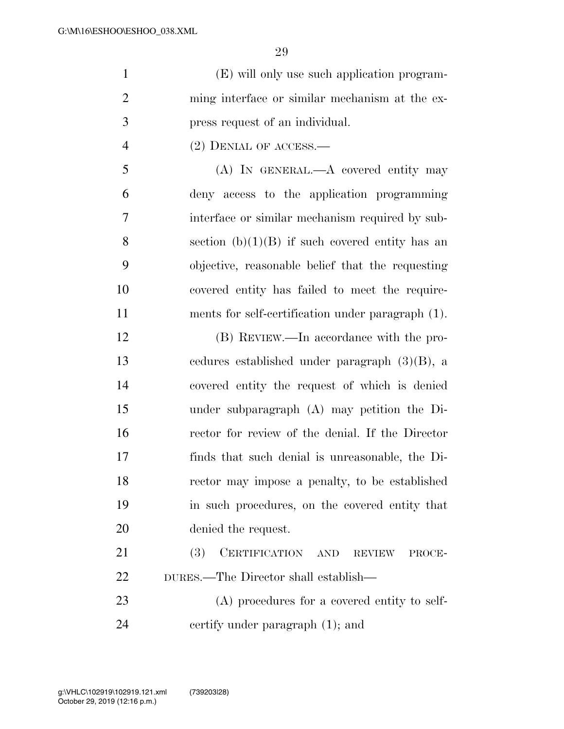|    | (E) will only use such application program-    |
|----|------------------------------------------------|
|    | ming interface or similar mechanism at the ex- |
| -3 | press request of an individual.                |
|    | $(2)$ DENIAL OF ACCESS.—                       |

 (A) IN GENERAL.—A covered entity may deny access to the application programming interface or similar mechanism required by sub-8 section  $(b)(1)(B)$  if such covered entity has an objective, reasonable belief that the requesting covered entity has failed to meet the require-ments for self-certification under paragraph (1).

 (B) REVIEW.—In accordance with the pro- cedures established under paragraph (3)(B), a covered entity the request of which is denied under subparagraph (A) may petition the Di- rector for review of the denial. If the Director finds that such denial is unreasonable, the Di- rector may impose a penalty, to be established in such procedures, on the covered entity that denied the request.

21 (3) CERTIFICATION AND REVIEW PROCE-DURES.—The Director shall establish—

 (A) procedures for a covered entity to self-certify under paragraph (1); and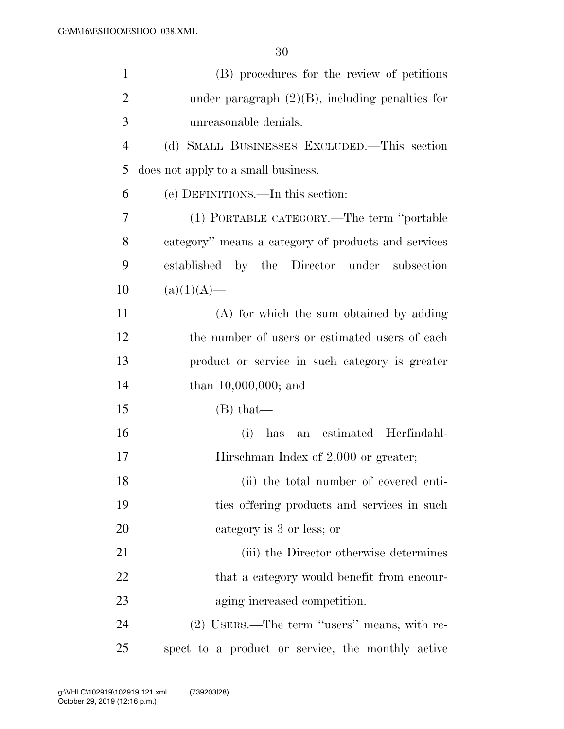| $\mathbf{1}$   | (B) procedures for the review of petitions          |
|----------------|-----------------------------------------------------|
| $\overline{2}$ | under paragraph $(2)(B)$ , including penalties for  |
| 3              | unreasonable denials.                               |
| $\overline{4}$ | (d) SMALL BUSINESSES EXCLUDED.—This section         |
| 5              | does not apply to a small business.                 |
| 6              | (e) DEFINITIONS.—In this section:                   |
| 7              | (1) PORTABLE CATEGORY.—The term "portable           |
| 8              | category" means a category of products and services |
| 9              | established by the Director under subsection        |
| 10             | $(a)(1)(A)$ —                                       |
| 11             | (A) for which the sum obtained by adding            |
| 12             | the number of users or estimated users of each      |
| 13             | product or service in such category is greater      |
| 14             | than $10,000,000$ ; and                             |
| 15             | $(B)$ that—                                         |
| 16             | an estimated Herfindahl-<br>(i)<br>has              |
| 17             | Hirschman Index of 2,000 or greater;                |
| 18             | (ii) the total number of covered enti-              |
| 19             | ties offering products and services in such         |
| 20             | category is 3 or less; or                           |
| 21             | (iii) the Director otherwise determines             |
| 22             | that a category would benefit from encour-          |
| 23             | aging increased competition.                        |
| 24             | (2) USERS.—The term "users" means, with re-         |
| 25             | spect to a product or service, the monthly active   |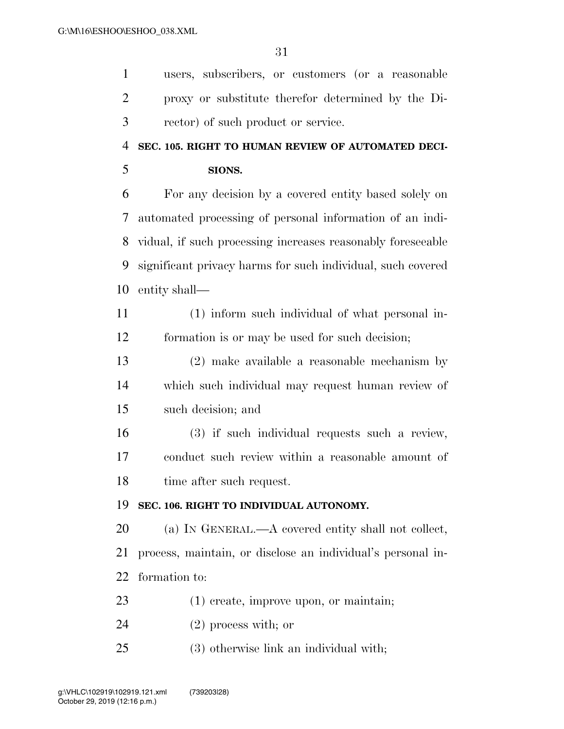users, subscribers, or customers (or a reasonable

proxy or substitute therefor determined by the Di-

| 3              | rector) of such product or service.                         |
|----------------|-------------------------------------------------------------|
| $\overline{4}$ | SEC. 105. RIGHT TO HUMAN REVIEW OF AUTOMATED DECI-          |
| 5              | SIONS.                                                      |
| 6              | For any decision by a covered entity based solely on        |
| 7              | automated processing of personal information of an indi-    |
| 8              | vidual, if such processing increases reasonably foreseeable |
| 9              | significant privacy harms for such individual, such covered |
| 10             | entity shall—                                               |
| 11             | (1) inform such individual of what personal in-             |
| 12             | formation is or may be used for such decision;              |
| 13             | $(2)$ make available a reasonable mechanism by              |
| 14             | which such individual may request human review of           |
| 15             | such decision; and                                          |
| 16             | (3) if such individual requests such a review,              |
| 17             | conduct such review within a reasonable amount of           |
| 18             | time after such request.                                    |
| 19             | SEC. 106. RIGHT TO INDIVIDUAL AUTONOMY.                     |
| 20             | (a) IN GENERAL.—A covered entity shall not collect,         |
| 21             | process, maintain, or disclose an individual's personal in- |
| 22             | formation to:                                               |
| 23             | $(1)$ create, improve upon, or maintain;                    |
| 24             | $(2)$ process with; or                                      |
| 25             | $(3)$ otherwise link an individual with;                    |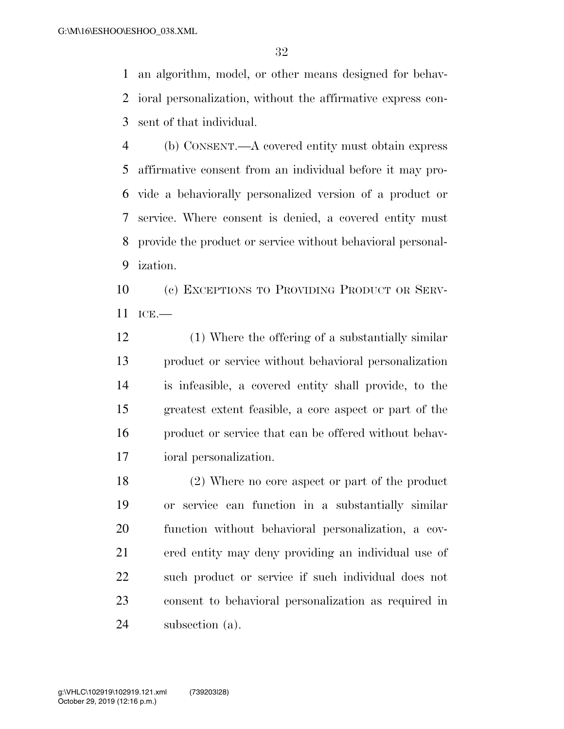an algorithm, model, or other means designed for behav- ioral personalization, without the affirmative express con-sent of that individual.

 (b) CONSENT.—A covered entity must obtain express affirmative consent from an individual before it may pro- vide a behaviorally personalized version of a product or service. Where consent is denied, a covered entity must provide the product or service without behavioral personal-ization.

 (c) EXCEPTIONS TO PROVIDING PRODUCT OR SERV-ICE.—

 (1) Where the offering of a substantially similar product or service without behavioral personalization is infeasible, a covered entity shall provide, to the greatest extent feasible, a core aspect or part of the product or service that can be offered without behav-ioral personalization.

 (2) Where no core aspect or part of the product or service can function in a substantially similar function without behavioral personalization, a cov- ered entity may deny providing an individual use of such product or service if such individual does not consent to behavioral personalization as required in subsection (a).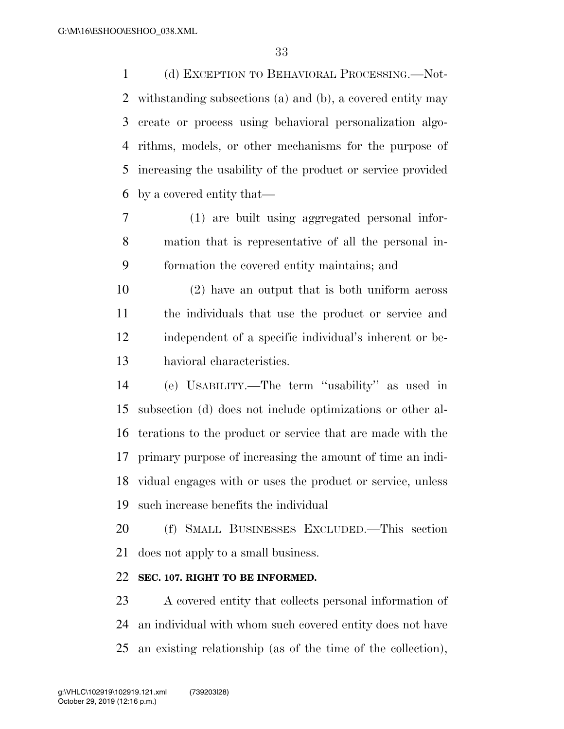(d) EXCEPTION TO BEHAVIORAL PROCESSING.—Not- withstanding subsections (a) and (b), a covered entity may create or process using behavioral personalization algo- rithms, models, or other mechanisms for the purpose of increasing the usability of the product or service provided by a covered entity that—

 (1) are built using aggregated personal infor- mation that is representative of all the personal in-formation the covered entity maintains; and

 (2) have an output that is both uniform across the individuals that use the product or service and independent of a specific individual's inherent or be-havioral characteristics.

 (e) USABILITY.—The term ''usability'' as used in subsection (d) does not include optimizations or other al- terations to the product or service that are made with the primary purpose of increasing the amount of time an indi- vidual engages with or uses the product or service, unless such increase benefits the individual

 (f) SMALL BUSINESSES EXCLUDED.—This section does not apply to a small business.

# **SEC. 107. RIGHT TO BE INFORMED.**

 A covered entity that collects personal information of an individual with whom such covered entity does not have an existing relationship (as of the time of the collection),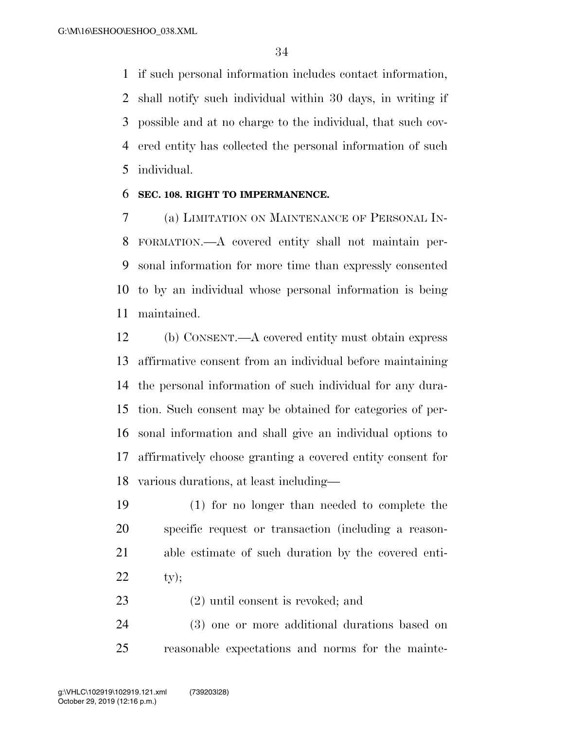if such personal information includes contact information, shall notify such individual within 30 days, in writing if possible and at no charge to the individual, that such cov- ered entity has collected the personal information of such individual.

### **SEC. 108. RIGHT TO IMPERMANENCE.**

 (a) LIMITATION ON MAINTENANCE OF PERSONAL IN- FORMATION.—A covered entity shall not maintain per- sonal information for more time than expressly consented to by an individual whose personal information is being maintained.

 (b) CONSENT.—A covered entity must obtain express affirmative consent from an individual before maintaining the personal information of such individual for any dura- tion. Such consent may be obtained for categories of per- sonal information and shall give an individual options to affirmatively choose granting a covered entity consent for various durations, at least including—

 (1) for no longer than needed to complete the specific request or transaction (including a reason- able estimate of such duration by the covered enti-ty);

(2) until consent is revoked; and

 (3) one or more additional durations based on reasonable expectations and norms for the mainte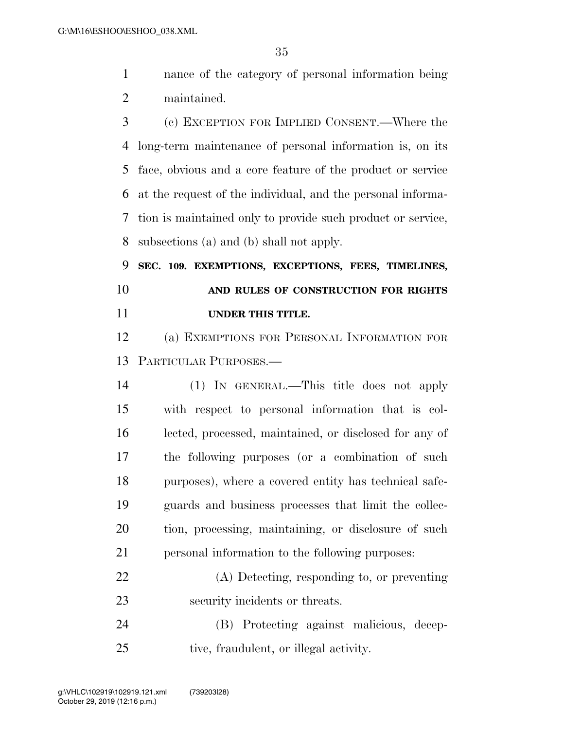nance of the category of personal information being maintained.

 (c) EXCEPTION FOR IMPLIED CONSENT.—Where the long-term maintenance of personal information is, on its face, obvious and a core feature of the product or service at the request of the individual, and the personal informa- tion is maintained only to provide such product or service, subsections (a) and (b) shall not apply.

 **SEC. 109. EXEMPTIONS, EXCEPTIONS, FEES, TIMELINES, AND RULES OF CONSTRUCTION FOR RIGHTS UNDER THIS TITLE.** 

 (a) EXEMPTIONS FOR PERSONAL INFORMATION FOR PARTICULAR PURPOSES.—

 (1) IN GENERAL.—This title does not apply with respect to personal information that is col- lected, processed, maintained, or disclosed for any of the following purposes (or a combination of such purposes), where a covered entity has technical safe- guards and business processes that limit the collec- tion, processing, maintaining, or disclosure of such personal information to the following purposes:

 (A) Detecting, responding to, or preventing security incidents or threats.

 (B) Protecting against malicious, decep-tive, fraudulent, or illegal activity.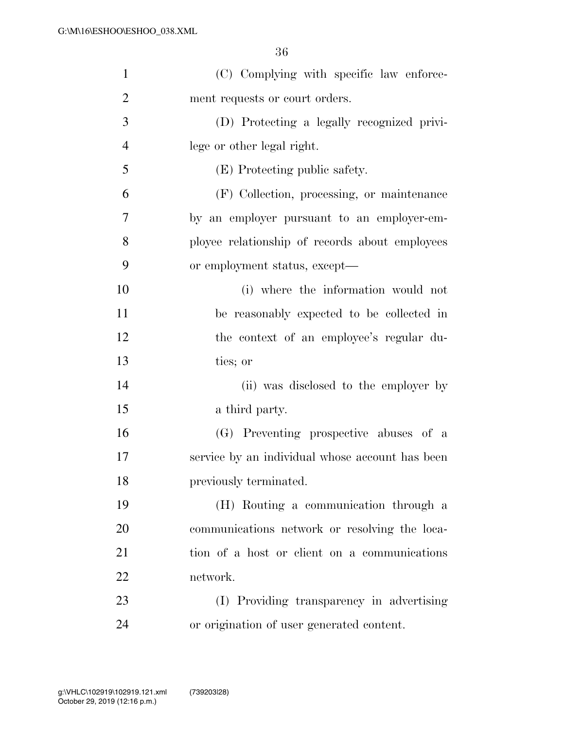| $\mathbf{1}$   | (C) Complying with specific law enforce-        |
|----------------|-------------------------------------------------|
| $\overline{2}$ | ment requests or court orders.                  |
| 3              | (D) Protecting a legally recognized privi-      |
| $\overline{4}$ | lege or other legal right.                      |
| 5              | (E) Protecting public safety.                   |
| 6              | (F) Collection, processing, or maintenance      |
| 7              | by an employer pursuant to an employer-em-      |
| 8              | ployee relationship of records about employees  |
| 9              | or employment status, except—                   |
| 10             | (i) where the information would not             |
| 11             | be reasonably expected to be collected in       |
| 12             | the context of an employee's regular du-        |
| 13             | ties; or                                        |
| 14             | (ii) was disclosed to the employer by           |
| 15             | a third party.                                  |
| 16             | (G) Preventing prospective abuses of a          |
| 17             | service by an individual whose account has been |
| 18             | previously terminated.                          |
| 19             | (H) Routing a communication through a           |
| 20             | communications network or resolving the loca-   |
| 21             | tion of a host or client on a communications    |
| 22             | network.                                        |
| 23             | (I) Providing transparency in advertising       |
| 24             | or origination of user generated content.       |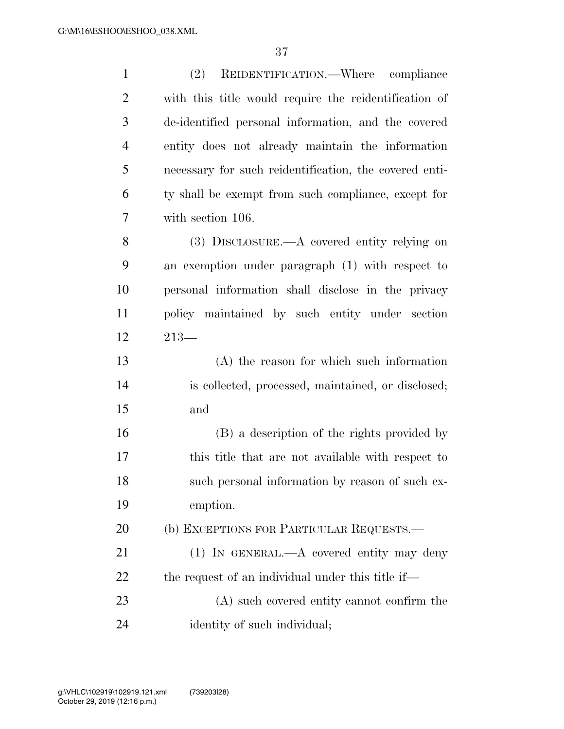| $\mathbf{1}$   | REIDENTIFICATION.—Where compliance<br>(2)              |
|----------------|--------------------------------------------------------|
| $\overline{2}$ | with this title would require the reidentification of  |
| 3              | de-identified personal information, and the covered    |
| $\overline{4}$ | entity does not already maintain the information       |
| 5              | necessary for such reidentification, the covered enti- |
| 6              | ty shall be exempt from such compliance, except for    |
| 7              | with section 106.                                      |
| 8              | $(3)$ DISCLOSURE.—A covered entity relying on          |
| 9              | an exemption under paragraph (1) with respect to       |
| 10             | personal information shall disclose in the privacy     |
| 11             | policy maintained by such entity under section         |
| 12             | $213-$                                                 |
| 13             | $(A)$ the reason for which such information            |
| 14             | is collected, processed, maintained, or disclosed;     |
| 15             | and                                                    |
| 16             | (B) a description of the rights provided by            |
| 17             | this title that are not available with respect to      |
| 18             | such personal information by reason of such ex-        |
| 19             | emption.                                               |
| 20             | (b) EXCEPTIONS FOR PARTICULAR REQUESTS.                |
| 21             | $(1)$ In GENERAL.—A covered entity may deny            |
| 22             | the request of an individual under this title if—      |
| 23             | (A) such covered entity cannot confirm the             |
| 24             | identity of such individual;                           |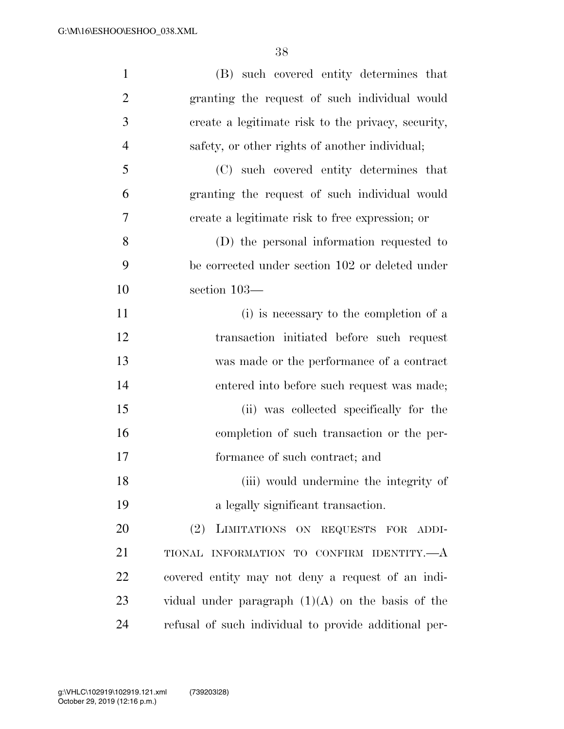| $\mathbf{1}$   | (B) such covered entity determines that               |
|----------------|-------------------------------------------------------|
| $\overline{2}$ | granting the request of such individual would         |
| 3              | create a legitimate risk to the privacy, security,    |
| $\overline{4}$ | safety, or other rights of another individual;        |
| 5              | (C) such covered entity determines that               |
| 6              | granting the request of such individual would         |
| 7              | create a legitimate risk to free expression; or       |
| 8              | (D) the personal information requested to             |
| 9              | be corrected under section 102 or deleted under       |
| 10             | section 103-                                          |
| 11             | (i) is necessary to the completion of a               |
| 12             | transaction initiated before such request             |
| 13             | was made or the performance of a contract             |
| 14             | entered into before such request was made;            |
| 15             | (ii) was collected specifically for the               |
| 16             | completion of such transaction or the per-            |
| 17             | formance of such contract; and                        |
| 18             | (iii) would undermine the integrity of                |
| 19             | a legally significant transaction.                    |
| 20             | (2) LIMITATIONS ON REQUESTS FOR ADDI-                 |
| 21             | TIONAL INFORMATION TO CONFIRM IDENTITY.-              |
| 22             | covered entity may not deny a request of an indi-     |
| 23             | vidual under paragraph $(1)(A)$ on the basis of the   |
| 24             | refusal of such individual to provide additional per- |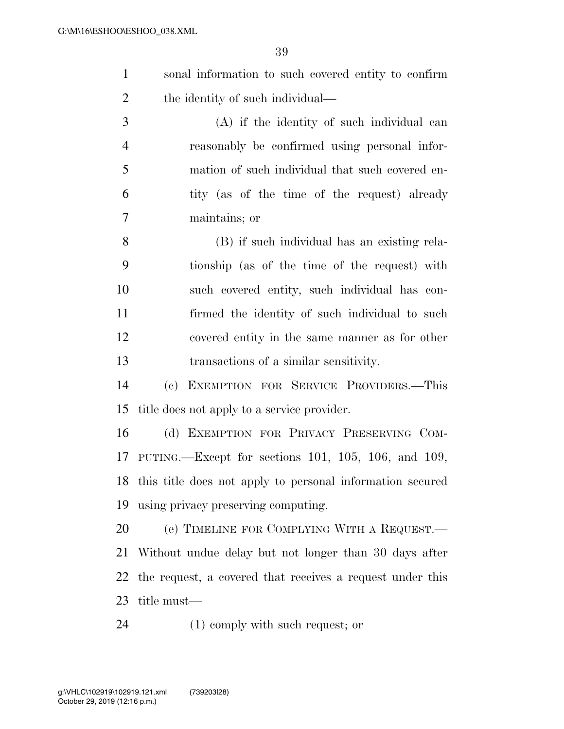sonal information to such covered entity to confirm 2 the identity of such individual—

 (A) if the identity of such individual can reasonably be confirmed using personal infor- mation of such individual that such covered en- tity (as of the time of the request) already maintains; or

 (B) if such individual has an existing rela- tionship (as of the time of the request) with such covered entity, such individual has con- firmed the identity of such individual to such covered entity in the same manner as for other transactions of a similar sensitivity.

 (c) EXEMPTION FOR SERVICE PROVIDERS.—This title does not apply to a service provider.

 (d) EXEMPTION FOR PRIVACY PRESERVING COM- PUTING.—Except for sections 101, 105, 106, and 109, this title does not apply to personal information secured using privacy preserving computing.

 (e) TIMELINE FOR COMPLYING WITH A REQUEST.— Without undue delay but not longer than 30 days after the request, a covered that receives a request under this title must—

(1) comply with such request; or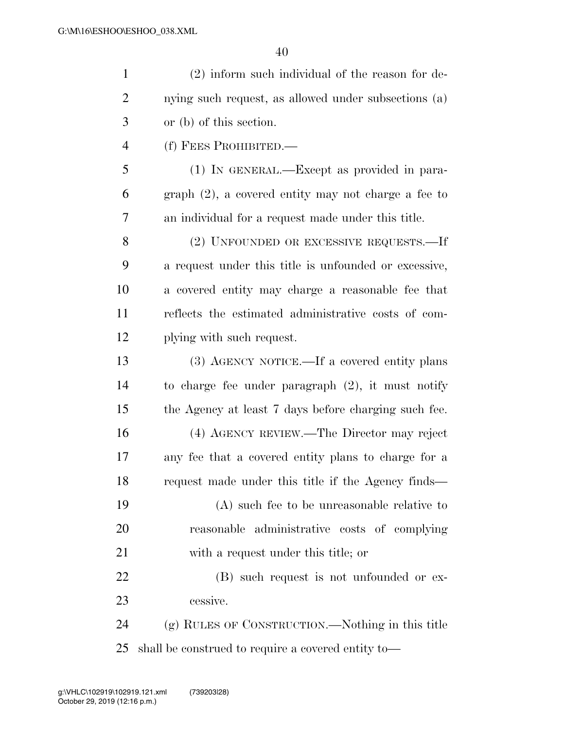| $\mathbf{1}$   | $(2)$ inform such individual of the reason for de-     |
|----------------|--------------------------------------------------------|
| $\overline{2}$ | nying such request, as allowed under subsections (a)   |
| 3              | or (b) of this section.                                |
| $\overline{4}$ | (f) FEES PROHIBITED.—                                  |
| 5              | (1) IN GENERAL.—Except as provided in para-            |
| 6              | $graph (2)$ , a covered entity may not charge a fee to |
| 7              | an individual for a request made under this title.     |
| 8              | (2) UNFOUNDED OR EXCESSIVE REQUESTS.—If                |
| 9              | a request under this title is unfounded or excessive,  |
| 10             | a covered entity may charge a reasonable fee that      |
| 11             | reflects the estimated administrative costs of com-    |
| 12             | plying with such request.                              |
| 13             | (3) AGENCY NOTICE.—If a covered entity plans           |
| 14             | to charge fee under paragraph $(2)$ , it must notify   |
| 15             | the Agency at least 7 days before charging such fee.   |
| 16             | (4) AGENCY REVIEW.—The Director may reject             |
| 17             | any fee that a covered entity plans to charge for a    |
| 18             | request made under this title if the Agency finds—     |
| 19             | (A) such fee to be unreasonable relative to            |
| 20             | reasonable administrative costs of complying           |
| 21             | with a request under this title; or                    |
| 22             | (B) such request is not unfounded or ex-               |
| 23             | cessive.                                               |
| 24             | (g) RULES OF CONSTRUCTION.—Nothing in this title       |
|                |                                                        |

shall be construed to require a covered entity to—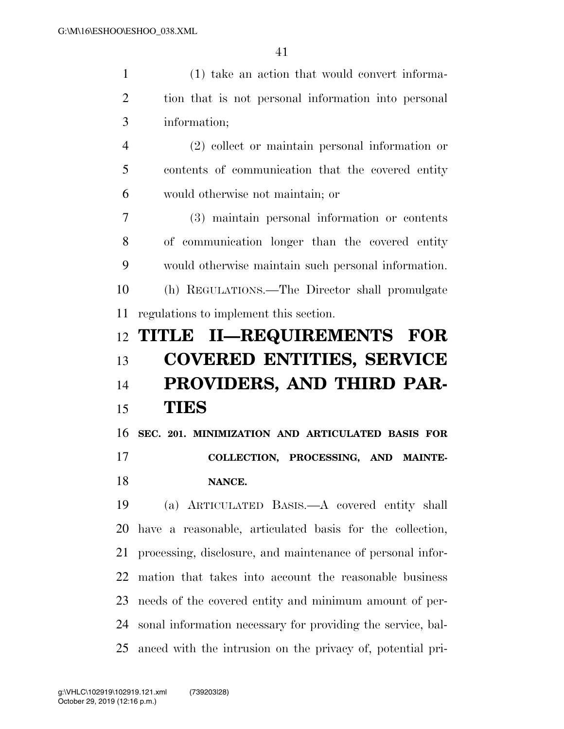| $\mathbf{1}$   | (1) take an action that would convert informa-             |
|----------------|------------------------------------------------------------|
| $\overline{2}$ | tion that is not personal information into personal        |
| 3              | information;                                               |
| 4              | $(2)$ collect or maintain personal information or          |
| 5              | contents of communication that the covered entity          |
| 6              | would otherwise not maintain; or                           |
| 7              | (3) maintain personal information or contents              |
| 8              | of communication longer than the covered entity            |
| 9              | would otherwise maintain such personal information.        |
| 10             | (h) REGULATIONS.—The Director shall promulgate             |
| 11             | regulations to implement this section.                     |
|                |                                                            |
|                | 12 TITLE II—REQUIREMENTS FOR                               |
| 13             | <b>COVERED ENTITIES, SERVICE</b>                           |
| 14             | PROVIDERS, AND THIRD PAR-                                  |
| 15             | <b>TIES</b>                                                |
| 16             | SEC. 201. MINIMIZATION AND ARTICULATED BASIS FOR           |
| 17             | COLLECTION, PROCESSING, AND MAINTE-                        |
| 18             | NANCE.                                                     |
| 19             | (a) ARTICULATED BASIS.—A covered entity shall              |
| 20             | have a reasonable, articulated basis for the collection,   |
| 21             | processing, disclosure, and maintenance of personal infor- |
| 22             | mation that takes into account the reasonable business     |

sonal information necessary for providing the service, bal-

needs of the covered entity and minimum amount of per-

anced with the intrusion on the privacy of, potential pri-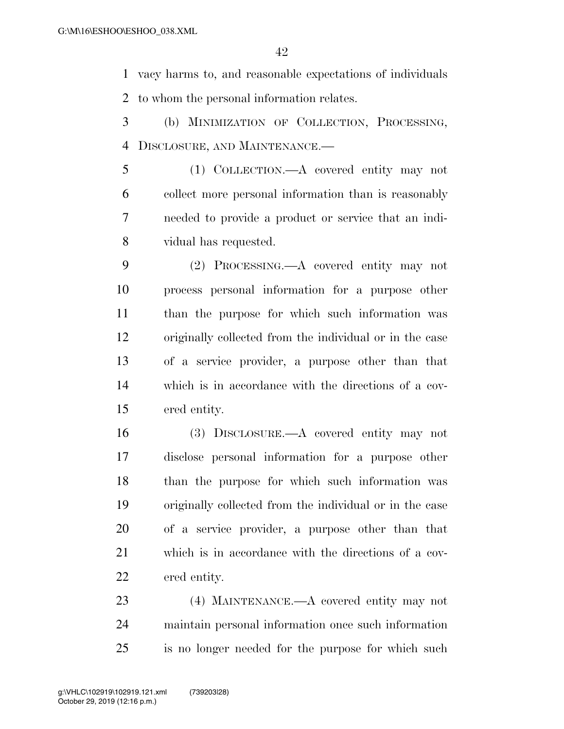vacy harms to, and reasonable expectations of individuals to whom the personal information relates.

- (b) MINIMIZATION OF COLLECTION, PROCESSING, DISCLOSURE, AND MAINTENANCE.—
- (1) COLLECTION.—A covered entity may not collect more personal information than is reasonably needed to provide a product or service that an indi-vidual has requested.
- (2) PROCESSING.—A covered entity may not process personal information for a purpose other than the purpose for which such information was originally collected from the individual or in the case of a service provider, a purpose other than that which is in accordance with the directions of a cov-ered entity.
- (3) DISCLOSURE.—A covered entity may not disclose personal information for a purpose other than the purpose for which such information was originally collected from the individual or in the case of a service provider, a purpose other than that which is in accordance with the directions of a cov-ered entity.
- (4) MAINTENANCE.—A covered entity may not maintain personal information once such information is no longer needed for the purpose for which such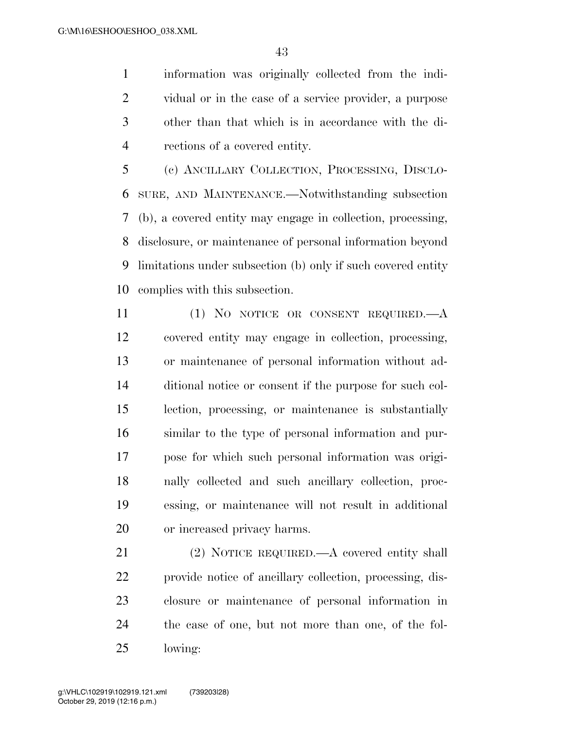information was originally collected from the indi- vidual or in the case of a service provider, a purpose other than that which is in accordance with the di-rections of a covered entity.

 (c) ANCILLARY COLLECTION, PROCESSING, DISCLO- SURE, AND MAINTENANCE.—Notwithstanding subsection (b), a covered entity may engage in collection, processing, disclosure, or maintenance of personal information beyond limitations under subsection (b) only if such covered entity complies with this subsection.

 (1) NO NOTICE OR CONSENT REQUIRED.—A covered entity may engage in collection, processing, or maintenance of personal information without ad- ditional notice or consent if the purpose for such col- lection, processing, or maintenance is substantially similar to the type of personal information and pur- pose for which such personal information was origi- nally collected and such ancillary collection, proc- essing, or maintenance will not result in additional or increased privacy harms.

21 (2) NOTICE REQUIRED.—A covered entity shall provide notice of ancillary collection, processing, dis- closure or maintenance of personal information in the case of one, but not more than one, of the fol-lowing: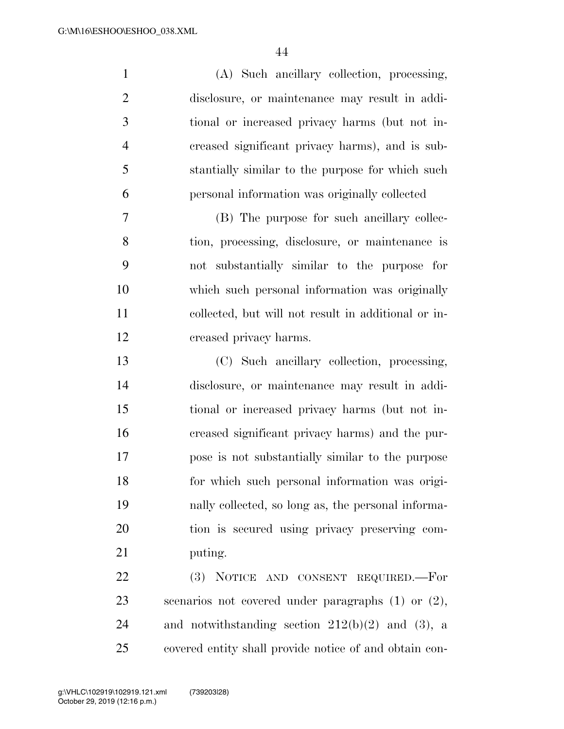| $\mathbf{1}$   | (A) Such ancillary collection, processing,              |
|----------------|---------------------------------------------------------|
| $\overline{2}$ | disclosure, or maintenance may result in addi-          |
| 3              | tional or increased privacy harms (but not in-          |
| $\overline{4}$ | creased significant privacy harms), and is sub-         |
| 5              | stantially similar to the purpose for which such        |
| 6              | personal information was originally collected           |
| 7              | (B) The purpose for such ancillary collec-              |
| 8              | tion, processing, disclosure, or maintenance is         |
| 9              | not substantially similar to the purpose for            |
| 10             | which such personal information was originally          |
| 11             | collected, but will not result in additional or in-     |
| 12             | creased privacy harms.                                  |
| 13             | (C) Such ancillary collection, processing,              |
| 14             | disclosure, or maintenance may result in addi-          |
| 15             | tional or increased privacy harms (but not in-          |
| 16             | creased significant privacy harms) and the pur-         |
| 17             | pose is not substantially similar to the purpose        |
| 18             | for which such personal information was origi-          |
| 19             | nally collected, so long as, the personal informa-      |
| 20             | tion is secured using privacy preserving com-           |
| 21             | puting.                                                 |
| 22             | (3) NOTICE AND CONSENT REQUIRED.—For                    |
| 23             | scenarios not covered under paragraphs $(1)$ or $(2)$ , |
| 24             | and notwithstanding section $212(b)(2)$ and (3), a      |
| 25             | covered entity shall provide notice of and obtain con-  |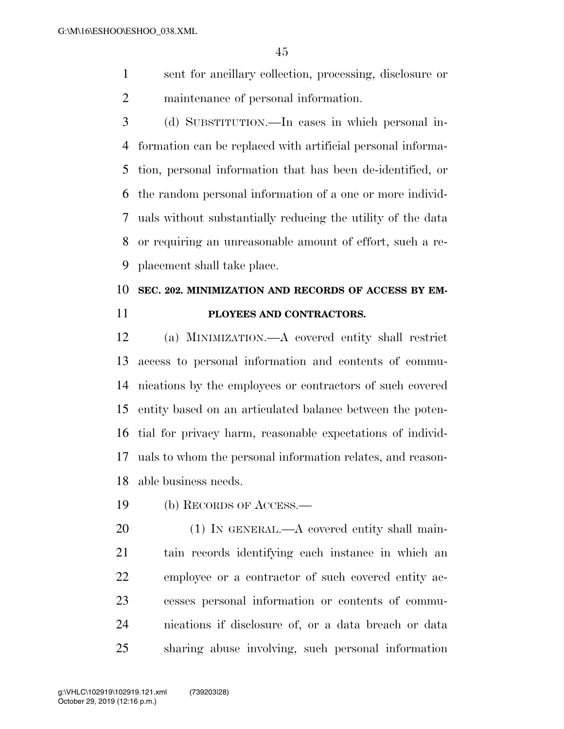- sent for ancillary collection, processing, disclosure or maintenance of personal information.
- (d) SUBSTITUTION.—In cases in which personal in- formation can be replaced with artificial personal informa- tion, personal information that has been de-identified, or the random personal information of a one or more individ- uals without substantially reducing the utility of the data or requiring an unreasonable amount of effort, such a re-placement shall take place.

# **SEC. 202. MINIMIZATION AND RECORDS OF ACCESS BY EM-PLOYEES AND CONTRACTORS.**

 (a) MINIMIZATION.—A covered entity shall restrict access to personal information and contents of commu- nications by the employees or contractors of such covered entity based on an articulated balance between the poten- tial for privacy harm, reasonable expectations of individ- uals to whom the personal information relates, and reason-able business needs.

(b) RECORDS OF ACCESS.—

20 (1) IN GENERAL.—A covered entity shall main- tain records identifying each instance in which an employee or a contractor of such covered entity ac- cesses personal information or contents of commu- nications if disclosure of, or a data breach or data sharing abuse involving, such personal information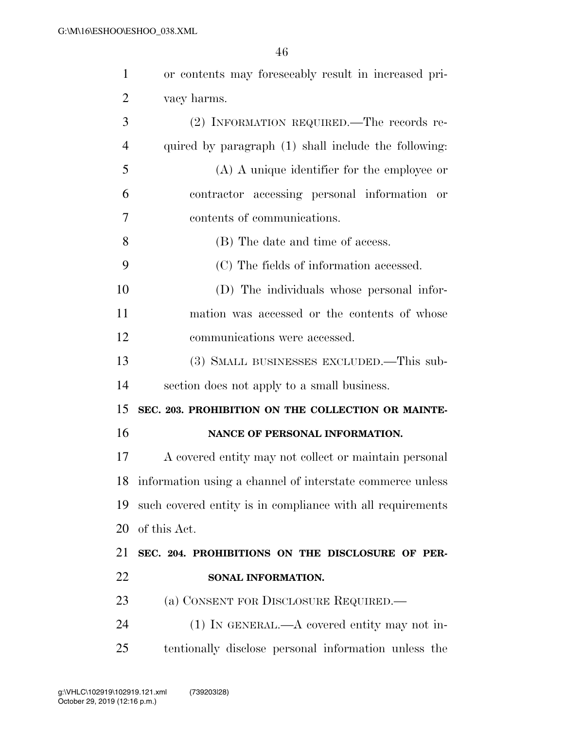| $\mathbf{1}$   | or contents may foreseeably result in increased pri-         |
|----------------|--------------------------------------------------------------|
| $\overline{2}$ | vacy harms.                                                  |
| 3              | (2) INFORMATION REQUIRED.—The records re-                    |
| $\overline{4}$ | quired by paragraph (1) shall include the following:         |
| 5              | $(A)$ A unique identifier for the employee or                |
| 6              | contractor accessing personal information or                 |
| 7              | contents of communications.                                  |
| 8              | (B) The date and time of access.                             |
| 9              | (C) The fields of information accessed.                      |
| 10             | (D) The individuals whose personal infor-                    |
| 11             | mation was accessed or the contents of whose                 |
| 12             | communications were accessed.                                |
| 13             | (3) SMALL BUSINESSES EXCLUDED.—This sub-                     |
| 14             | section does not apply to a small business.                  |
| 15             | SEC. 203. PROHIBITION ON THE COLLECTION OR MAINTE-           |
| 16             | NANCE OF PERSONAL INFORMATION.                               |
| 17             | A covered entity may not collect or maintain personal        |
|                | 18 information using a channel of interstate commerce unless |
| 19             | such covered entity is in compliance with all requirements   |
| 20             | of this Act.                                                 |
| 21             | SEC. 204. PROHIBITIONS ON THE DISCLOSURE OF PER-             |
| 22             | SONAL INFORMATION.                                           |
| 23             | (a) CONSENT FOR DISCLOSURE REQUIRED.                         |
| 24             | $(1)$ In GENERAL.—A covered entity may not in-               |
| 25             | tentionally disclose personal information unless the         |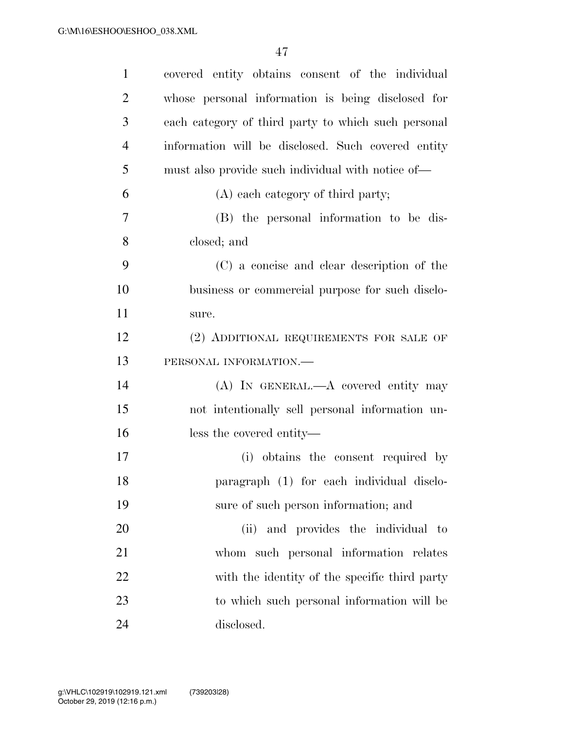| $\mathbf{1}$   | covered entity obtains consent of the individual    |
|----------------|-----------------------------------------------------|
| $\overline{2}$ | whose personal information is being disclosed for   |
| 3              | each category of third party to which such personal |
| $\overline{4}$ | information will be disclosed. Such covered entity  |
| 5              | must also provide such individual with notice of—   |
| 6              | (A) each category of third party;                   |
| $\overline{7}$ | (B) the personal information to be dis-             |
| 8              | closed; and                                         |
| 9              | (C) a concise and clear description of the          |
| 10             | business or commercial purpose for such disclo-     |
| 11             | sure.                                               |
| 12             | (2) ADDITIONAL REQUIREMENTS FOR SALE OF             |
| 13             | PERSONAL INFORMATION.                               |
| 14             | (A) IN GENERAL.—A covered entity may                |
| 15             | not intentionally sell personal information un-     |
| 16             | less the covered entity—                            |
| 17             | (i) obtains the consent required by                 |
| 18             | paragraph (1) for each individual disclo-           |
| 19             | sure of such person information; and                |
| 20             | and provides the individual to<br>(ii)              |
| 21             | whom such personal information relates              |
| 22             | with the identity of the specific third party       |
| 23             | to which such personal information will be          |
| 24             | disclosed.                                          |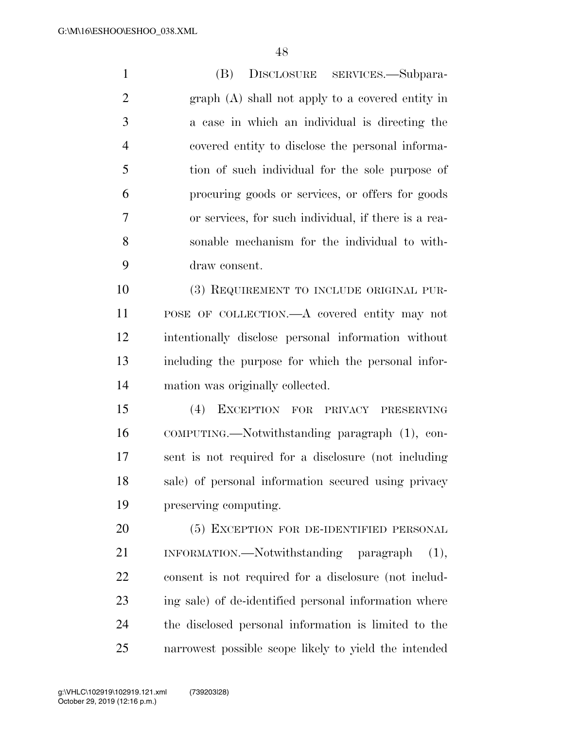(B) DISCLOSURE SERVICES.—Subpara- graph (A) shall not apply to a covered entity in a case in which an individual is directing the covered entity to disclose the personal informa- tion of such individual for the sole purpose of procuring goods or services, or offers for goods or services, for such individual, if there is a rea- sonable mechanism for the individual to with- draw consent. (3) REQUIREMENT TO INCLUDE ORIGINAL PUR- POSE OF COLLECTION.—A covered entity may not intentionally disclose personal information without including the purpose for which the personal infor- mation was originally collected. (4) EXCEPTION FOR PRIVACY PRESERVING COMPUTING.—Notwithstanding paragraph (1), con- sent is not required for a disclosure (not including sale) of personal information secured using privacy preserving computing. (5) EXCEPTION FOR DE-IDENTIFIED PERSONAL INFORMATION.—Notwithstanding paragraph (1), consent is not required for a disclosure (not includ- ing sale) of de-identified personal information where the disclosed personal information is limited to the narrowest possible scope likely to yield the intended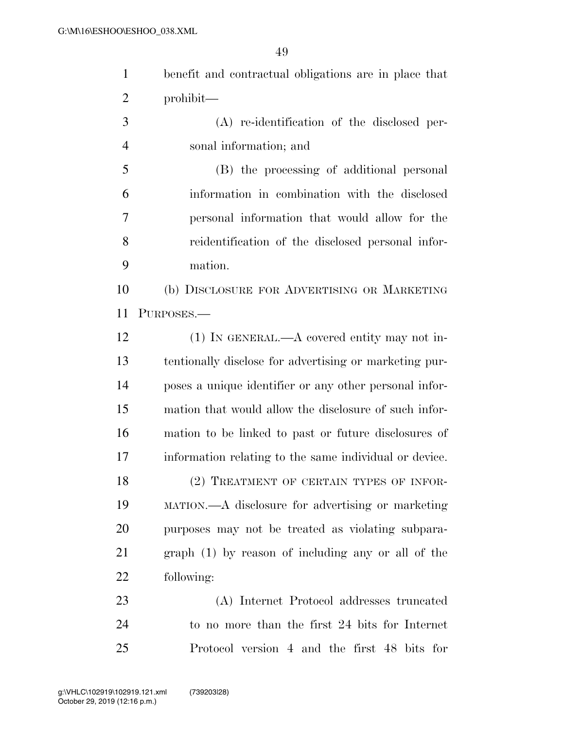| $\mathbf{1}$   | benefit and contractual obligations are in place that  |
|----------------|--------------------------------------------------------|
| $\overline{2}$ | prohibit—                                              |
| 3              | (A) re-identification of the disclosed per-            |
| $\overline{4}$ | sonal information; and                                 |
| 5              | (B) the processing of additional personal              |
| 6              | information in combination with the disclosed          |
| 7              | personal information that would allow for the          |
| 8              | reidentification of the disclosed personal infor-      |
| 9              | mation.                                                |
| 10             | (b) DISCLOSURE FOR ADVERTISING OR MARKETING            |
| 11             | PURPOSES.                                              |
| 12             | $(1)$ In GENERAL.—A covered entity may not in-         |
| 13             | tentionally disclose for advertising or marketing pur- |
| 14             | poses a unique identifier or any other personal infor- |
| 15             | mation that would allow the disclosure of such infor-  |
| 16             | mation to be linked to past or future disclosures of   |
| 17             | information relating to the same individual or device. |
| 18             | (2) TREATMENT OF CERTAIN TYPES OF INFOR-               |
| 19             | MATION.—A disclosure for advertising or marketing      |
| 20             | purposes may not be treated as violating subpara-      |
| 21             | $graph (1)$ by reason of including any or all of the   |
| 22             | following:                                             |
| 23             | (A) Internet Protocol addresses truncated              |
| 24             | to no more than the first 24 bits for Internet         |
| 25             | Protocol version 4 and the first 48 bits for           |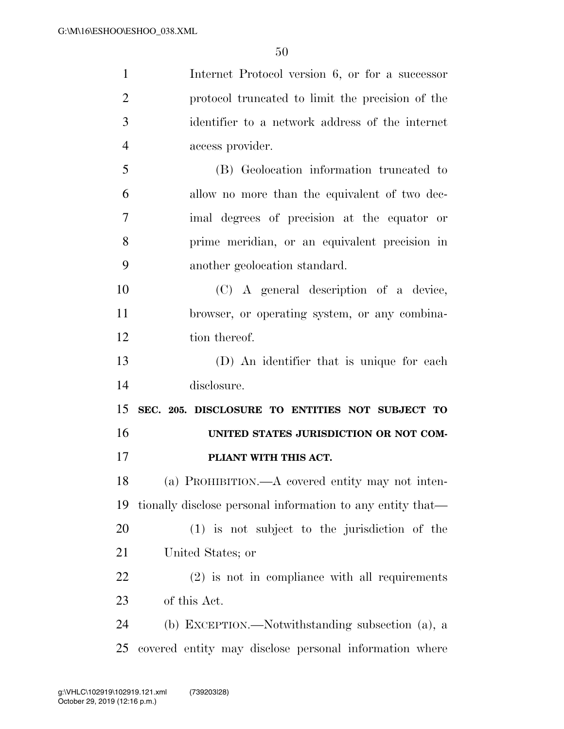| $\mathbf{1}$   | Internet Protocol version 6, or for a successor            |
|----------------|------------------------------------------------------------|
| $\overline{2}$ | protocol truncated to limit the precision of the           |
| 3              | identifier to a network address of the internet            |
| $\overline{4}$ | access provider.                                           |
| 5              | (B) Geolocation information truncated to                   |
| 6              | allow no more than the equivalent of two dec-              |
| 7              | imal degrees of precision at the equator or                |
| 8              | prime meridian, or an equivalent precision in              |
| 9              | another geolocation standard.                              |
| 10             | (C) A general description of a device,                     |
| 11             | browser, or operating system, or any combina-              |
| 12             | tion thereof.                                              |
| 13             | (D) An identifier that is unique for each                  |
| 14             | disclosure.                                                |
| 15             | SEC. 205. DISCLOSURE TO ENTITIES NOT SUBJECT TO            |
| 16             | UNITED STATES JURISDICTION OR NOT COM-                     |
| 17             | PLIANT WITH THIS ACT.                                      |
| 18             | (a) PROHIBITION.—A covered entity may not inten-           |
| 19             | tionally disclose personal information to any entity that— |
| 20             | $(1)$ is not subject to the jurisdiction of the            |
| 21             | United States; or                                          |
| 22             | $(2)$ is not in compliance with all requirements           |
| 23             | of this Act.                                               |
| 24             | (b) EXCEPTION.—Notwithstanding subsection (a), a           |
| 25             | covered entity may disclose personal information where     |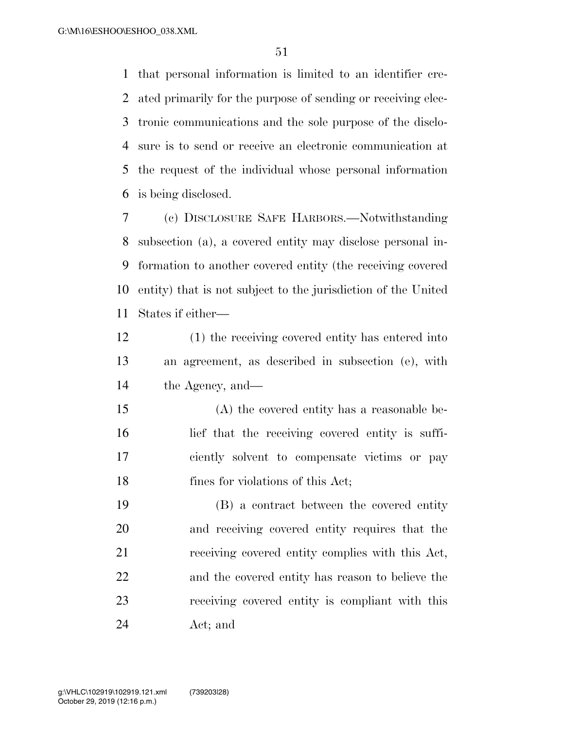that personal information is limited to an identifier cre- ated primarily for the purpose of sending or receiving elec- tronic communications and the sole purpose of the disclo- sure is to send or receive an electronic communication at the request of the individual whose personal information is being disclosed.

 (c) DISCLOSURE SAFE HARBORS.—Notwithstanding subsection (a), a covered entity may disclose personal in- formation to another covered entity (the receiving covered entity) that is not subject to the jurisdiction of the United States if either—

- (1) the receiving covered entity has entered into an agreement, as described in subsection (e), with the Agency, and—
- (A) the covered entity has a reasonable be- lief that the receiving covered entity is suffi- ciently solvent to compensate victims or pay 18 fines for violations of this Act;

 (B) a contract between the covered entity and receiving covered entity requires that the receiving covered entity complies with this Act, and the covered entity has reason to believe the receiving covered entity is compliant with this Act; and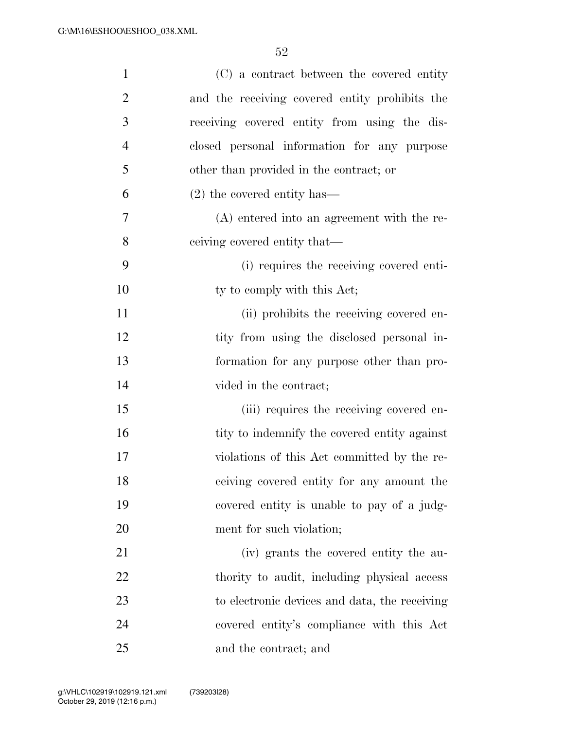| $\mathbf{1}$   | (C) a contract between the covered entity      |
|----------------|------------------------------------------------|
| $\overline{2}$ | and the receiving covered entity prohibits the |
| 3              | receiving covered entity from using the dis-   |
| $\overline{4}$ | closed personal information for any purpose    |
| 5              | other than provided in the contract; or        |
| 6              | $(2)$ the covered entity has—                  |
| 7              | $(A)$ entered into an agreement with the re-   |
| 8              | eeiving covered entity that—                   |
| 9              | (i) requires the receiving covered enti-       |
| 10             | ty to comply with this Act;                    |
| 11             | (ii) prohibits the receiving covered en-       |
| 12             | tity from using the disclosed personal in-     |
| 13             | formation for any purpose other than pro-      |
| 14             | vided in the contract;                         |
| 15             | (iii) requires the receiving covered en-       |
| 16             | tity to indemnify the covered entity against   |
| 17             | violations of this Act committed by the re-    |
| 18             | ceiving covered entity for any amount the      |
| 19             | covered entity is unable to pay of a judg-     |
| 20             | ment for such violation;                       |
| 21             | (iv) grants the covered entity the au-         |
| 22             | thority to audit, including physical access    |
| 23             | to electronic devices and data, the receiving  |
| 24             | covered entity's compliance with this Act      |
| 25             | and the contract; and                          |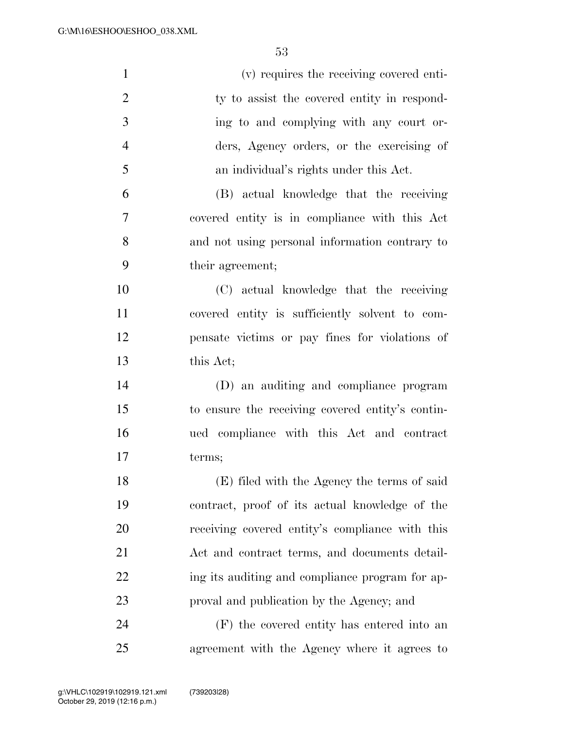| $\mathbf{1}$   | (v) requires the receiving covered enti-         |
|----------------|--------------------------------------------------|
| $\overline{2}$ | ty to assist the covered entity in respond-      |
| 3              | ing to and complying with any court or-          |
| $\overline{4}$ | ders, Agency orders, or the exercising of        |
| 5              | an individual's rights under this Act.           |
| 6              | (B) actual knowledge that the receiving          |
| $\tau$         | covered entity is in compliance with this Act    |
| 8              | and not using personal information contrary to   |
| 9              | their agreement;                                 |
| 10             | (C) actual knowledge that the receiving          |
| 11             | covered entity is sufficiently solvent to com-   |
| 12             | pensate victims or pay fines for violations of   |
| 13             | this Act;                                        |
| 14             | (D) an auditing and compliance program           |
| 15             | to ensure the receiving covered entity's contin- |
| 16             | ued compliance with this Act and contract        |
| 17             | terms;                                           |
| 18             | (E) filed with the Agency the terms of said      |
| 19             | contract, proof of its actual knowledge of the   |
| 20             | receiving covered entity's compliance with this  |
| 21             | Act and contract terms, and documents detail-    |
| 22             | ing its auditing and compliance program for ap-  |
| 23             | proval and publication by the Agency; and        |
| 24             | (F) the covered entity has entered into an       |
| 25             | agreement with the Agency where it agrees to     |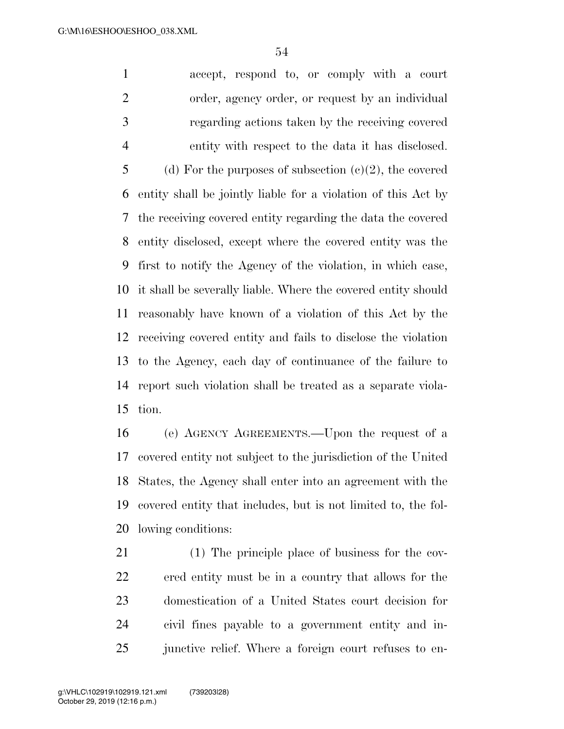accept, respond to, or comply with a court order, agency order, or request by an individual regarding actions taken by the receiving covered entity with respect to the data it has disclosed. 5 (d) For the purposes of subsection  $(c)(2)$ , the covered entity shall be jointly liable for a violation of this Act by the receiving covered entity regarding the data the covered entity disclosed, except where the covered entity was the first to notify the Agency of the violation, in which case, it shall be severally liable. Where the covered entity should reasonably have known of a violation of this Act by the receiving covered entity and fails to disclose the violation to the Agency, each day of continuance of the failure to report such violation shall be treated as a separate viola-tion.

 (e) AGENCY AGREEMENTS.—Upon the request of a covered entity not subject to the jurisdiction of the United States, the Agency shall enter into an agreement with the covered entity that includes, but is not limited to, the fol-lowing conditions:

 (1) The principle place of business for the cov- ered entity must be in a country that allows for the domestication of a United States court decision for civil fines payable to a government entity and in-25 junctive relief. Where a foreign court refuses to en-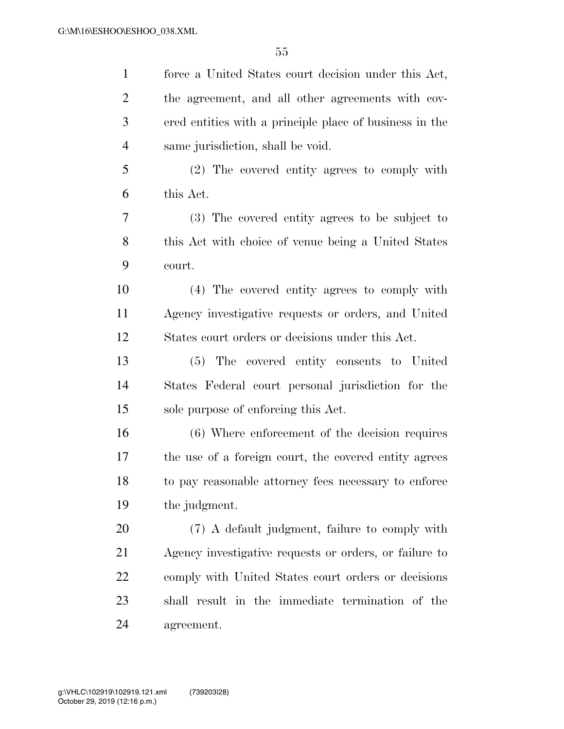force a United States court decision under this Act, the agreement, and all other agreements with cov- ered entities with a principle place of business in the same jurisdiction, shall be void. (2) The covered entity agrees to comply with this Act. (3) The covered entity agrees to be subject to this Act with choice of venue being a United States court. (4) The covered entity agrees to comply with Agency investigative requests or orders, and United States court orders or decisions under this Act. (5) The covered entity consents to United States Federal court personal jurisdiction for the sole purpose of enforcing this Act. (6) Where enforcement of the decision requires the use of a foreign court, the covered entity agrees to pay reasonable attorney fees necessary to enforce the judgment. (7) A default judgment, failure to comply with Agency investigative requests or orders, or failure to comply with United States court orders or decisions shall result in the immediate termination of the agreement.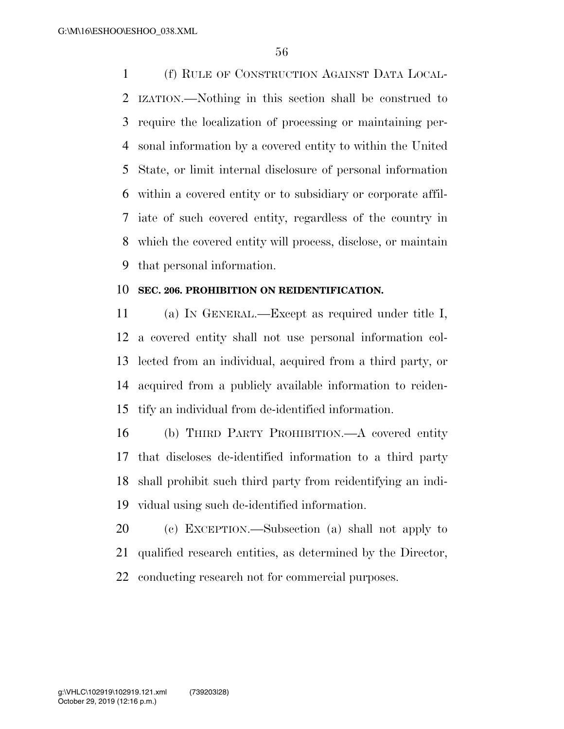(f) RULE OF CONSTRUCTION AGAINST DATA LOCAL- IZATION.—Nothing in this section shall be construed to require the localization of processing or maintaining per- sonal information by a covered entity to within the United State, or limit internal disclosure of personal information within a covered entity or to subsidiary or corporate affil- iate of such covered entity, regardless of the country in which the covered entity will process, disclose, or maintain that personal information.

#### **SEC. 206. PROHIBITION ON REIDENTIFICATION.**

 (a) IN GENERAL.—Except as required under title I, a covered entity shall not use personal information col- lected from an individual, acquired from a third party, or acquired from a publicly available information to reiden-tify an individual from de-identified information.

 (b) THIRD PARTY PROHIBITION.—A covered entity that discloses de-identified information to a third party shall prohibit such third party from reidentifying an indi-vidual using such de-identified information.

 (c) EXCEPTION.—Subsection (a) shall not apply to qualified research entities, as determined by the Director, conducting research not for commercial purposes.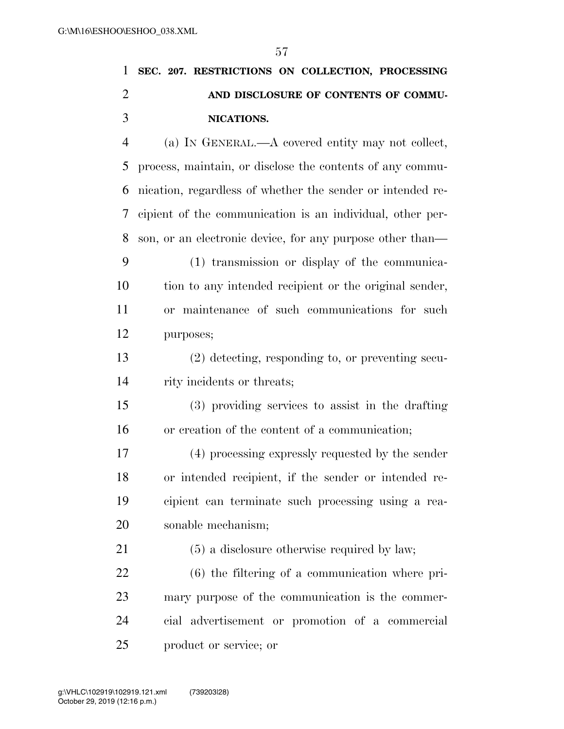# **SEC. 207. RESTRICTIONS ON COLLECTION, PROCESSING AND DISCLOSURE OF CONTENTS OF COMMU-NICATIONS.**

 (a) IN GENERAL.—A covered entity may not collect, process, maintain, or disclose the contents of any commu- nication, regardless of whether the sender or intended re- cipient of the communication is an individual, other per- son, or an electronic device, for any purpose other than— (1) transmission or display of the communica- tion to any intended recipient or the original sender, or maintenance of such communications for such purposes;

 (2) detecting, responding to, or preventing secu-rity incidents or threats;

 (3) providing services to assist in the drafting or creation of the content of a communication;

 (4) processing expressly requested by the sender or intended recipient, if the sender or intended re- cipient can terminate such processing using a rea-sonable mechanism;

(5) a disclosure otherwise required by law;

 (6) the filtering of a communication where pri- mary purpose of the communication is the commer- cial advertisement or promotion of a commercial product or service; or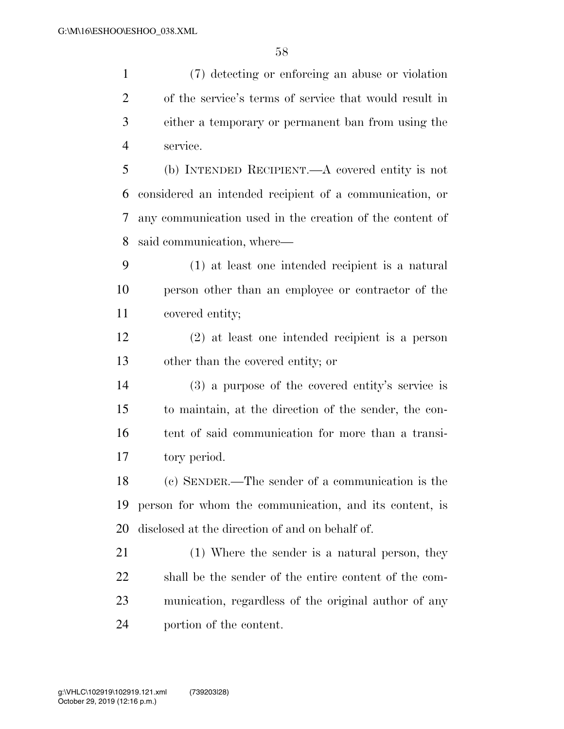(7) detecting or enforcing an abuse or violation of the service's terms of service that would result in either a temporary or permanent ban from using the service. (b) INTENDED RECIPIENT.—A covered entity is not considered an intended recipient of a communication, or any communication used in the creation of the content of said communication, where— (1) at least one intended recipient is a natural person other than an employee or contractor of the covered entity; (2) at least one intended recipient is a person other than the covered entity; or (3) a purpose of the covered entity's service is to maintain, at the direction of the sender, the con- tent of said communication for more than a transi- tory period. (c) SENDER.—The sender of a communication is the

 person for whom the communication, and its content, is disclosed at the direction of and on behalf of.

 (1) Where the sender is a natural person, they shall be the sender of the entire content of the com- munication, regardless of the original author of any portion of the content.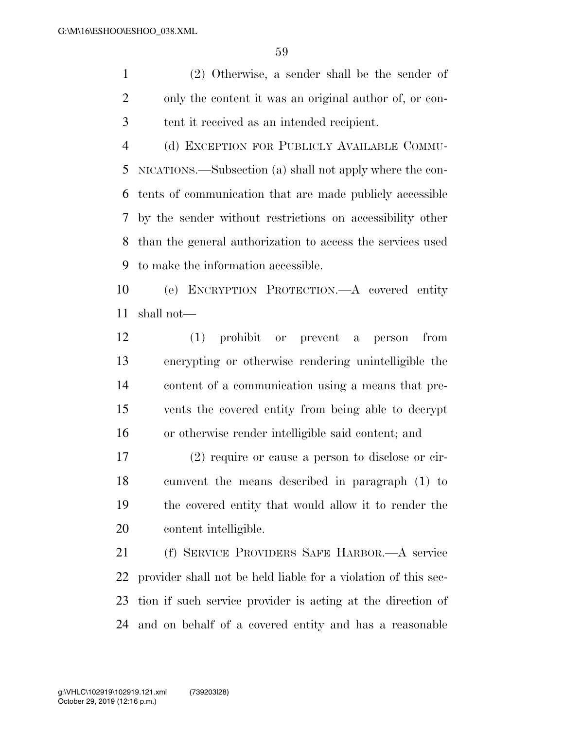(2) Otherwise, a sender shall be the sender of only the content it was an original author of, or con-tent it received as an intended recipient.

 (d) EXCEPTION FOR PUBLICLY AVAILABLE COMMU- NICATIONS.—Subsection (a) shall not apply where the con- tents of communication that are made publicly accessible by the sender without restrictions on accessibility other than the general authorization to access the services used to make the information accessible.

 (e) ENCRYPTION PROTECTION.—A covered entity shall not—

 (1) prohibit or prevent a person from encrypting or otherwise rendering unintelligible the content of a communication using a means that pre- vents the covered entity from being able to decrypt or otherwise render intelligible said content; and

 (2) require or cause a person to disclose or cir- cumvent the means described in paragraph (1) to the covered entity that would allow it to render the content intelligible.

 (f) SERVICE PROVIDERS SAFE HARBOR.—A service provider shall not be held liable for a violation of this sec- tion if such service provider is acting at the direction of and on behalf of a covered entity and has a reasonable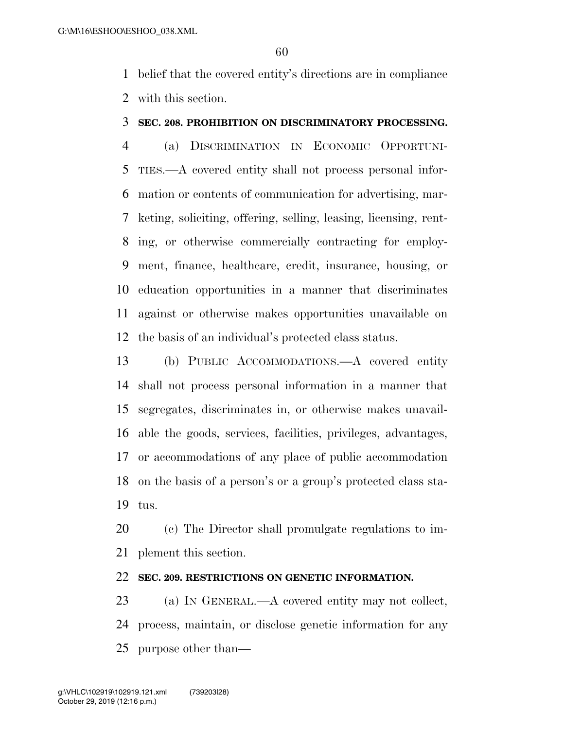belief that the covered entity's directions are in compliance with this section.

## **SEC. 208. PROHIBITION ON DISCRIMINATORY PROCESSING.**

 (a) DISCRIMINATION IN ECONOMIC OPPORTUNI- TIES.—A covered entity shall not process personal infor- mation or contents of communication for advertising, mar- keting, soliciting, offering, selling, leasing, licensing, rent- ing, or otherwise commercially contracting for employ- ment, finance, healthcare, credit, insurance, housing, or education opportunities in a manner that discriminates against or otherwise makes opportunities unavailable on the basis of an individual's protected class status.

 (b) PUBLIC ACCOMMODATIONS.—A covered entity shall not process personal information in a manner that segregates, discriminates in, or otherwise makes unavail- able the goods, services, facilities, privileges, advantages, or accommodations of any place of public accommodation on the basis of a person's or a group's protected class sta-tus.

 (c) The Director shall promulgate regulations to im-plement this section.

#### **SEC. 209. RESTRICTIONS ON GENETIC INFORMATION.**

 (a) IN GENERAL.—A covered entity may not collect, process, maintain, or disclose genetic information for any purpose other than—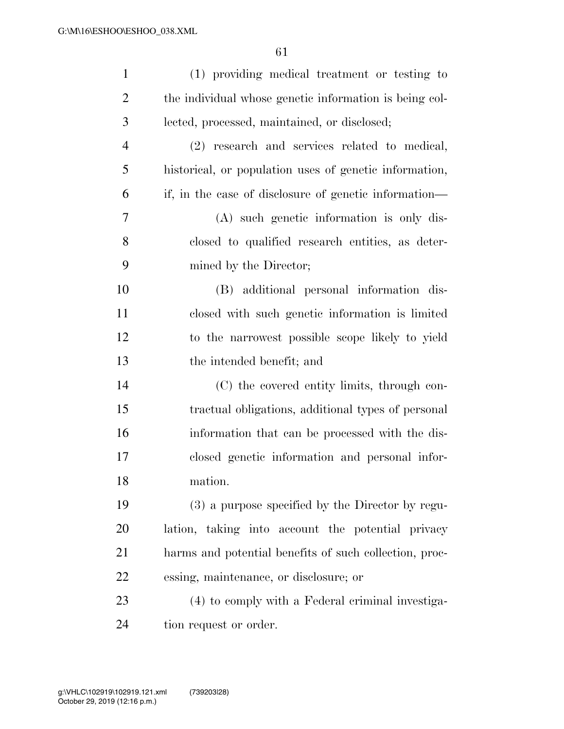| $\mathbf{1}$   | (1) providing medical treatment or testing to          |
|----------------|--------------------------------------------------------|
| $\overline{2}$ | the individual whose genetic information is being col- |
| 3              | lected, processed, maintained, or disclosed;           |
| $\overline{4}$ | (2) research and services related to medical,          |
| 5              | historical, or population uses of genetic information, |
| 6              | if, in the case of disclosure of genetic information—  |
| 7              | (A) such genetic information is only dis-              |
| 8              | closed to qualified research entities, as deter-       |
| 9              | mined by the Director;                                 |
| 10             | (B) additional personal information dis-               |
| 11             | closed with such genetic information is limited        |
| 12             | to the narrowest possible scope likely to yield        |
| 13             | the intended benefit; and                              |
| 14             | (C) the covered entity limits, through con-            |
| 15             | tractual obligations, additional types of personal     |
| 16             | information that can be processed with the dis-        |
| 17             | closed genetic information and personal infor-         |
| 18             | mation.                                                |
| 19             | (3) a purpose specified by the Director by regu-       |
| 20             | lation, taking into account the potential privacy      |
| 21             | harms and potential benefits of such collection, proc- |
| 22             | essing, maintenance, or disclosure; or                 |
| 23             | (4) to comply with a Federal criminal investiga-       |
| 24             | tion request or order.                                 |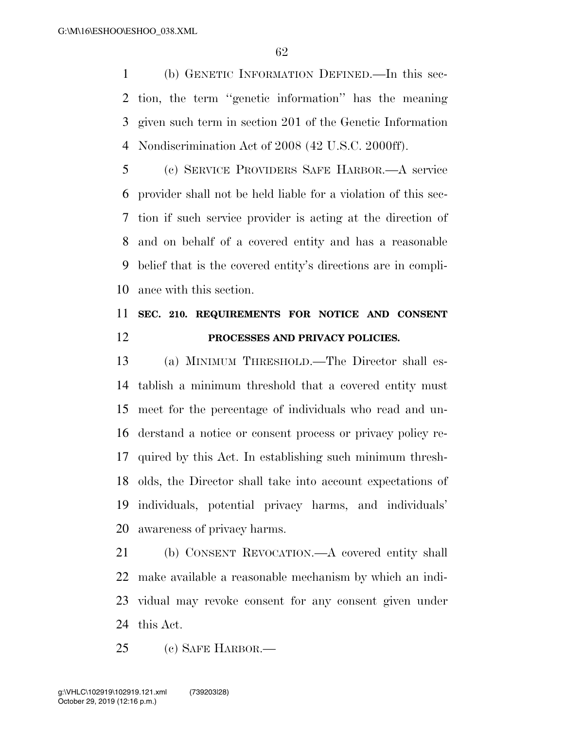(b) GENETIC INFORMATION DEFINED.—In this sec- tion, the term ''genetic information'' has the meaning given such term in section 201 of the Genetic Information Nondiscrimination Act of 2008 (42 U.S.C. 2000ff).

 (c) SERVICE PROVIDERS SAFE HARBOR.—A service provider shall not be held liable for a violation of this sec- tion if such service provider is acting at the direction of and on behalf of a covered entity and has a reasonable belief that is the covered entity's directions are in compli-ance with this section.

# **SEC. 210. REQUIREMENTS FOR NOTICE AND CONSENT PROCESSES AND PRIVACY POLICIES.**

 (a) MINIMUM THRESHOLD.—The Director shall es- tablish a minimum threshold that a covered entity must meet for the percentage of individuals who read and un- derstand a notice or consent process or privacy policy re- quired by this Act. In establishing such minimum thresh- olds, the Director shall take into account expectations of individuals, potential privacy harms, and individuals' awareness of privacy harms.

 (b) CONSENT REVOCATION.—A covered entity shall make available a reasonable mechanism by which an indi- vidual may revoke consent for any consent given under this Act.

(c) SAFE HARBOR.—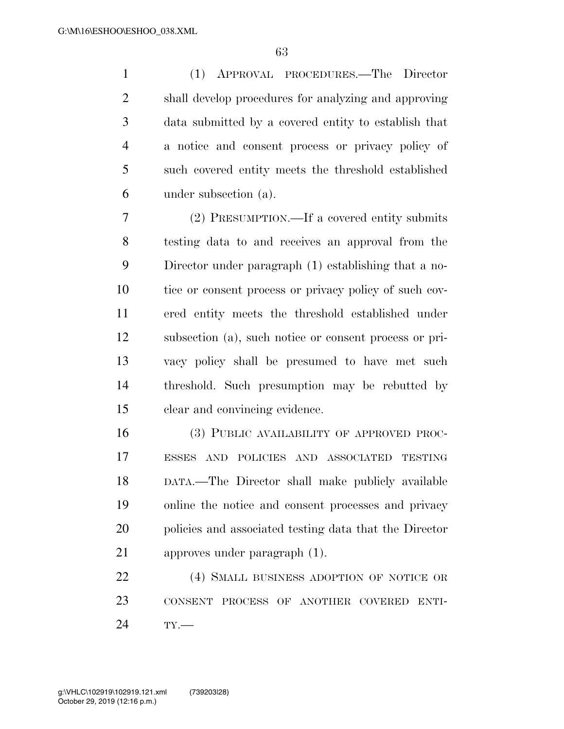(1) APPROVAL PROCEDURES.—The Director shall develop procedures for analyzing and approving data submitted by a covered entity to establish that a notice and consent process or privacy policy of such covered entity meets the threshold established under subsection (a).

 (2) PRESUMPTION.—If a covered entity submits testing data to and receives an approval from the Director under paragraph (1) establishing that a no- tice or consent process or privacy policy of such cov- ered entity meets the threshold established under subsection (a), such notice or consent process or pri- vacy policy shall be presumed to have met such threshold. Such presumption may be rebutted by clear and convincing evidence.

 (3) PUBLIC AVAILABILITY OF APPROVED PROC- ESSES AND POLICIES AND ASSOCIATED TESTING DATA.—The Director shall make publicly available online the notice and consent processes and privacy policies and associated testing data that the Director approves under paragraph (1).

22 (4) SMALL BUSINESS ADOPTION OF NOTICE OR CONSENT PROCESS OF ANOTHER COVERED ENTI-TY.—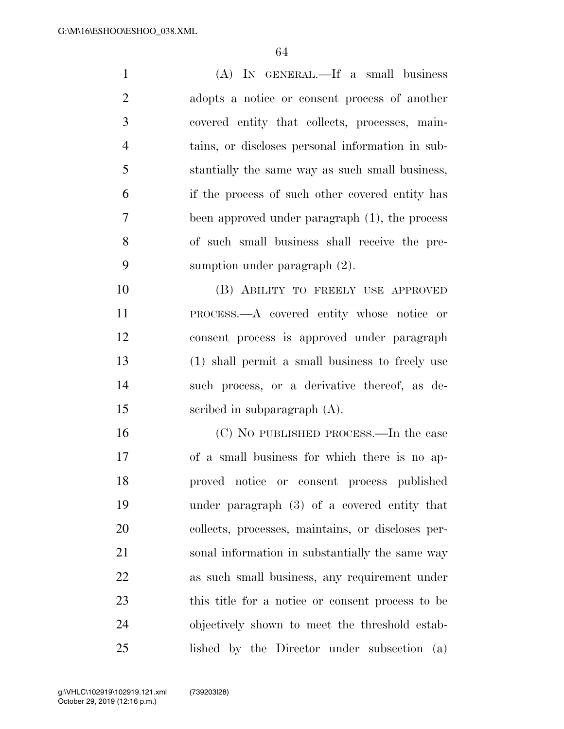| $\mathbf{1}$   | (A) IN GENERAL.—If a small business               |
|----------------|---------------------------------------------------|
| $\overline{2}$ | adopts a notice or consent process of another     |
| 3              | covered entity that collects, processes, main-    |
| $\overline{4}$ | tains, or discloses personal information in sub-  |
| 5              | stantially the same way as such small business,   |
| 6              | if the process of such other covered entity has   |
| 7              | been approved under paragraph (1), the process    |
| 8              | of such small business shall receive the pre-     |
| 9              | sumption under paragraph $(2)$ .                  |
| 10             | (B) ABILITY TO FREELY USE APPROVED                |
| 11             | PROCESS.—A covered entity whose notice or         |
| 12             | consent process is approved under paragraph       |
| 13             | (1) shall permit a small business to freely use   |
| 14             | such process, or a derivative thereof, as de-     |
| 15             | scribed in subparagraph $(A)$ .                   |
| 16             | (C) NO PUBLISHED PROCESS.—In the case             |
| 17             | of a small business for which there is no ap-     |
| 18             | proved notice or consent process published        |
| 19             | under paragraph $(3)$ of a covered entity that    |
| 20             | collects, processes, maintains, or discloses per- |
| 21             | sonal information in substantially the same way   |
| 22             | as such small business, any requirement under     |
| 23             | this title for a notice or consent process to be  |
| 24             | objectively shown to meet the threshold estab-    |
| 25             | lished by the Director under subsection (a)       |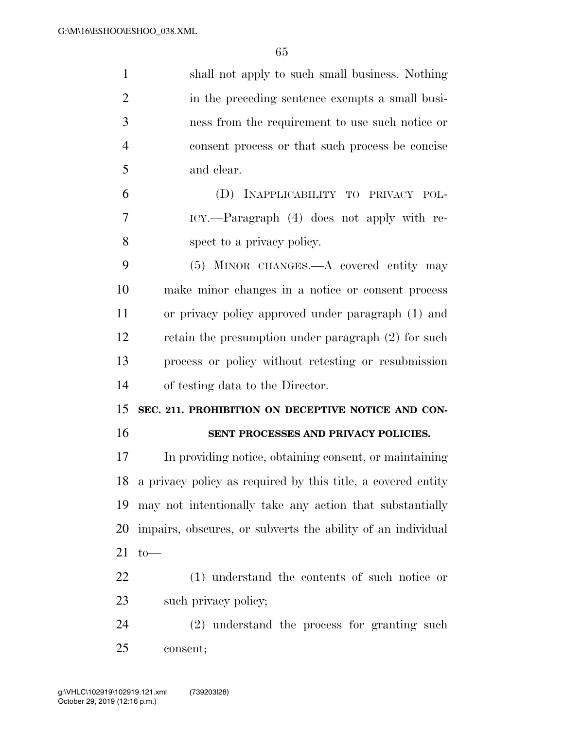| $\mathbf{1}$   | shall not apply to such small business. Nothing                 |
|----------------|-----------------------------------------------------------------|
| $\overline{2}$ | in the preceding sentence exempts a small busi-                 |
| 3              | ness from the requirement to use such notice or                 |
| $\overline{4}$ | consent process or that such process be concise                 |
| 5              | and clear.                                                      |
| 6              | (D) INAPPLICABILITY TO PRIVACY POL-                             |
| $\overline{7}$ | ICY.—Paragraph (4) does not apply with re-                      |
| 8              | spect to a privacy policy.                                      |
| 9              | (5) MINOR CHANGES.—A covered entity may                         |
| 10             | make minor changes in a notice or consent process               |
| 11             | or privacy policy approved under paragraph (1) and              |
| 12             | retain the presumption under paragraph (2) for such             |
| 13             | process or policy without retesting or resubmission             |
| 14             | of testing data to the Director.                                |
| 15             | SEC. 211. PROHIBITION ON DECEPTIVE NOTICE AND CON-              |
| 16             | SENT PROCESSES AND PRIVACY POLICIES.                            |
| 17             | In providing notice, obtaining consent, or maintaining          |
|                | 18 a privacy policy as required by this title, a covered entity |
| 19             | may not intentionally take any action that substantially        |
| 20             | impairs, obscures, or subverts the ability of an individual     |
| 21             | $to-$                                                           |
| 22             | (1) understand the contents of such notice or                   |
| 23             | such privacy policy;                                            |
| 24             | $(2)$ understand the process for granting such                  |
| 25             |                                                                 |
|                | consent;                                                        |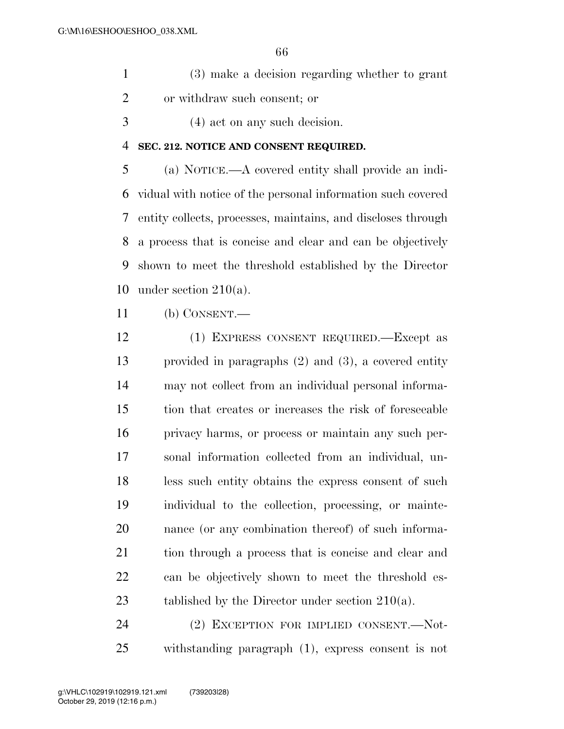- (3) make a decision regarding whether to grant or withdraw such consent; or
- (4) act on any such decision.

#### **SEC. 212. NOTICE AND CONSENT REQUIRED.**

 (a) NOTICE.—A covered entity shall provide an indi- vidual with notice of the personal information such covered entity collects, processes, maintains, and discloses through a process that is concise and clear and can be objectively shown to meet the threshold established by the Director under section 210(a).

(b) CONSENT.—

 (1) EXPRESS CONSENT REQUIRED.—Except as provided in paragraphs (2) and (3), a covered entity may not collect from an individual personal informa- tion that creates or increases the risk of foreseeable privacy harms, or process or maintain any such per- sonal information collected from an individual, un- less such entity obtains the express consent of such individual to the collection, processing, or mainte- nance (or any combination thereof) of such informa- tion through a process that is concise and clear and can be objectively shown to meet the threshold es-23 tablished by the Director under section 210(a).

 (2) EXCEPTION FOR IMPLIED CONSENT.—Not-withstanding paragraph (1), express consent is not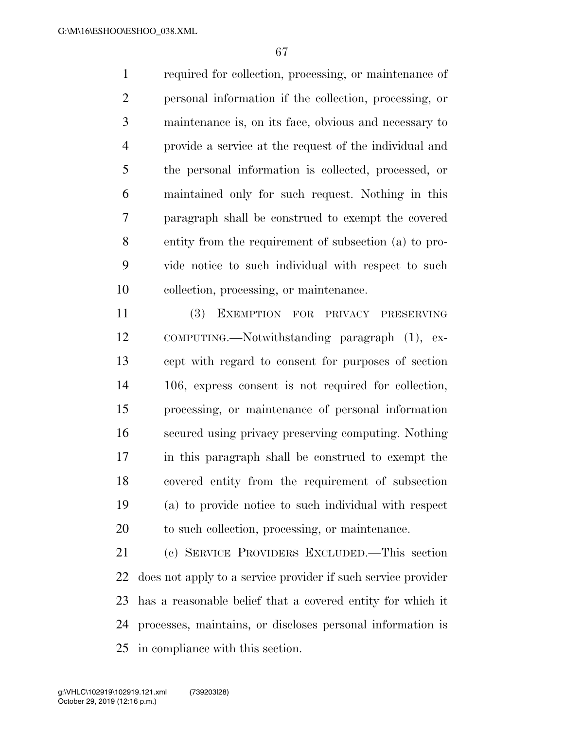required for collection, processing, or maintenance of personal information if the collection, processing, or maintenance is, on its face, obvious and necessary to provide a service at the request of the individual and the personal information is collected, processed, or maintained only for such request. Nothing in this paragraph shall be construed to exempt the covered entity from the requirement of subsection (a) to pro- vide notice to such individual with respect to such collection, processing, or maintenance.

 (3) EXEMPTION FOR PRIVACY PRESERVING COMPUTING.—Notwithstanding paragraph (1), ex- cept with regard to consent for purposes of section 106, express consent is not required for collection, processing, or maintenance of personal information secured using privacy preserving computing. Nothing in this paragraph shall be construed to exempt the covered entity from the requirement of subsection (a) to provide notice to such individual with respect to such collection, processing, or maintenance.

 (c) SERVICE PROVIDERS EXCLUDED.—This section does not apply to a service provider if such service provider has a reasonable belief that a covered entity for which it processes, maintains, or discloses personal information is in compliance with this section.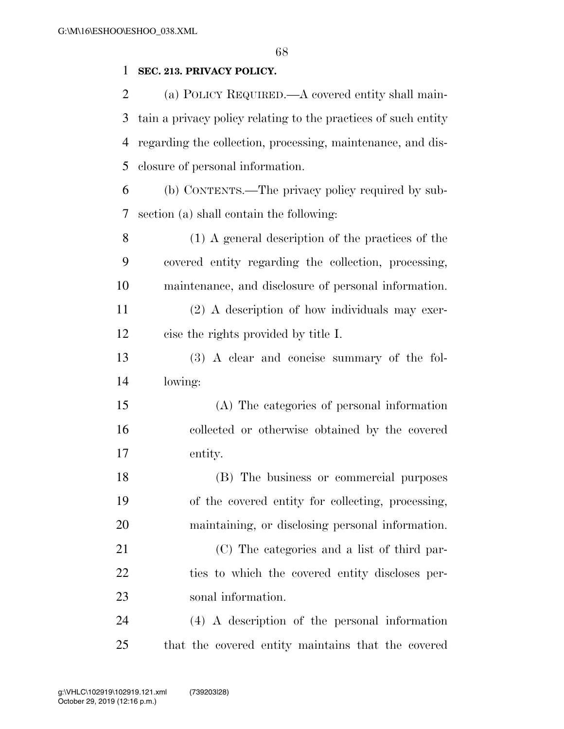## **SEC. 213. PRIVACY POLICY.**

 (a) POLICY REQUIRED.—A covered entity shall main- tain a privacy policy relating to the practices of such entity regarding the collection, processing, maintenance, and dis-closure of personal information.

 (b) CONTENTS.—The privacy policy required by sub-section (a) shall contain the following:

 (1) A general description of the practices of the covered entity regarding the collection, processing, maintenance, and disclosure of personal information. (2) A description of how individuals may exer-cise the rights provided by title I.

 (3) A clear and concise summary of the fol-lowing:

 (A) The categories of personal information collected or otherwise obtained by the covered entity.

 (B) The business or commercial purposes of the covered entity for collecting, processing, maintaining, or disclosing personal information.

 (C) The categories and a list of third par- ties to which the covered entity discloses per-sonal information.

 (4) A description of the personal information that the covered entity maintains that the covered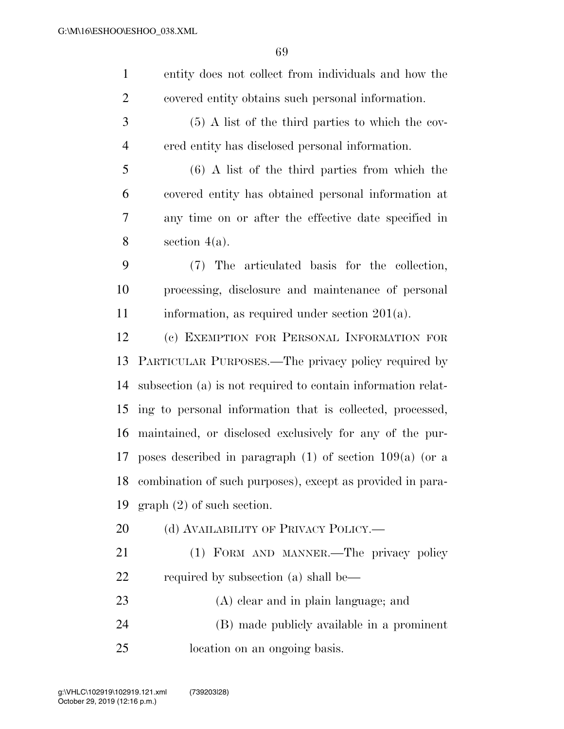| $\mathbf{1}$   | entity does not collect from individuals and how the         |
|----------------|--------------------------------------------------------------|
| $\overline{2}$ | covered entity obtains such personal information.            |
| 3              | $(5)$ A list of the third parties to which the cov-          |
| $\overline{4}$ | ered entity has disclosed personal information.              |
| 5              | $(6)$ A list of the third parties from which the             |
| 6              | covered entity has obtained personal information at          |
| 7              | any time on or after the effective date specified in         |
| 8              | section $4(a)$ .                                             |
| 9              | (7) The articulated basis for the collection,                |
| 10             | processing, disclosure and maintenance of personal           |
| 11             | information, as required under section $201(a)$ .            |
| 12             | (c) EXEMPTION FOR PERSONAL INFORMATION FOR                   |
| 13             | PARTICULAR PURPOSES.—The privacy policy required by          |
| 14             | subsection (a) is not required to contain information relat- |
| 15             | ing to personal information that is collected, processed,    |
| 16             | maintained, or disclosed exclusively for any of the pur-     |
| 17             | poses described in paragraph $(1)$ of section $109(a)$ (or a |
| 18             | combination of such purposes), except as provided in para-   |
| 19             | $graph (2)$ of such section.                                 |
| 20             | (d) AVAILABILITY OF PRIVACY POLICY.—                         |
| 21             | (1) FORM AND MANNER. The privacy policy                      |
| 22             | required by subsection (a) shall be—                         |
| 23             | (A) clear and in plain language; and                         |
| 24             | (B) made publicly available in a prominent                   |
| 25             | location on an ongoing basis.                                |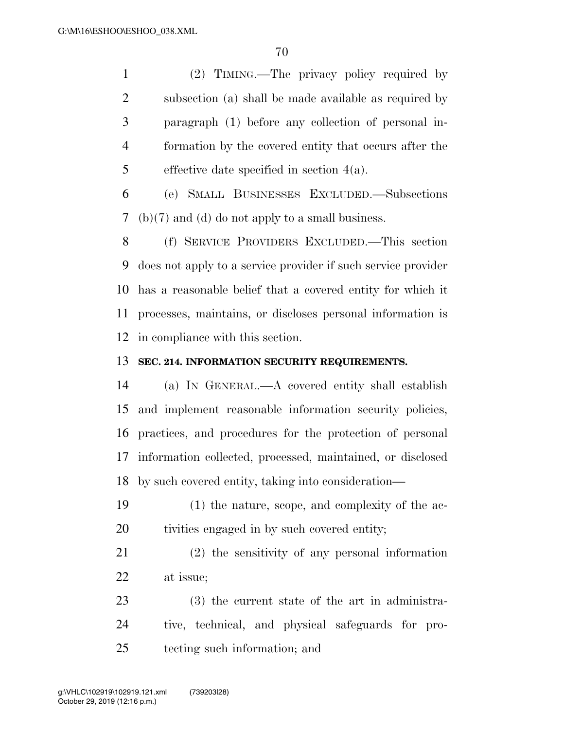(2) TIMING.—The privacy policy required by subsection (a) shall be made available as required by paragraph (1) before any collection of personal in- formation by the covered entity that occurs after the effective date specified in section 4(a).

 (e) SMALL BUSINESSES EXCLUDED.—Subsections (b)(7) and (d) do not apply to a small business.

 (f) SERVICE PROVIDERS EXCLUDED.—This section does not apply to a service provider if such service provider has a reasonable belief that a covered entity for which it processes, maintains, or discloses personal information is in compliance with this section.

## **SEC. 214. INFORMATION SECURITY REQUIREMENTS.**

 (a) IN GENERAL.—A covered entity shall establish and implement reasonable information security policies, practices, and procedures for the protection of personal information collected, processed, maintained, or disclosed by such covered entity, taking into consideration—

- (1) the nature, scope, and complexity of the ac-tivities engaged in by such covered entity;
- (2) the sensitivity of any personal information at issue;
- (3) the current state of the art in administra- tive, technical, and physical safeguards for pro-tecting such information; and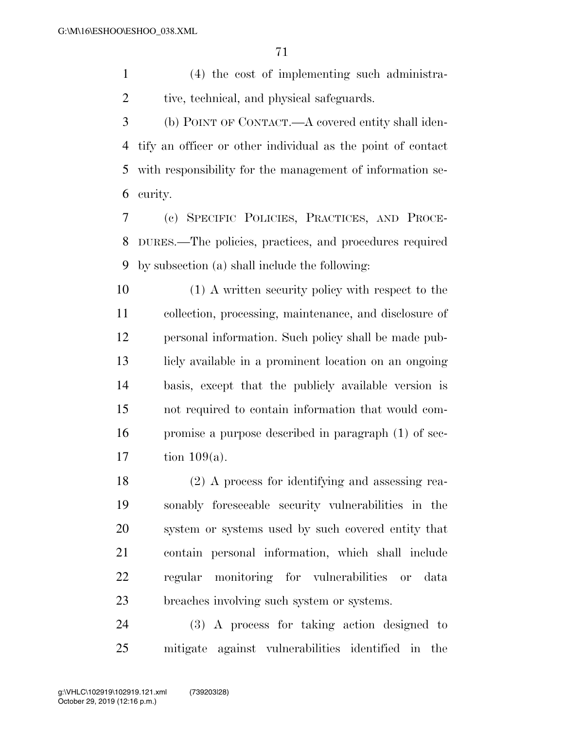(4) the cost of implementing such administra-2 tive, technical, and physical safeguards.

 (b) POINT OF CONTACT.—A covered entity shall iden- tify an officer or other individual as the point of contact with responsibility for the management of information se-curity.

 (c) SPECIFIC POLICIES, PRACTICES, AND PROCE- DURES.—The policies, practices, and procedures required by subsection (a) shall include the following:

 (1) A written security policy with respect to the collection, processing, maintenance, and disclosure of personal information. Such policy shall be made pub- licly available in a prominent location on an ongoing basis, except that the publicly available version is not required to contain information that would com- promise a purpose described in paragraph (1) of sec-tion 109(a).

 (2) A process for identifying and assessing rea- sonably foreseeable security vulnerabilities in the system or systems used by such covered entity that contain personal information, which shall include regular monitoring for vulnerabilities or data breaches involving such system or systems.

 (3) A process for taking action designed to mitigate against vulnerabilities identified in the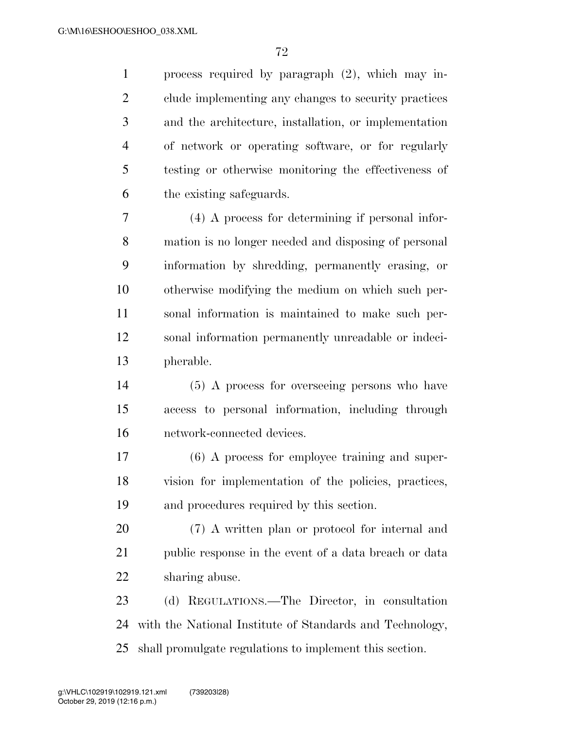process required by paragraph (2), which may in- clude implementing any changes to security practices and the architecture, installation, or implementation of network or operating software, or for regularly testing or otherwise monitoring the effectiveness of the existing safeguards.

 (4) A process for determining if personal infor- mation is no longer needed and disposing of personal information by shredding, permanently erasing, or otherwise modifying the medium on which such per- sonal information is maintained to make such per- sonal information permanently unreadable or indeci-pherable.

 (5) A process for overseeing persons who have access to personal information, including through network-connected devices.

 (6) A process for employee training and super- vision for implementation of the policies, practices, and procedures required by this section.

 (7) A written plan or protocol for internal and public response in the event of a data breach or data sharing abuse.

 (d) REGULATIONS.—The Director, in consultation with the National Institute of Standards and Technology, shall promulgate regulations to implement this section.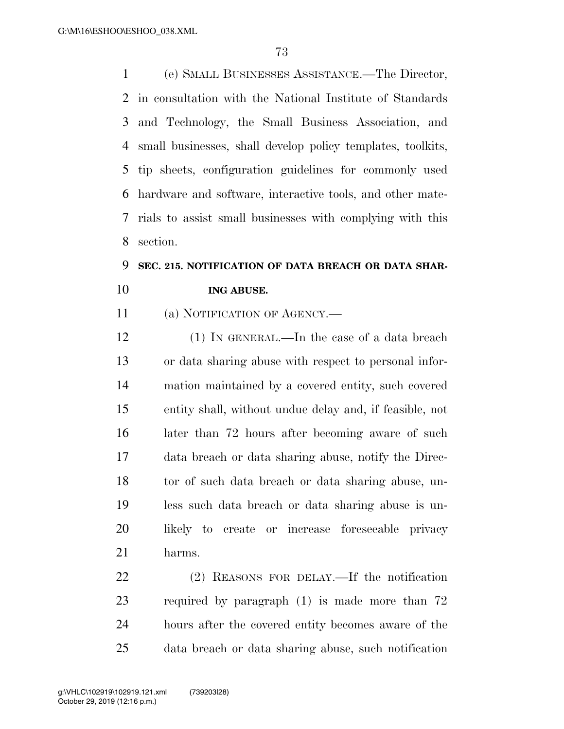(e) SMALL BUSINESSES ASSISTANCE.—The Director, in consultation with the National Institute of Standards and Technology, the Small Business Association, and small businesses, shall develop policy templates, toolkits, tip sheets, configuration guidelines for commonly used hardware and software, interactive tools, and other mate- rials to assist small businesses with complying with this section.

## **SEC. 215. NOTIFICATION OF DATA BREACH OR DATA SHAR-ING ABUSE.**

(a) NOTIFICATION OF AGENCY.—

 (1) IN GENERAL.—In the case of a data breach or data sharing abuse with respect to personal infor- mation maintained by a covered entity, such covered entity shall, without undue delay and, if feasible, not later than 72 hours after becoming aware of such data breach or data sharing abuse, notify the Direc- tor of such data breach or data sharing abuse, un- less such data breach or data sharing abuse is un- likely to create or increase foreseeable privacy harms.

 (2) REASONS FOR DELAY.—If the notification required by paragraph (1) is made more than 72 hours after the covered entity becomes aware of the data breach or data sharing abuse, such notification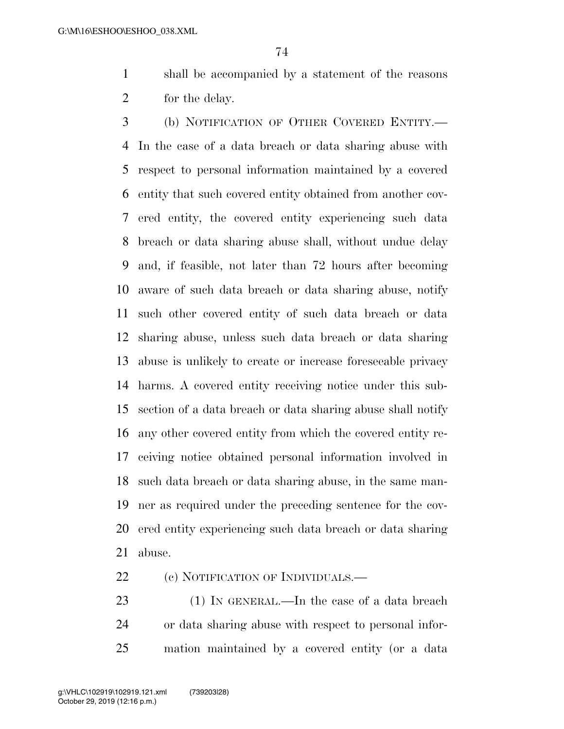shall be accompanied by a statement of the reasons for the delay.

 (b) NOTIFICATION OF OTHER COVERED ENTITY.— In the case of a data breach or data sharing abuse with respect to personal information maintained by a covered entity that such covered entity obtained from another cov- ered entity, the covered entity experiencing such data breach or data sharing abuse shall, without undue delay and, if feasible, not later than 72 hours after becoming aware of such data breach or data sharing abuse, notify such other covered entity of such data breach or data sharing abuse, unless such data breach or data sharing abuse is unlikely to create or increase foreseeable privacy harms. A covered entity receiving notice under this sub- section of a data breach or data sharing abuse shall notify any other covered entity from which the covered entity re- ceiving notice obtained personal information involved in such data breach or data sharing abuse, in the same man- ner as required under the preceding sentence for the cov- ered entity experiencing such data breach or data sharing abuse.

22 (c) NOTIFICATION OF INDIVIDUALS.—

23 (1) IN GENERAL.—In the case of a data breach or data sharing abuse with respect to personal infor-mation maintained by a covered entity (or a data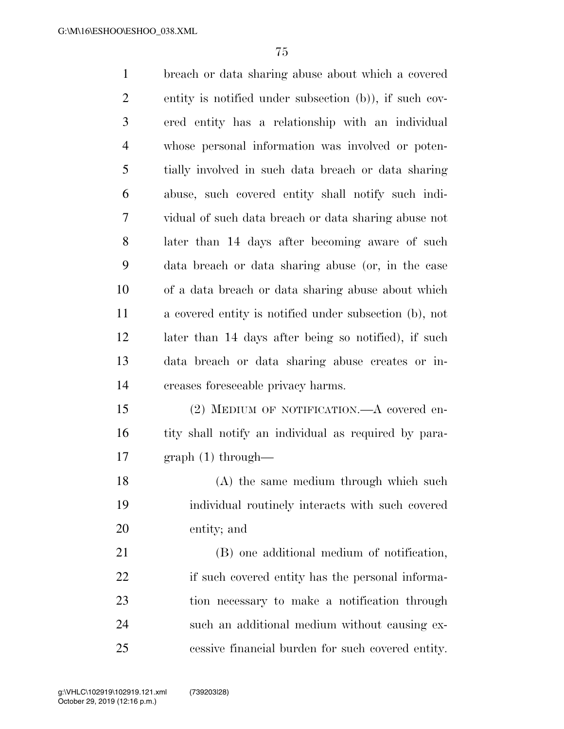breach or data sharing abuse about which a covered entity is notified under subsection (b)), if such cov- ered entity has a relationship with an individual whose personal information was involved or poten- tially involved in such data breach or data sharing abuse, such covered entity shall notify such indi- vidual of such data breach or data sharing abuse not later than 14 days after becoming aware of such data breach or data sharing abuse (or, in the case of a data breach or data sharing abuse about which a covered entity is notified under subsection (b), not later than 14 days after being so notified), if such data breach or data sharing abuse creates or in- creases foreseeable privacy harms. (2) MEDIUM OF NOTIFICATION.—A covered en-16 tity shall notify an individual as required by para- graph (1) through— (A) the same medium through which such individual routinely interacts with such covered entity; and (B) one additional medium of notification, 22 if such covered entity has the personal informa- tion necessary to make a notification through such an additional medium without causing ex-

cessive financial burden for such covered entity.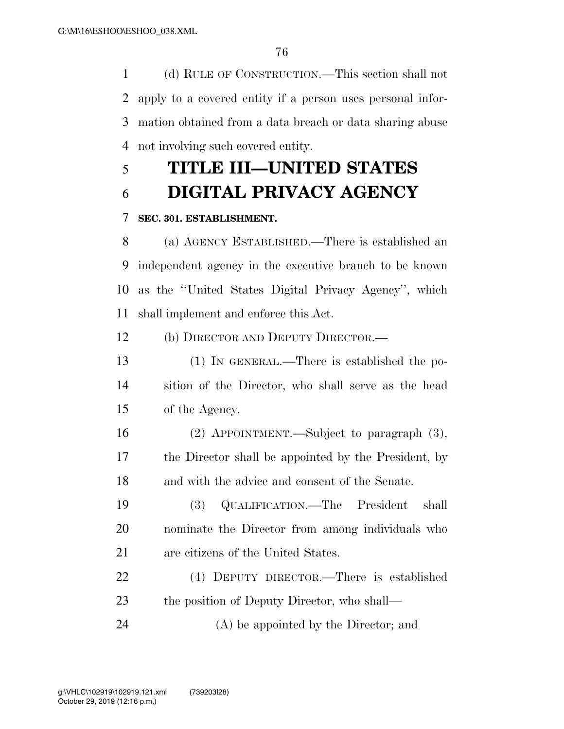(d) RULE OF CONSTRUCTION.—This section shall not apply to a covered entity if a person uses personal infor- mation obtained from a data breach or data sharing abuse not involving such covered entity.

# **TITLE III—UNITED STATES**

## **DIGITAL PRIVACY AGENCY**

### **SEC. 301. ESTABLISHMENT.**

 (a) AGENCY ESTABLISHED.—There is established an independent agency in the executive branch to be known as the ''United States Digital Privacy Agency'', which shall implement and enforce this Act.

(b) DIRECTOR AND DEPUTY DIRECTOR.—

 (1) IN GENERAL.—There is established the po- sition of the Director, who shall serve as the head of the Agency.

 (2) APPOINTMENT.—Subject to paragraph (3), the Director shall be appointed by the President, by and with the advice and consent of the Senate.

 (3) QUALIFICATION.—The President shall nominate the Director from among individuals who are citizens of the United States.

 (4) DEPUTY DIRECTOR.—There is established 23 the position of Deputy Director, who shall—

(A) be appointed by the Director; and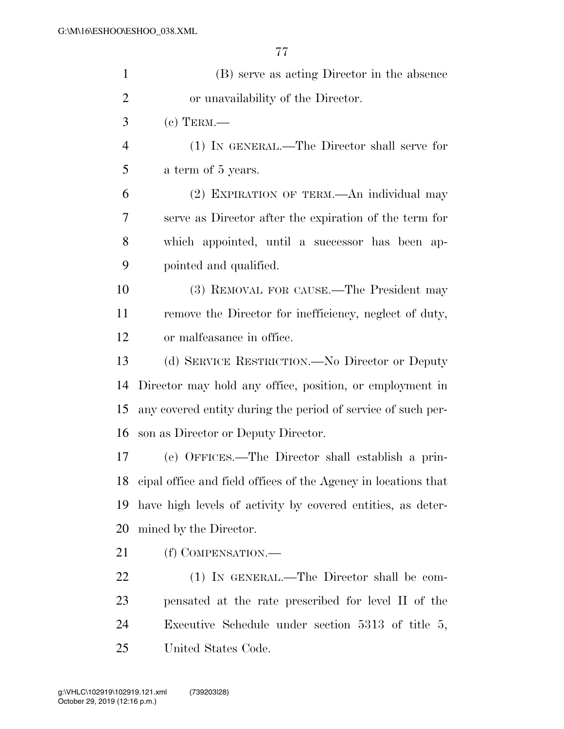| $\mathbf{1}$   | (B) serve as acting Director in the absence                    |
|----------------|----------------------------------------------------------------|
| $\overline{2}$ | or unavailability of the Director.                             |
| 3              | $(c)$ TERM.—                                                   |
| $\overline{4}$ | (1) IN GENERAL.—The Director shall serve for                   |
| 5              | a term of 5 years.                                             |
| 6              | (2) EXPIRATION OF TERM.—An individual may                      |
| 7              | serve as Director after the expiration of the term for         |
| 8              | which appointed, until a successor has been ap-                |
| 9              | pointed and qualified.                                         |
| 10             | (3) REMOVAL FOR CAUSE.—The President may                       |
| 11             | remove the Director for inefficiency, neglect of duty,         |
| 12             | or malfeasance in office.                                      |
| 13             | (d) SERVICE RESTRICTION.—No Director or Deputy                 |
| 14             | Director may hold any office, position, or employment in       |
| 15             | any covered entity during the period of service of such per-   |
| 16             | son as Director or Deputy Director.                            |
| 17             | (e) OFFICES.—The Director shall establish a prin-              |
| 18             | eipal office and field offices of the Agency in locations that |
| 19             | have high levels of activity by covered entities, as deter-    |
| 20             | mined by the Director.                                         |
| 21             | (f) COMPENSATION.—                                             |
| 22             | (1) IN GENERAL.—The Director shall be com-                     |
| 23             | pensated at the rate prescribed for level II of the            |
| 24             | Executive Schedule under section $5313$ of title 5,            |
| 25             | United States Code.                                            |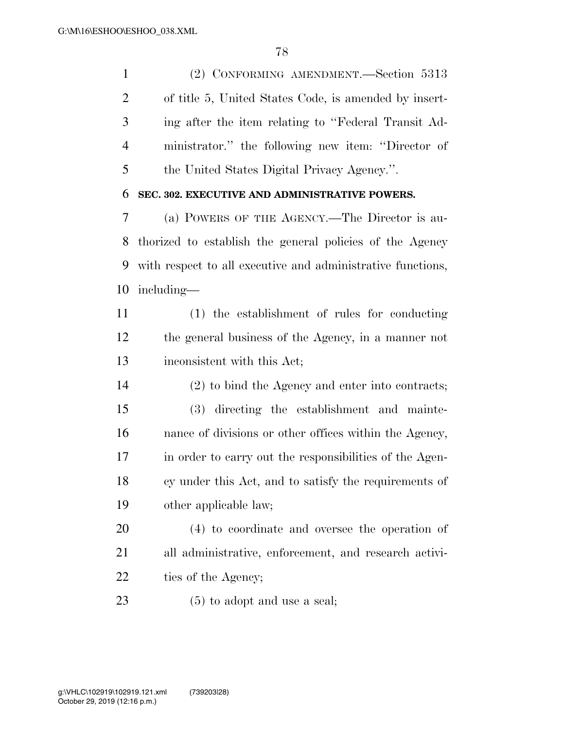(2) CONFORMING AMENDMENT.—Section 5313 of title 5, United States Code, is amended by insert- ing after the item relating to ''Federal Transit Ad- ministrator.'' the following new item: ''Director of the United States Digital Privacy Agency.''.

#### **SEC. 302. EXECUTIVE AND ADMINISTRATIVE POWERS.**

 (a) POWERS OF THE AGENCY.—The Director is au- thorized to establish the general policies of the Agency with respect to all executive and administrative functions, including—

 (1) the establishment of rules for conducting the general business of the Agency, in a manner not inconsistent with this Act;

 (2) to bind the Agency and enter into contracts; (3) directing the establishment and mainte- nance of divisions or other offices within the Agency, in order to carry out the responsibilities of the Agen- cy under this Act, and to satisfy the requirements of other applicable law;

 (4) to coordinate and oversee the operation of all administrative, enforcement, and research activi-22 ties of the Agency;

(5) to adopt and use a seal;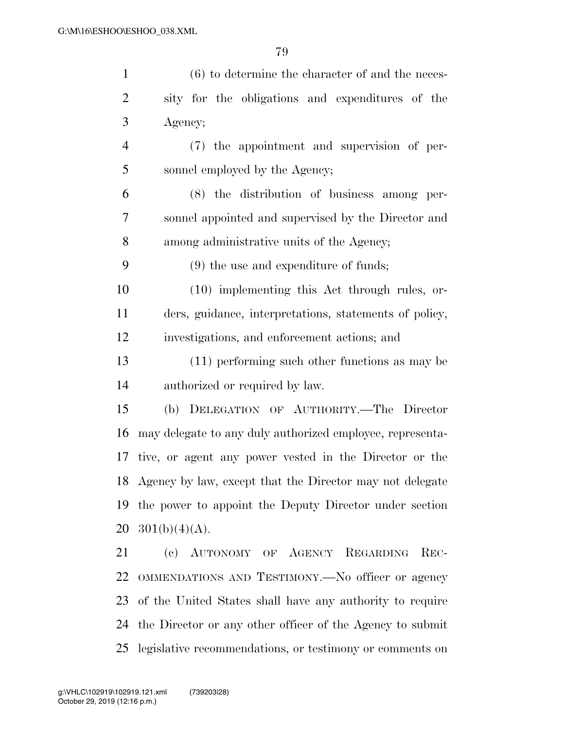| $\mathbf{1}$   | $(6)$ to determine the character of and the neces-          |
|----------------|-------------------------------------------------------------|
| $\overline{2}$ | sity for the obligations and expenditures of the            |
| 3              | Agency;                                                     |
| $\overline{4}$ | (7) the appointment and supervision of per-                 |
| 5              | sonnel employed by the Agency;                              |
| 6              | $(8)$ the distribution of business among per-               |
| 7              | sonnel appointed and supervised by the Director and         |
| 8              | among administrative units of the Agency;                   |
| 9              | $(9)$ the use and expenditure of funds;                     |
| 10             | $(10)$ implementing this Act through rules, or-             |
| 11             | ders, guidance, interpretations, statements of policy,      |
| 12             | investigations, and enforcement actions; and                |
| 13             | $(11)$ performing such other functions as may be            |
| 14             | authorized or required by law.                              |
| 15             | (b) DELEGATION OF AUTHORITY.—The Director                   |
| 16             | may delegate to any duly authorized employee, representa-   |
| 17             | tive, or agent any power vested in the Director or the      |
|                | 18 Agency by law, except that the Director may not delegate |
| 19             | the power to appoint the Deputy Director under section      |
| 20             | $301(b)(4)(A)$ .                                            |
| 21             | (c) AUTONOMY OF AGENCY REGARDING<br>$REC-$                  |
| 22             | OMMENDATIONS AND TESTIMONY.—No officer or agency            |
| 23             | of the United States shall have any authority to require    |
| 24             | the Director or any other officer of the Agency to submit   |

legislative recommendations, or testimony or comments on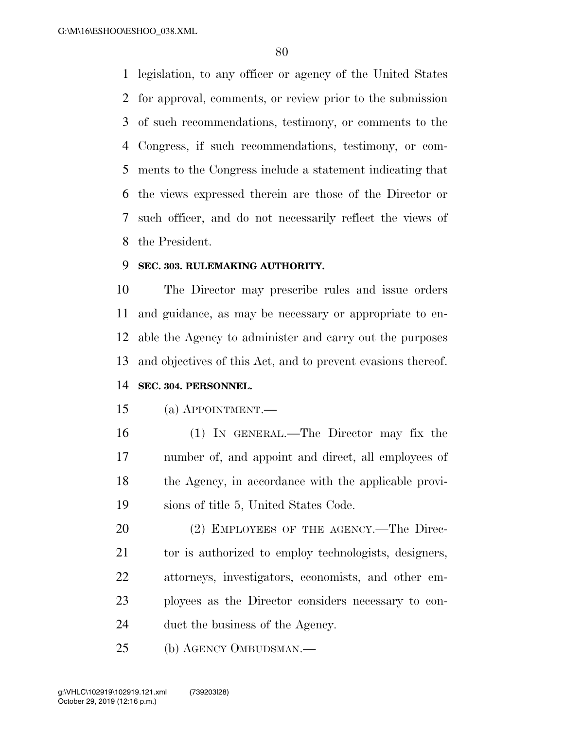legislation, to any officer or agency of the United States for approval, comments, or review prior to the submission of such recommendations, testimony, or comments to the Congress, if such recommendations, testimony, or com- ments to the Congress include a statement indicating that the views expressed therein are those of the Director or such officer, and do not necessarily reflect the views of the President.

### **SEC. 303. RULEMAKING AUTHORITY.**

 The Director may prescribe rules and issue orders and guidance, as may be necessary or appropriate to en- able the Agency to administer and carry out the purposes and objectives of this Act, and to prevent evasions thereof.

### **SEC. 304. PERSONNEL.**

#### (a) APPOINTMENT.—

 (1) IN GENERAL.—The Director may fix the number of, and appoint and direct, all employees of the Agency, in accordance with the applicable provi-sions of title 5, United States Code.

20 (2) EMPLOYEES OF THE AGENCY.—The Direc-21 to is authorized to employ technologists, designers, attorneys, investigators, economists, and other em- ployees as the Director considers necessary to con-duct the business of the Agency.

(b) AGENCY OMBUDSMAN.—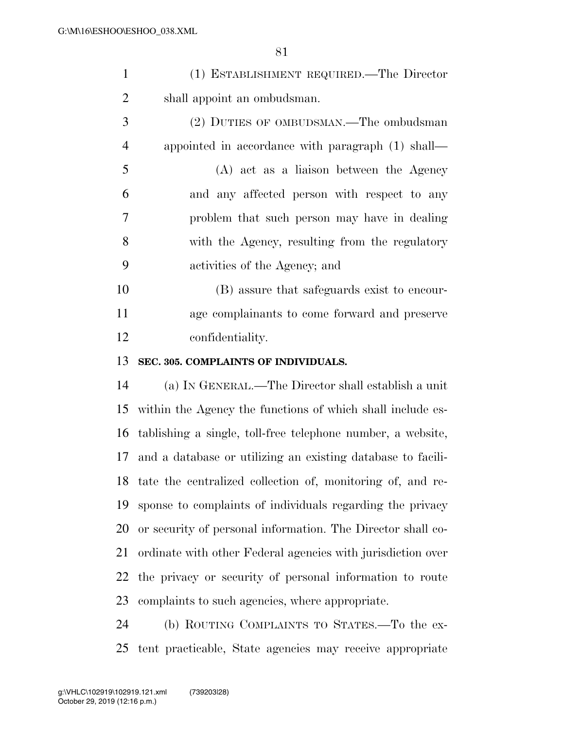| (1) ESTABLISHMENT REQUIRED.—The Director |
|------------------------------------------|
| shall appoint an ombudsman.              |

 (2) DUTIES OF OMBUDSMAN.—The ombudsman appointed in accordance with paragraph (1) shall— (A) act as a liaison between the Agency and any affected person with respect to any problem that such person may have in dealing with the Agency, resulting from the regulatory activities of the Agency; and

 (B) assure that safeguards exist to encour- age complainants to come forward and preserve confidentiality.

#### **SEC. 305. COMPLAINTS OF INDIVIDUALS.**

 (a) IN GENERAL.—The Director shall establish a unit within the Agency the functions of which shall include es- tablishing a single, toll-free telephone number, a website, and a database or utilizing an existing database to facili- tate the centralized collection of, monitoring of, and re- sponse to complaints of individuals regarding the privacy or security of personal information. The Director shall co- ordinate with other Federal agencies with jurisdiction over the privacy or security of personal information to route complaints to such agencies, where appropriate.

 (b) ROUTING COMPLAINTS TO STATES.—To the ex-tent practicable, State agencies may receive appropriate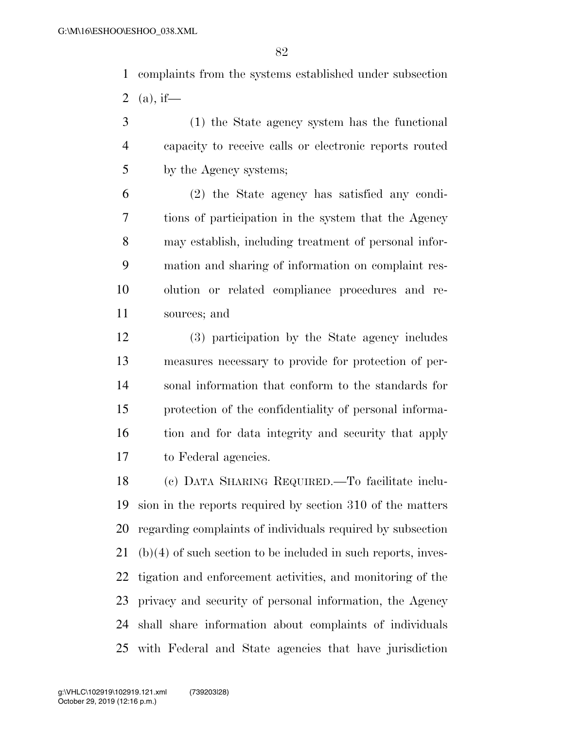complaints from the systems established under subsection 2 (a), if—

 (1) the State agency system has the functional capacity to receive calls or electronic reports routed by the Agency systems;

 (2) the State agency has satisfied any condi- tions of participation in the system that the Agency may establish, including treatment of personal infor- mation and sharing of information on complaint res- olution or related compliance procedures and re-sources; and

 (3) participation by the State agency includes measures necessary to provide for protection of per- sonal information that conform to the standards for protection of the confidentiality of personal informa- tion and for data integrity and security that apply to Federal agencies.

 (c) DATA SHARING REQUIRED.—To facilitate inclu- sion in the reports required by section 310 of the matters regarding complaints of individuals required by subsection (b)(4) of such section to be included in such reports, inves- tigation and enforcement activities, and monitoring of the privacy and security of personal information, the Agency shall share information about complaints of individuals with Federal and State agencies that have jurisdiction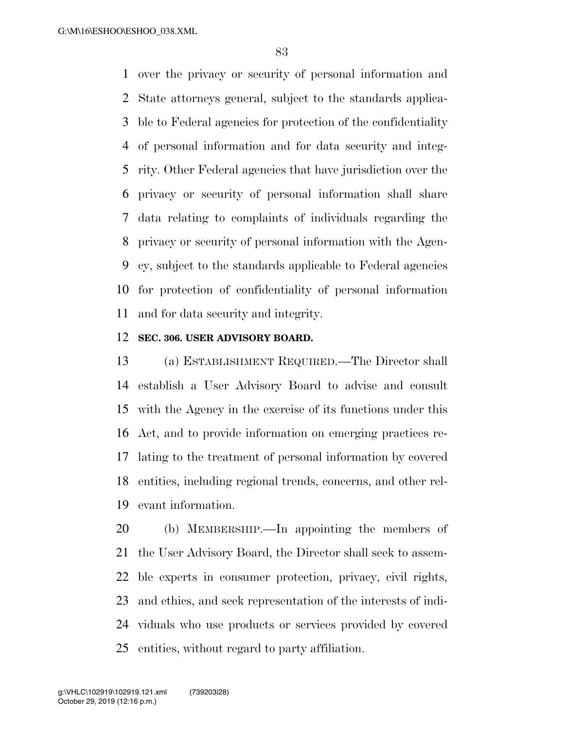over the privacy or security of personal information and State attorneys general, subject to the standards applica- ble to Federal agencies for protection of the confidentiality of personal information and for data security and integ- rity. Other Federal agencies that have jurisdiction over the privacy or security of personal information shall share data relating to complaints of individuals regarding the privacy or security of personal information with the Agen- cy, subject to the standards applicable to Federal agencies for protection of confidentiality of personal information and for data security and integrity.

#### **SEC. 306. USER ADVISORY BOARD.**

 (a) ESTABLISHMENT REQUIRED.—The Director shall establish a User Advisory Board to advise and consult with the Agency in the exercise of its functions under this Act, and to provide information on emerging practices re- lating to the treatment of personal information by covered entities, including regional trends, concerns, and other rel-evant information.

 (b) MEMBERSHIP.—In appointing the members of the User Advisory Board, the Director shall seek to assem- ble experts in consumer protection, privacy, civil rights, and ethics, and seek representation of the interests of indi- viduals who use products or services provided by covered entities, without regard to party affiliation.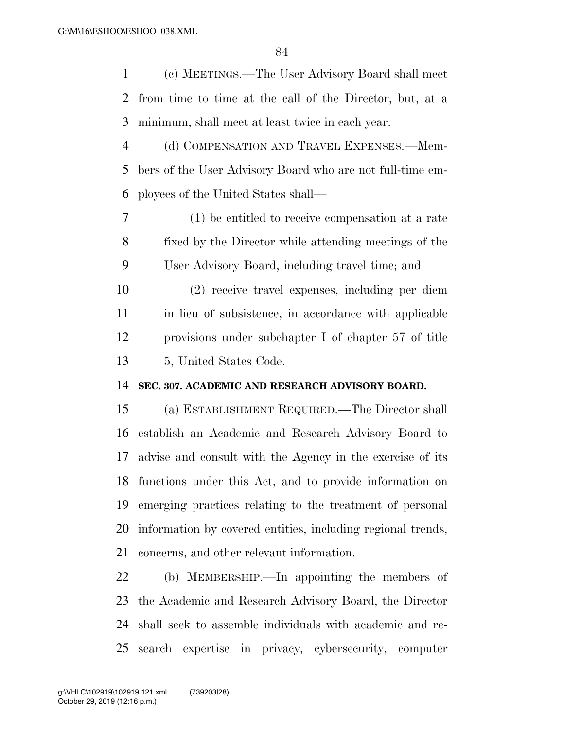(c) MEETINGS.—The User Advisory Board shall meet from time to time at the call of the Director, but, at a minimum, shall meet at least twice in each year.

 (d) COMPENSATION AND TRAVEL EXPENSES.—Mem- bers of the User Advisory Board who are not full-time em-ployees of the United States shall—

 (1) be entitled to receive compensation at a rate fixed by the Director while attending meetings of the User Advisory Board, including travel time; and

 (2) receive travel expenses, including per diem in lieu of subsistence, in accordance with applicable provisions under subchapter I of chapter 57 of title 5, United States Code.

#### **SEC. 307. ACADEMIC AND RESEARCH ADVISORY BOARD.**

 (a) ESTABLISHMENT REQUIRED.—The Director shall establish an Academic and Research Advisory Board to advise and consult with the Agency in the exercise of its functions under this Act, and to provide information on emerging practices relating to the treatment of personal information by covered entities, including regional trends, concerns, and other relevant information.

 (b) MEMBERSHIP.—In appointing the members of the Academic and Research Advisory Board, the Director shall seek to assemble individuals with academic and re-search expertise in privacy, cybersecurity, computer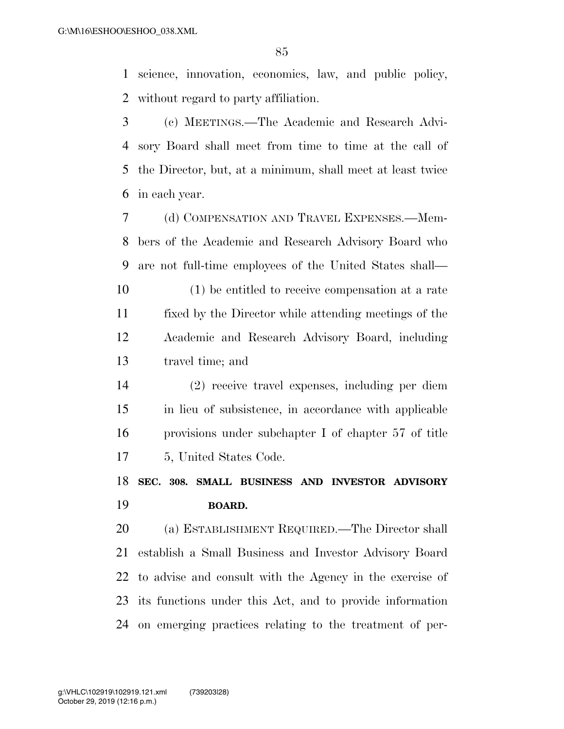science, innovation, economics, law, and public policy, without regard to party affiliation.

 (c) MEETINGS.—The Academic and Research Advi- sory Board shall meet from time to time at the call of the Director, but, at a minimum, shall meet at least twice in each year.

 (d) COMPENSATION AND TRAVEL EXPENSES.—Mem- bers of the Academic and Research Advisory Board who are not full-time employees of the United States shall—

 (1) be entitled to receive compensation at a rate fixed by the Director while attending meetings of the Academic and Research Advisory Board, including travel time; and

 (2) receive travel expenses, including per diem in lieu of subsistence, in accordance with applicable provisions under subchapter I of chapter 57 of title 5, United States Code.

 **SEC. 308. SMALL BUSINESS AND INVESTOR ADVISORY BOARD.** 

 (a) ESTABLISHMENT REQUIRED.—The Director shall establish a Small Business and Investor Advisory Board to advise and consult with the Agency in the exercise of its functions under this Act, and to provide information on emerging practices relating to the treatment of per-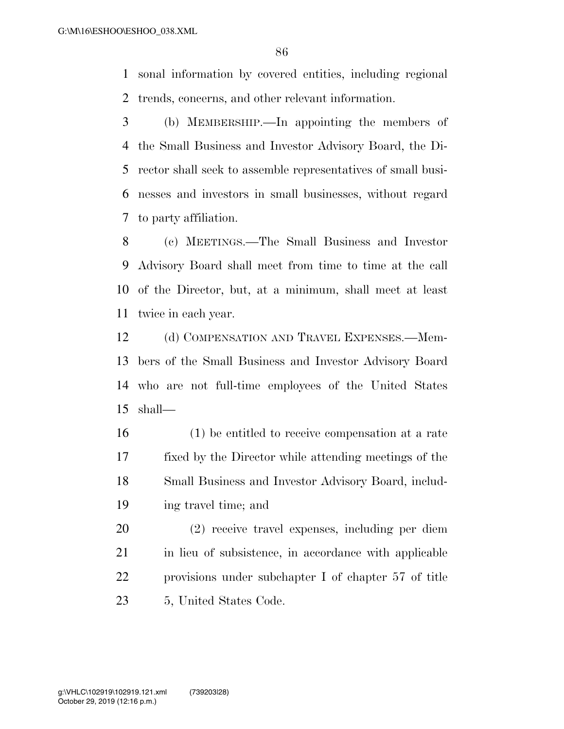sonal information by covered entities, including regional trends, concerns, and other relevant information.

 (b) MEMBERSHIP.—In appointing the members of the Small Business and Investor Advisory Board, the Di- rector shall seek to assemble representatives of small busi- nesses and investors in small businesses, without regard to party affiliation.

 (c) MEETINGS.—The Small Business and Investor Advisory Board shall meet from time to time at the call of the Director, but, at a minimum, shall meet at least twice in each year.

12 (d) COMPENSATION AND TRAVEL EXPENSES.—Mem- bers of the Small Business and Investor Advisory Board who are not full-time employees of the United States shall—

 (1) be entitled to receive compensation at a rate fixed by the Director while attending meetings of the Small Business and Investor Advisory Board, includ-ing travel time; and

 (2) receive travel expenses, including per diem 21 in lieu of subsistence, in accordance with applicable provisions under subchapter I of chapter 57 of title 5, United States Code.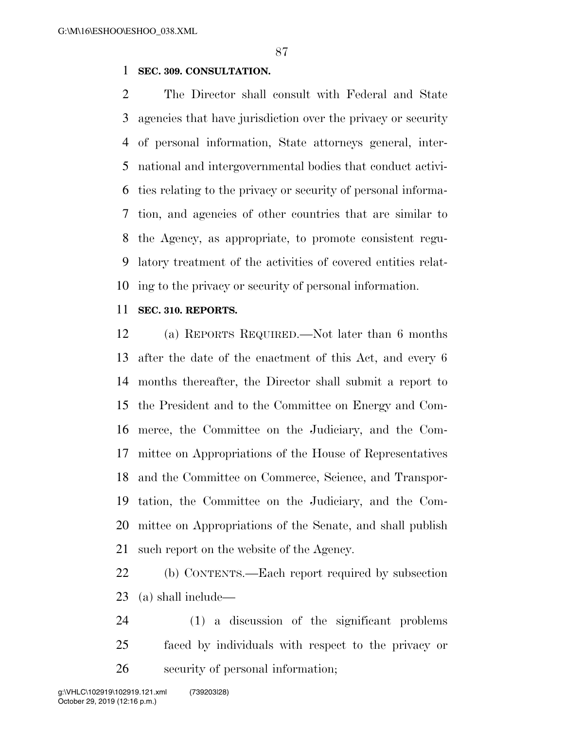#### **SEC. 309. CONSULTATION.**

 The Director shall consult with Federal and State agencies that have jurisdiction over the privacy or security of personal information, State attorneys general, inter- national and intergovernmental bodies that conduct activi- ties relating to the privacy or security of personal informa- tion, and agencies of other countries that are similar to the Agency, as appropriate, to promote consistent regu- latory treatment of the activities of covered entities relat-ing to the privacy or security of personal information.

#### **SEC. 310. REPORTS.**

 (a) REPORTS REQUIRED.—Not later than 6 months after the date of the enactment of this Act, and every 6 months thereafter, the Director shall submit a report to the President and to the Committee on Energy and Com- merce, the Committee on the Judiciary, and the Com- mittee on Appropriations of the House of Representatives and the Committee on Commerce, Science, and Transpor- tation, the Committee on the Judiciary, and the Com- mittee on Appropriations of the Senate, and shall publish such report on the website of the Agency.

 (b) CONTENTS.—Each report required by subsection (a) shall include—

 (1) a discussion of the significant problems faced by individuals with respect to the privacy or security of personal information;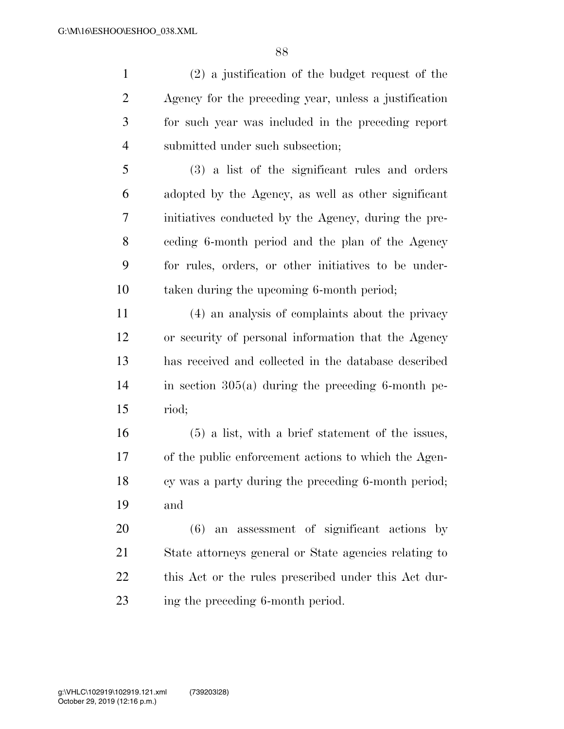(2) a justification of the budget request of the Agency for the preceding year, unless a justification for such year was included in the preceding report submitted under such subsection;

 (3) a list of the significant rules and orders adopted by the Agency, as well as other significant initiatives conducted by the Agency, during the pre- ceding 6-month period and the plan of the Agency for rules, orders, or other initiatives to be under-taken during the upcoming 6-month period;

 (4) an analysis of complaints about the privacy or security of personal information that the Agency has received and collected in the database described in section 305(a) during the preceding 6-month pe-riod;

 (5) a list, with a brief statement of the issues, of the public enforcement actions to which the Agen- cy was a party during the preceding 6-month period; and

 (6) an assessment of significant actions by State attorneys general or State agencies relating to this Act or the rules prescribed under this Act dur-23 ing the preceding 6-month period.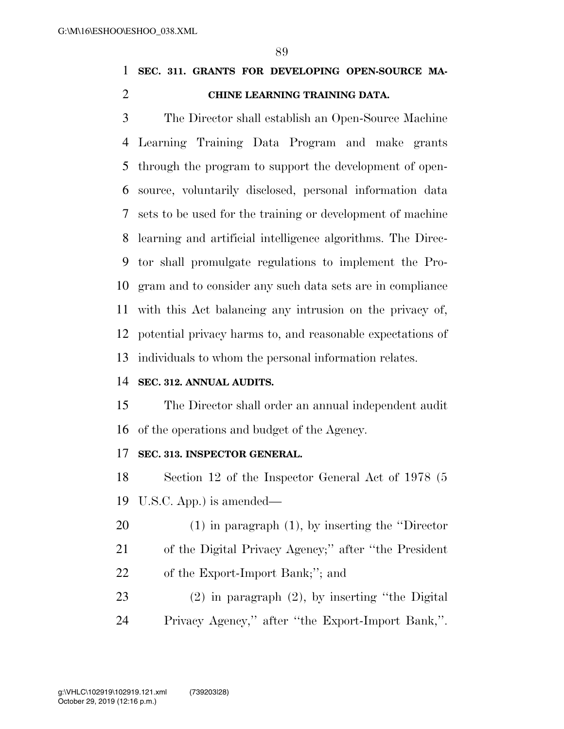**SEC. 311. GRANTS FOR DEVELOPING OPEN-SOURCE MA-CHINE LEARNING TRAINING DATA.** 

 The Director shall establish an Open-Source Machine Learning Training Data Program and make grants through the program to support the development of open- source, voluntarily disclosed, personal information data sets to be used for the training or development of machine learning and artificial intelligence algorithms. The Direc- tor shall promulgate regulations to implement the Pro- gram and to consider any such data sets are in compliance with this Act balancing any intrusion on the privacy of, potential privacy harms to, and reasonable expectations of individuals to whom the personal information relates.

#### **SEC. 312. ANNUAL AUDITS.**

 The Director shall order an annual independent audit of the operations and budget of the Agency.

#### **SEC. 313. INSPECTOR GENERAL.**

 Section 12 of the Inspector General Act of 1978 (5 U.S.C. App.) is amended—

- (1) in paragraph (1), by inserting the ''Director
- of the Digital Privacy Agency;'' after ''the President
- of the Export-Import Bank;''; and
- (2) in paragraph (2), by inserting ''the Digital Privacy Agency,'' after ''the Export-Import Bank,''.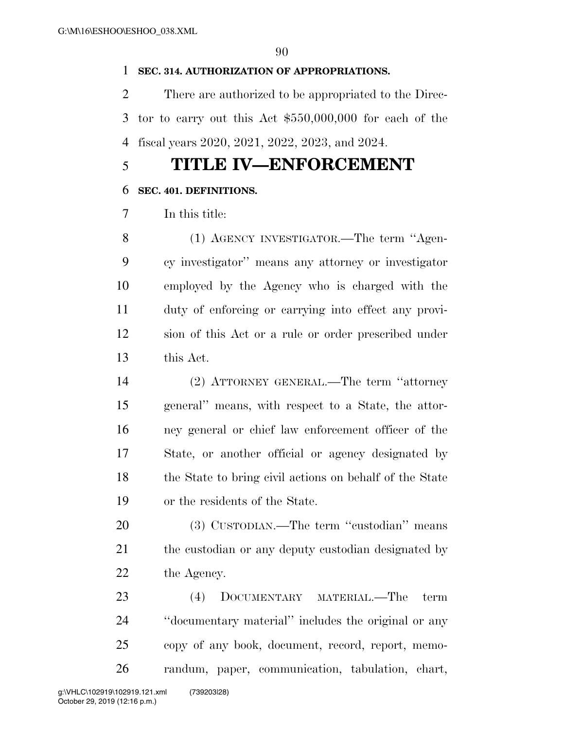#### **SEC. 314. AUTHORIZATION OF APPROPRIATIONS.**

 There are authorized to be appropriated to the Direc- tor to carry out this Act \$550,000,000 for each of the fiscal years 2020, 2021, 2022, 2023, and 2024.

## **TITLE IV—ENFORCEMENT**

#### **SEC. 401. DEFINITIONS.**

In this title:

 (1) AGENCY INVESTIGATOR.—The term ''Agen- cy investigator'' means any attorney or investigator employed by the Agency who is charged with the duty of enforcing or carrying into effect any provi- sion of this Act or a rule or order prescribed under this Act.

 (2) ATTORNEY GENERAL.—The term ''attorney general'' means, with respect to a State, the attor- ney general or chief law enforcement officer of the State, or another official or agency designated by 18 the State to bring civil actions on behalf of the State or the residents of the State.

 (3) CUSTODIAN.—The term ''custodian'' means 21 the custodian or any deputy custodian designated by 22 the Agency.

 (4) DOCUMENTARY MATERIAL.—The term ''documentary material'' includes the original or any copy of any book, document, record, report, memo-randum, paper, communication, tabulation, chart,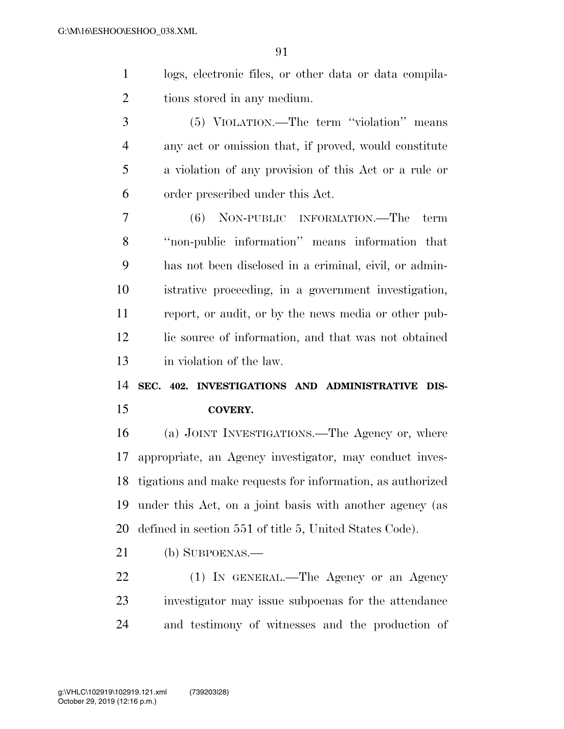logs, electronic files, or other data or data compila-tions stored in any medium.

 (5) VIOLATION.—The term ''violation'' means any act or omission that, if proved, would constitute a violation of any provision of this Act or a rule or order prescribed under this Act.

 (6) NON-PUBLIC INFORMATION.—The term ''non-public information'' means information that has not been disclosed in a criminal, civil, or admin- istrative proceeding, in a government investigation, report, or audit, or by the news media or other pub-12 lic source of information, and that was not obtained in violation of the law.

 **SEC. 402. INVESTIGATIONS AND ADMINISTRATIVE DIS-COVERY.** 

 (a) JOINT INVESTIGATIONS.—The Agency or, where appropriate, an Agency investigator, may conduct inves- tigations and make requests for information, as authorized under this Act, on a joint basis with another agency (as defined in section 551 of title 5, United States Code).

(b) SUBPOENAS.—

 (1) IN GENERAL.—The Agency or an Agency investigator may issue subpoenas for the attendance and testimony of witnesses and the production of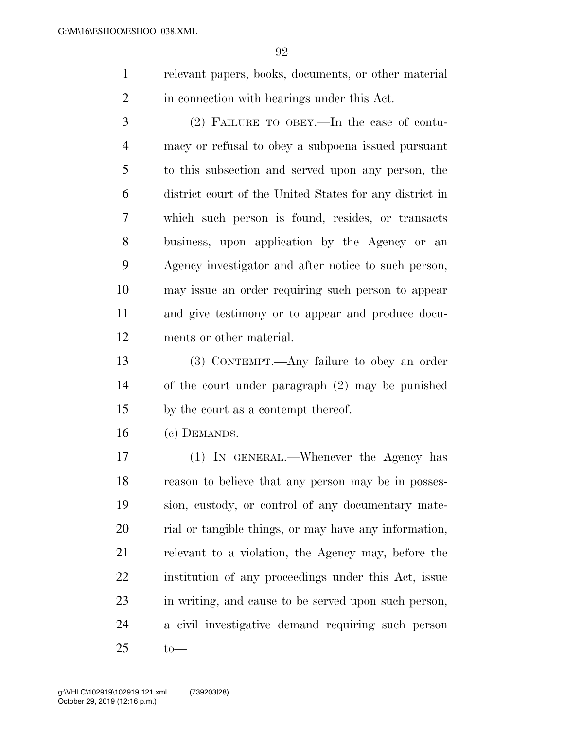relevant papers, books, documents, or other material in connection with hearings under this Act.

 (2) FAILURE TO OBEY.—In the case of contu- macy or refusal to obey a subpoena issued pursuant to this subsection and served upon any person, the district court of the United States for any district in which such person is found, resides, or transacts business, upon application by the Agency or an Agency investigator and after notice to such person, may issue an order requiring such person to appear and give testimony or to appear and produce docu-ments or other material.

 (3) CONTEMPT.—Any failure to obey an order of the court under paragraph (2) may be punished by the court as a contempt thereof.

(c) DEMANDS.—

 (1) IN GENERAL.—Whenever the Agency has reason to believe that any person may be in posses- sion, custody, or control of any documentary mate- rial or tangible things, or may have any information, relevant to a violation, the Agency may, before the institution of any proceedings under this Act, issue in writing, and cause to be served upon such person, a civil investigative demand requiring such person to—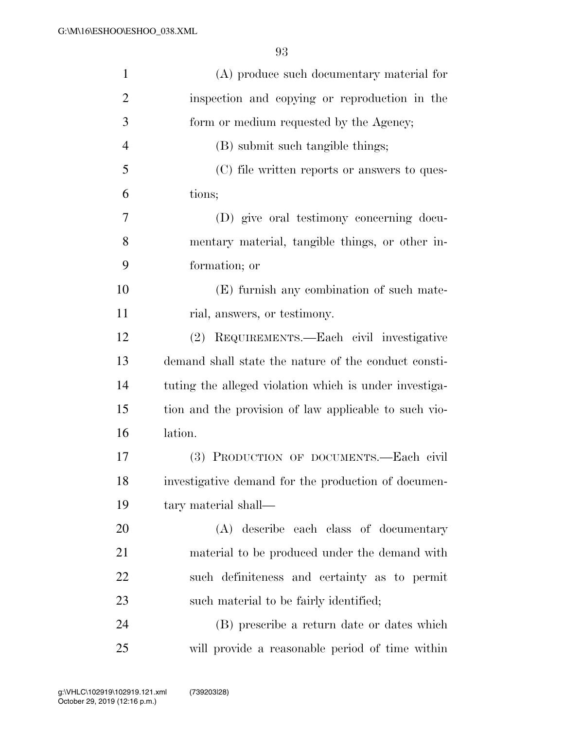| $\mathbf{1}$   | (A) produce such documentary material for              |
|----------------|--------------------------------------------------------|
| $\overline{2}$ | inspection and copying or reproduction in the          |
| 3              | form or medium requested by the Agency;                |
| $\overline{4}$ | (B) submit such tangible things;                       |
| 5              | (C) file written reports or answers to ques-           |
| 6              | tions;                                                 |
| 7              | (D) give oral testimony concerning docu-               |
| 8              | mentary material, tangible things, or other in-        |
| 9              | formation; or                                          |
| 10             | (E) furnish any combination of such mate-              |
| 11             | rial, answers, or testimony.                           |
| 12             | (2) REQUIREMENTS.—Each civil investigative             |
| 13             | demand shall state the nature of the conduct consti-   |
| 14             | tuting the alleged violation which is under investiga- |
| 15             | tion and the provision of law applicable to such vio-  |
| 16             | lation.                                                |
| 17             | (3) PRODUCTION OF DOCUMENTS.-Each civil                |
| 18             | investigative demand for the production of documen-    |
| 19             | tary material shall—                                   |
| 20             | (A) describe each class of documentary                 |
| 21             | material to be produced under the demand with          |
| 22             | such definiteness and certainty as to permit           |
| 23             | such material to be fairly identified;                 |
| 24             | (B) prescribe a return date or dates which             |
| 25             | will provide a reasonable period of time within        |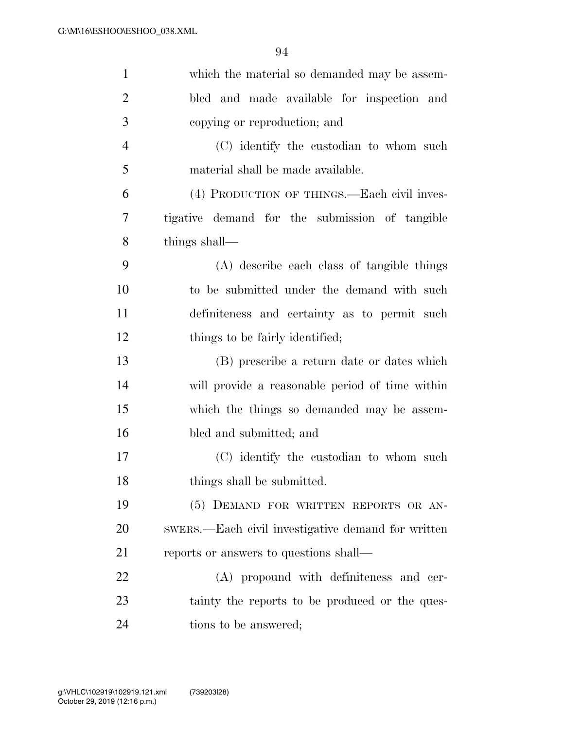| $\mathbf{1}$   | which the material so demanded may be assem-       |
|----------------|----------------------------------------------------|
| $\overline{2}$ | bled and made available for inspection and         |
| 3              | copying or reproduction; and                       |
| $\overline{4}$ | (C) identify the custodian to whom such            |
| 5              | material shall be made available.                  |
| 6              | (4) PRODUCTION OF THINGS.—Each civil inves-        |
| 7              | tigative demand for the submission of tangible     |
| 8              | things shall—                                      |
| 9              | (A) describe each class of tangible things         |
| 10             | to be submitted under the demand with such         |
| 11             | definiteness and certainty as to permit such       |
| 12             | things to be fairly identified;                    |
| 13             | (B) prescribe a return date or dates which         |
| 14             | will provide a reasonable period of time within    |
| 15             | which the things so demanded may be assem-         |
| 16             | bled and submitted; and                            |
| 17             | (C) identify the custodian to whom such            |
| 18             | things shall be submitted.                         |
| 19             | (5) DEMAND FOR WRITTEN REPORTS OR AN-              |
| 20             | swers.—Each civil investigative demand for written |
| 21             | reports or answers to questions shall—             |
| 22             | (A) propound with definiteness and cer-            |
| 23             | tainty the reports to be produced or the ques-     |
| 24             | tions to be answered;                              |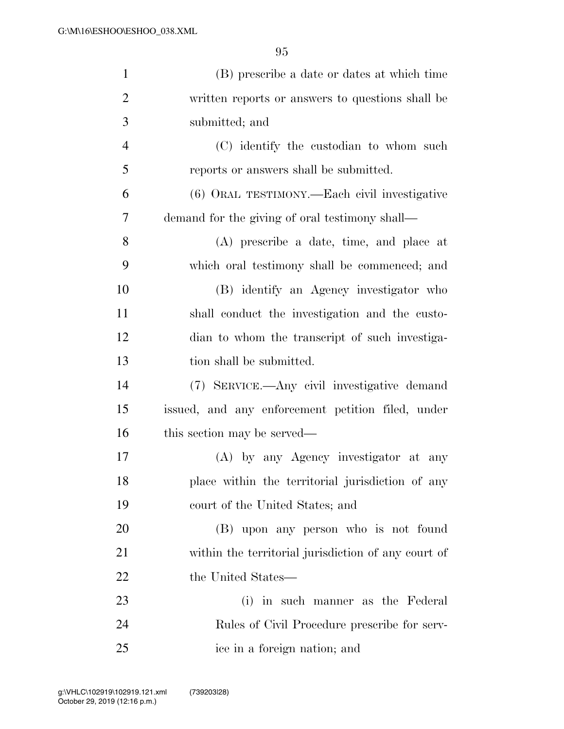| $\mathbf{1}$   | (B) prescribe a date or dates at which time         |
|----------------|-----------------------------------------------------|
| $\overline{2}$ | written reports or answers to questions shall be    |
| 3              | submitted; and                                      |
| $\overline{4}$ | (C) identify the custodian to whom such             |
| 5              | reports or answers shall be submitted.              |
| 6              | (6) ORAL TESTIMONY.—Each civil investigative        |
| 7              | demand for the giving of oral testimony shall—      |
| 8              | (A) prescribe a date, time, and place at            |
| 9              | which oral testimony shall be commenced; and        |
| 10             | (B) identify an Agency investigator who             |
| 11             | shall conduct the investigation and the custo-      |
| 12             | dian to whom the transcript of such investiga-      |
| 13             | tion shall be submitted.                            |
| 14             | (7) SERVICE.—Any civil investigative demand         |
| 15             | issued, and any enforcement petition filed, under   |
| 16             | this section may be served—                         |
| 17             | (A) by any Agency investigator at any               |
| 18             | place within the territorial jurisdiction of any    |
| 19             | court of the United States; and                     |
| 20             | (B) upon any person who is not found                |
| 21             | within the territorial jurisdiction of any court of |
| 22             | the United States—                                  |
| 23             | (i) in such manner as the Federal                   |
| 24             | Rules of Civil Procedure prescribe for serv-        |
| 25             | ice in a foreign nation; and                        |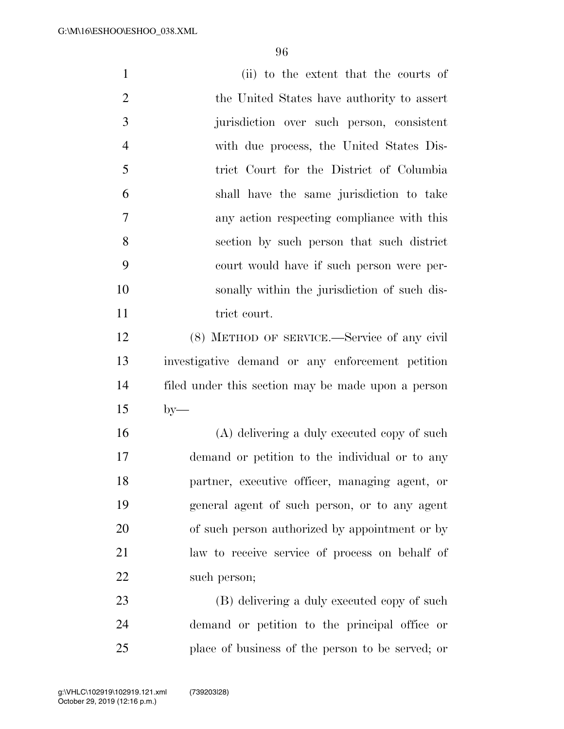| $\mathbf{1}$   | (ii) to the extent that the courts of              |
|----------------|----------------------------------------------------|
| $\overline{2}$ | the United States have authority to assert         |
| 3              | jurisdiction over such person, consistent          |
| $\overline{4}$ | with due process, the United States Dis-           |
| 5              | trict Court for the District of Columbia           |
| 6              | shall have the same jurisdiction to take           |
| 7              | any action respecting compliance with this         |
| 8              | section by such person that such district          |
| 9              | court would have if such person were per-          |
| 10             | sonally within the jurisdiction of such dis-       |
| 11             | trict court.                                       |
| 12             | (8) METHOD OF SERVICE.—Service of any civil        |
| 13             | investigative demand or any enforcement petition   |
| 14             | filed under this section may be made upon a person |
| 15             | $by-$                                              |
| 16             | (A) delivering a duly executed copy of such        |
| 17             | demand or petition to the individual or to any     |
| 18             | partner, executive officer, managing agent, or     |
| 19             | general agent of such person, or to any agent      |
| 20             | of such person authorized by appointment or by     |
| 21             | law to receive service of process on behalf of     |
| 22             | such person;                                       |
| 23             | (B) delivering a duly executed copy of such        |
| 24             | demand or petition to the principal office or      |
| 25             | place of business of the person to be served; or   |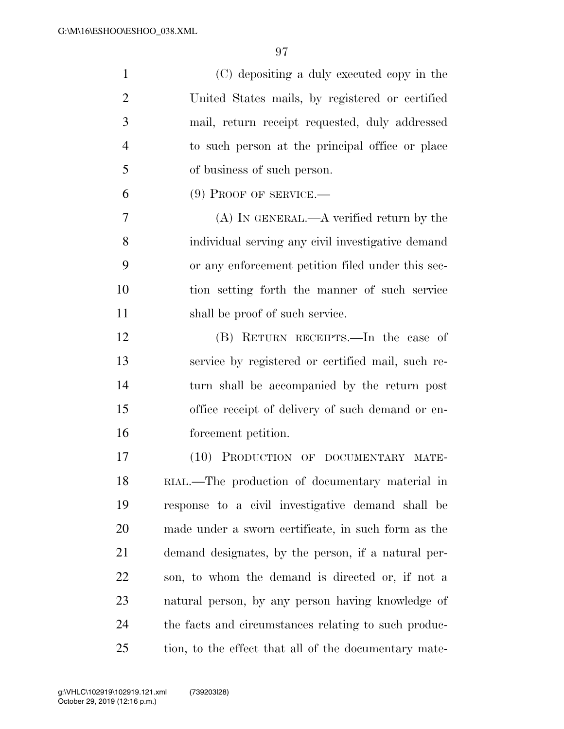| $\mathbf{1}$   | (C) depositing a duly executed copy in the            |
|----------------|-------------------------------------------------------|
| $\overline{2}$ | United States mails, by registered or certified       |
| 3              | mail, return receipt requested, duly addressed        |
| $\overline{4}$ | to such person at the principal office or place       |
| 5              | of business of such person.                           |
| 6              | $(9)$ Proof of SERVICE.—                              |
| 7              | $(A)$ In GENERAL.— $A$ verified return by the         |
| 8              | individual serving any civil investigative demand     |
| 9              | or any enforcement petition filed under this sec-     |
| 10             | tion setting forth the manner of such service         |
| 11             | shall be proof of such service.                       |
| 12             | (B) RETURN RECEIPTS.—In the case of                   |
| 13             | service by registered or certified mail, such re-     |
| 14             | turn shall be accompanied by the return post          |
| 15             | office receipt of delivery of such demand or en-      |
| 16             | forcement petition.                                   |
| 17             | (10) PRODUCTION OF DOCUMENTARY MATE-                  |
| 18             | RIAL.—The production of documentary material in       |
| 19             | response to a civil investigative demand shall be     |
| 20             | made under a sworn certificate, in such form as the   |
| 21             | demand designates, by the person, if a natural per-   |
| 22             | son, to whom the demand is directed or, if not a      |
| 23             | natural person, by any person having knowledge of     |
| 24             | the facts and circumstances relating to such produc-  |
| 25             | tion, to the effect that all of the documentary mate- |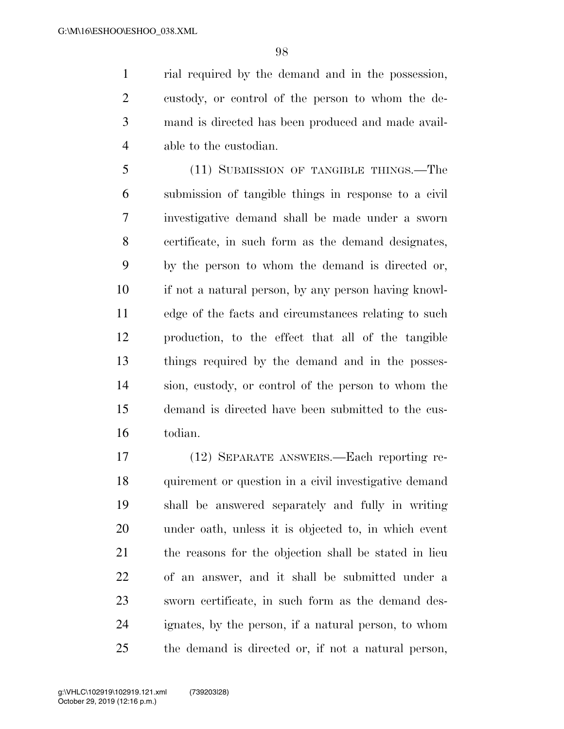rial required by the demand and in the possession, custody, or control of the person to whom the de- mand is directed has been produced and made avail-able to the custodian.

 (11) SUBMISSION OF TANGIBLE THINGS.—The submission of tangible things in response to a civil investigative demand shall be made under a sworn certificate, in such form as the demand designates, by the person to whom the demand is directed or, if not a natural person, by any person having knowl- edge of the facts and circumstances relating to such production, to the effect that all of the tangible things required by the demand and in the posses- sion, custody, or control of the person to whom the demand is directed have been submitted to the cus-todian.

 (12) SEPARATE ANSWERS.—Each reporting re- quirement or question in a civil investigative demand shall be answered separately and fully in writing under oath, unless it is objected to, in which event the reasons for the objection shall be stated in lieu of an answer, and it shall be submitted under a sworn certificate, in such form as the demand des- ignates, by the person, if a natural person, to whom the demand is directed or, if not a natural person,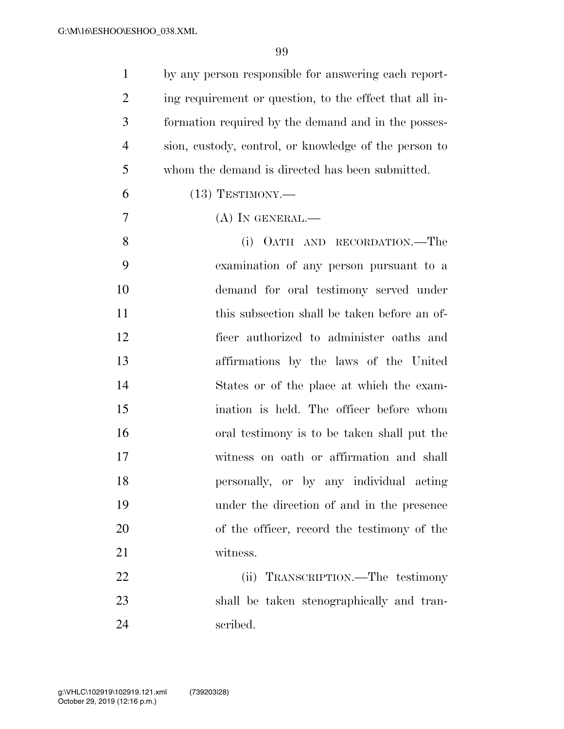| $\mathbf{1}$   | by any person responsible for answering each report-    |
|----------------|---------------------------------------------------------|
| $\overline{2}$ | ing requirement or question, to the effect that all in- |
| 3              | formation required by the demand and in the posses-     |
| $\overline{4}$ | sion, custody, control, or knowledge of the person to   |
| 5              | whom the demand is directed has been submitted.         |
| 6              | $(13)$ TESTIMONY.—                                      |
| 7              | $(A)$ In GENERAL.—                                      |
| 8              | (i) OATH AND RECORDATION.—The                           |
| 9              | examination of any person pursuant to a                 |
| 10             | demand for oral testimony served under                  |
| 11             | this subsection shall be taken before an of-            |
| 12             | ficer authorized to administer oaths and                |
| 13             | affirmations by the laws of the United                  |
| 14             | States or of the place at which the exam-               |
| 15             | ination is held. The officer before whom                |
| 16             | oral testimony is to be taken shall put the             |
| 17             | witness on oath or affirmation and shall                |
| 18             | personally, or by any individual acting                 |
| 19             | under the direction of and in the presence              |
| 20             | of the officer, record the testimony of the             |
| 21             | witness.                                                |
| 22             | TRANSCRIPTION.—The testimony<br>(ii)                    |
| 23             | shall be taken stenographically and tran-               |
| 24             | scribed.                                                |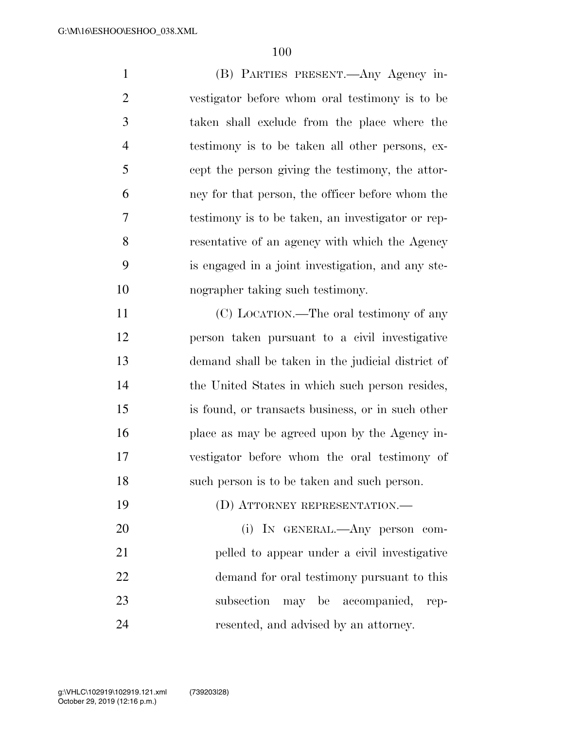(B) PARTIES PRESENT.—Any Agency in- vestigator before whom oral testimony is to be taken shall exclude from the place where the testimony is to be taken all other persons, ex- cept the person giving the testimony, the attor- ney for that person, the officer before whom the testimony is to be taken, an investigator or rep- resentative of an agency with which the Agency is engaged in a joint investigation, and any ste-nographer taking such testimony.

 (C) LOCATION.—The oral testimony of any person taken pursuant to a civil investigative demand shall be taken in the judicial district of the United States in which such person resides, is found, or transacts business, or in such other 16 place as may be agreed upon by the Agency in- vestigator before whom the oral testimony of such person is to be taken and such person.

19 (D) ATTORNEY REPRESENTATION.—

 (i) IN GENERAL.—Any person com- pelled to appear under a civil investigative demand for oral testimony pursuant to this subsection may be accompanied, rep-resented, and advised by an attorney.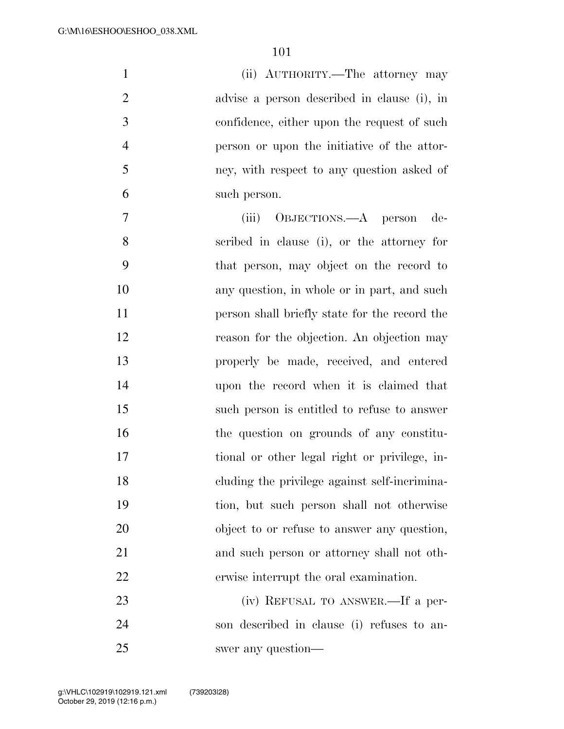(ii) AUTHORITY.—The attorney may advise a person described in clause (i), in confidence, either upon the request of such person or upon the initiative of the attor- ney, with respect to any question asked of such person.

 (iii) OBJECTIONS.—A person de- scribed in clause (i), or the attorney for that person, may object on the record to any question, in whole or in part, and such person shall briefly state for the record the reason for the objection. An objection may properly be made, received, and entered upon the record when it is claimed that such person is entitled to refuse to answer the question on grounds of any constitu- tional or other legal right or privilege, in- cluding the privilege against self-incrimina- tion, but such person shall not otherwise object to or refuse to answer any question, and such person or attorney shall not oth- erwise interrupt the oral examination. (iv) REFUSAL TO ANSWER.—If a per-

 son described in clause (i) refuses to an-swer any question—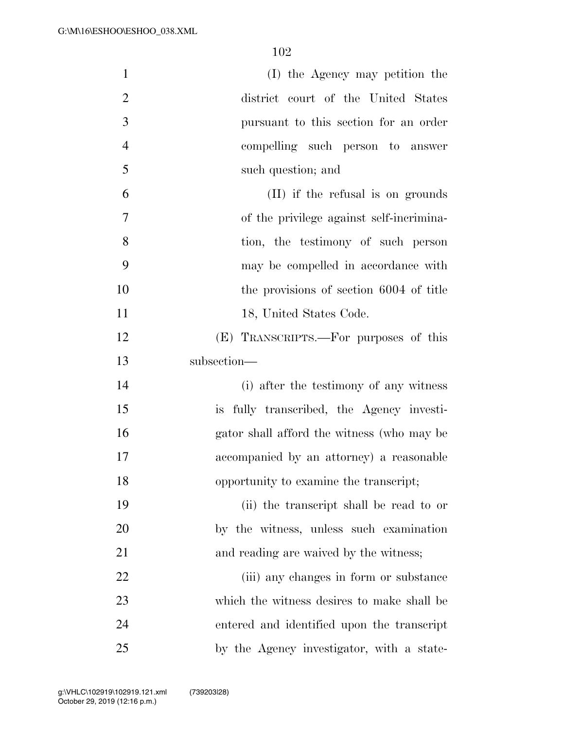| $\mathbf{1}$   | (I) the Agency may petition the            |
|----------------|--------------------------------------------|
| $\overline{2}$ | district court of the United States        |
| 3              | pursuant to this section for an order      |
| $\overline{4}$ | compelling such person to answer           |
| 5              | such question; and                         |
| 6              | (II) if the refusal is on grounds          |
| $\overline{7}$ | of the privilege against self-incrimina-   |
| 8              | tion, the testimony of such person         |
| 9              | may be compelled in accordance with        |
| 10             | the provisions of section 6004 of title    |
| 11             | 18, United States Code.                    |
| 12             | (E) TRANSCRIPTS.—For purposes of this      |
| 13             | subsection-                                |
| 14             | (i) after the testimony of any witness     |
| 15             | is fully transcribed, the Agency investi-  |
| 16             | gator shall afford the witness (who may be |
| 17             | accompanied by an attorney) a reasonable   |
| 18             | opportunity to examine the transcript;     |
| 19             | (ii) the transcript shall be read to or    |
| 20             | by the witness, unless such examination    |
| 21             | and reading are waived by the witness;     |
| 22             | (iii) any changes in form or substance     |
| 23             | which the witness desires to make shall be |
| 24             | entered and identified upon the transcript |
| 25             | by the Agency investigator, with a state-  |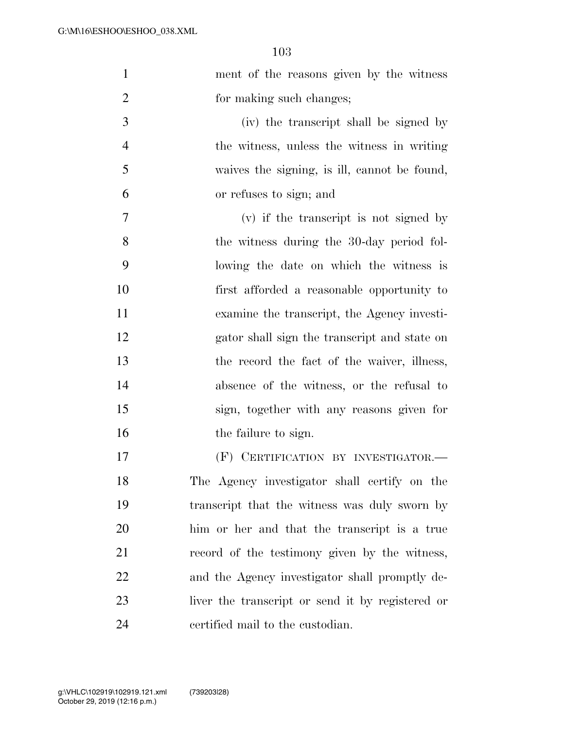| $\mathbf{1}$   | ment of the reasons given by the witness         |
|----------------|--------------------------------------------------|
| $\overline{2}$ | for making such changes;                         |
| 3              | (iv) the transcript shall be signed by           |
| $\overline{4}$ | the witness, unless the witness in writing       |
| 5              | waives the signing, is ill, cannot be found,     |
| 6              | or refuses to sign; and                          |
| 7              | $(v)$ if the transcript is not signed by         |
| 8              | the witness during the 30-day period fol-        |
| 9              | lowing the date on which the witness is          |
| 10             | first afforded a reasonable opportunity to       |
| 11             | examine the transcript, the Agency investi-      |
| 12             | gator shall sign the transcript and state on     |
| 13             | the record the fact of the waiver, illness,      |
| 14             | absence of the witness, or the refusal to        |
| 15             | sign, together with any reasons given for        |
| 16             | the failure to sign.                             |
| 17             | (F) CERTIFICATION BY INVESTIGATOR.-              |
| 18             | The Agency investigator shall certify on the     |
| 19             | transcript that the witness was duly sworn by    |
| 20             | him or her and that the transcript is a true     |
| 21             | record of the testimony given by the witness,    |
| 22             | and the Agency investigator shall promptly de-   |
| 23             | liver the transcript or send it by registered or |
| 24             | certified mail to the custodian.                 |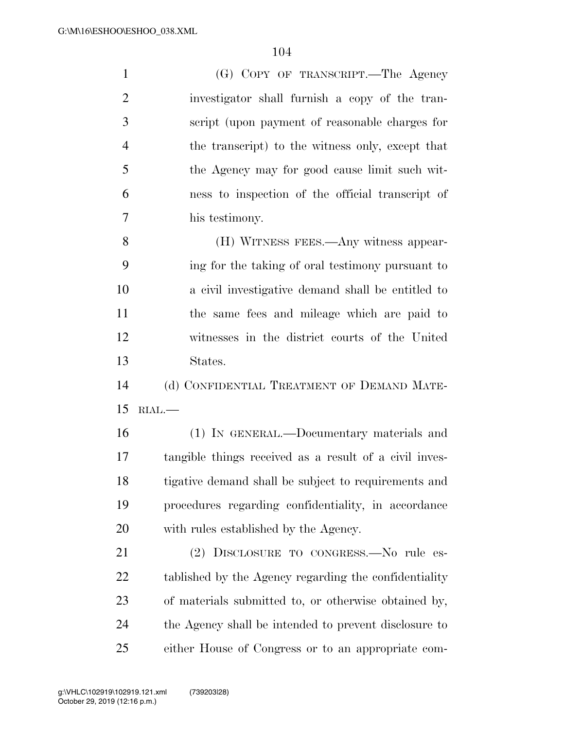| $\mathbf{1}$   | (G) COPY OF TRANSCRIPT.—The Agency                     |
|----------------|--------------------------------------------------------|
| $\overline{2}$ | investigator shall furnish a copy of the tran-         |
| 3              | script (upon payment of reasonable charges for         |
| $\overline{4}$ | the transcript) to the witness only, except that       |
| 5              | the Agency may for good cause limit such wit-          |
| 6              | ness to inspection of the official transcript of       |
| 7              | his testimony.                                         |
| 8              | (H) WITNESS FEES.—Any witness appear-                  |
| 9              | ing for the taking of oral testimony pursuant to       |
| 10             | a civil investigative demand shall be entitled to      |
| 11             | the same fees and mileage which are paid to            |
| 12             | witnesses in the district courts of the United         |
| 13             | States.                                                |
| 14             | (d) CONFIDENTIAL TREATMENT OF DEMAND MATE-             |
| 15             | $RIAL$ .                                               |
| 16             | (1) IN GENERAL.—Documentary materials and              |
| 17             | tangible things received as a result of a civil inves- |
| 18             | tigative demand shall be subject to requirements and   |
| 19             | procedures regarding confidentiality, in accordance    |
| 20             | with rules established by the Agency.                  |
| 21             | (2) DISCLOSURE TO CONGRESS.—No rule es-                |
| <u>22</u>      | tablished by the Agency regarding the confidentiality  |
| 23             | of materials submitted to, or otherwise obtained by,   |
| 24             | the Agency shall be intended to prevent disclosure to  |
| 25             | either House of Congress or to an appropriate com-     |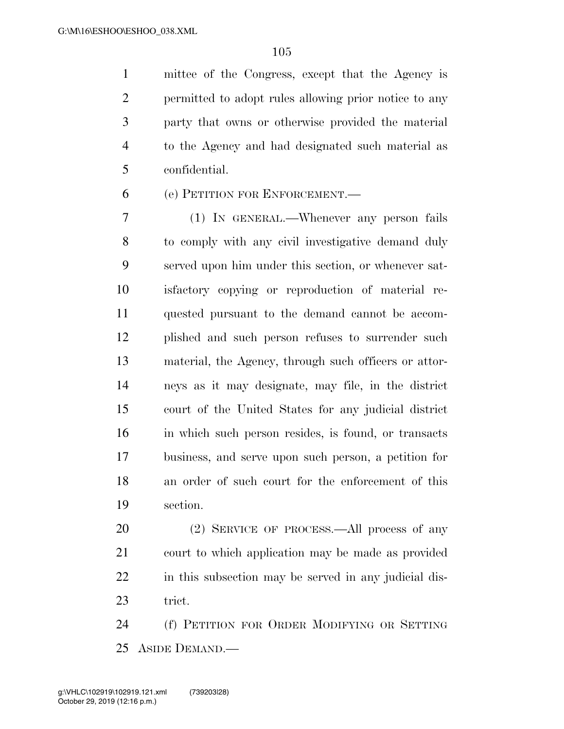mittee of the Congress, except that the Agency is permitted to adopt rules allowing prior notice to any party that owns or otherwise provided the material to the Agency and had designated such material as confidential.

(e) PETITION FOR ENFORCEMENT.—

 (1) IN GENERAL.—Whenever any person fails to comply with any civil investigative demand duly served upon him under this section, or whenever sat- isfactory copying or reproduction of material re- quested pursuant to the demand cannot be accom- plished and such person refuses to surrender such material, the Agency, through such officers or attor- neys as it may designate, may file, in the district court of the United States for any judicial district in which such person resides, is found, or transacts business, and serve upon such person, a petition for an order of such court for the enforcement of this section.

 (2) SERVICE OF PROCESS.—All process of any court to which application may be made as provided in this subsection may be served in any judicial dis-trict.

 (f) PETITION FOR ORDER MODIFYING OR SETTING ASIDE DEMAND.—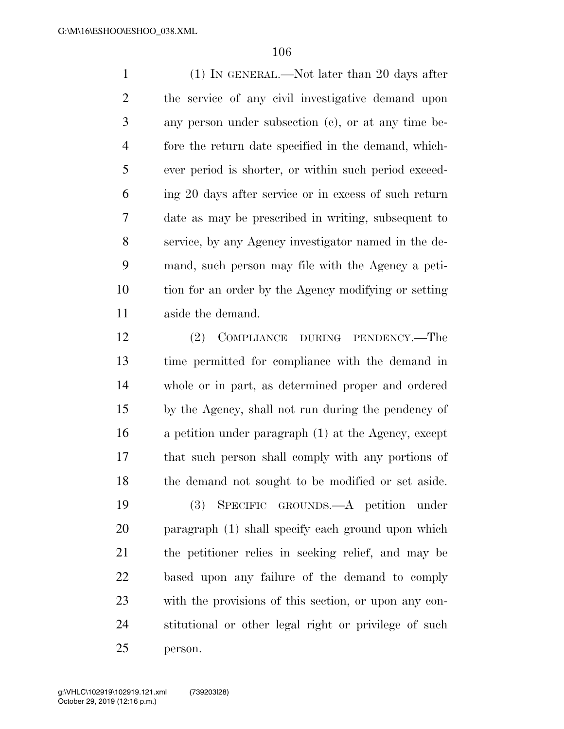(1) IN GENERAL.—Not later than 20 days after the service of any civil investigative demand upon any person under subsection (c), or at any time be- fore the return date specified in the demand, which- ever period is shorter, or within such period exceed- ing 20 days after service or in excess of such return date as may be prescribed in writing, subsequent to service, by any Agency investigator named in the de- mand, such person may file with the Agency a peti- tion for an order by the Agency modifying or setting aside the demand.

 (2) COMPLIANCE DURING PENDENCY.—The time permitted for compliance with the demand in whole or in part, as determined proper and ordered by the Agency, shall not run during the pendency of a petition under paragraph (1) at the Agency, except that such person shall comply with any portions of the demand not sought to be modified or set aside.

 (3) SPECIFIC GROUNDS.—A petition under paragraph (1) shall specify each ground upon which the petitioner relies in seeking relief, and may be based upon any failure of the demand to comply with the provisions of this section, or upon any con- stitutional or other legal right or privilege of such person.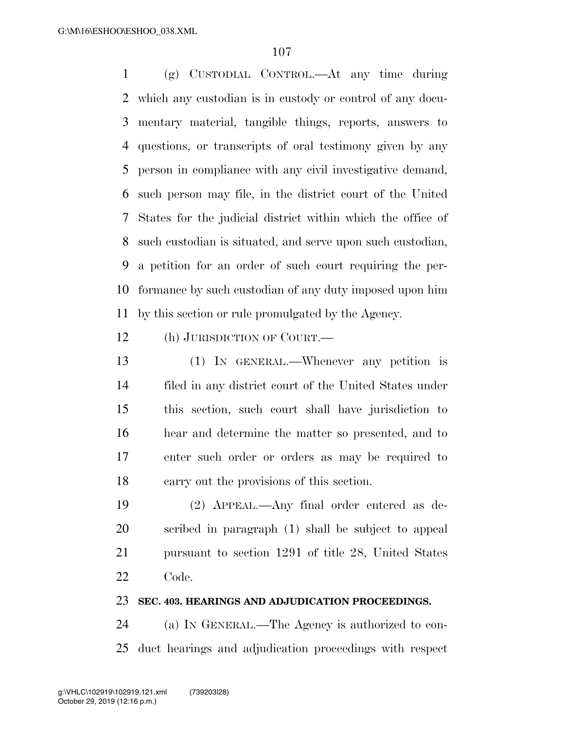(g) CUSTODIAL CONTROL.—At any time during which any custodian is in custody or control of any docu- mentary material, tangible things, reports, answers to questions, or transcripts of oral testimony given by any person in compliance with any civil investigative demand, such person may file, in the district court of the United States for the judicial district within which the office of such custodian is situated, and serve upon such custodian, a petition for an order of such court requiring the per- formance by such custodian of any duty imposed upon him by this section or rule promulgated by the Agency.

(h) JURISDICTION OF COURT.—

 (1) IN GENERAL.—Whenever any petition is filed in any district court of the United States under this section, such court shall have jurisdiction to hear and determine the matter so presented, and to enter such order or orders as may be required to carry out the provisions of this section.

 (2) APPEAL.—Any final order entered as de- scribed in paragraph (1) shall be subject to appeal pursuant to section 1291 of title 28, United States Code.

#### **SEC. 403. HEARINGS AND ADJUDICATION PROCEEDINGS.**

 (a) IN GENERAL.—The Agency is authorized to con-duct hearings and adjudication proceedings with respect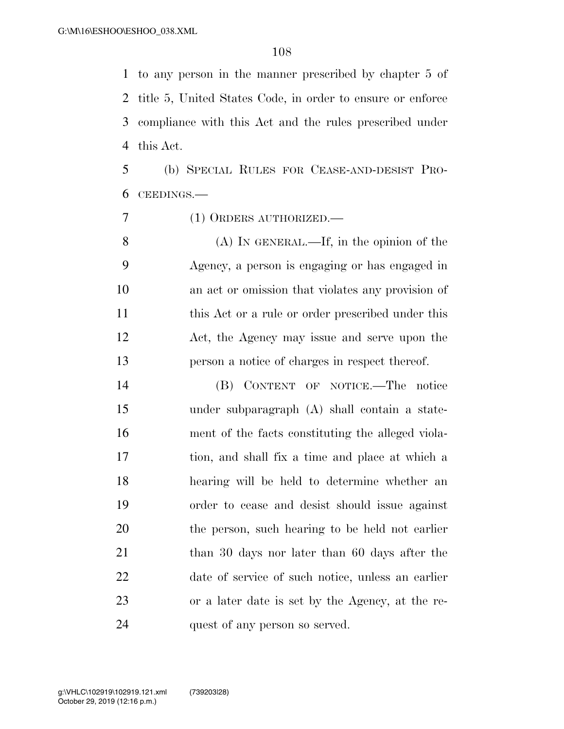to any person in the manner prescribed by chapter 5 of title 5, United States Code, in order to ensure or enforce compliance with this Act and the rules prescribed under this Act.

 (b) SPECIAL RULES FOR CEASE-AND-DESIST PRO-CEEDINGS.—

(1) ORDERS AUTHORIZED.—

 (A) IN GENERAL.—If, in the opinion of the Agency, a person is engaging or has engaged in an act or omission that violates any provision of 11 this Act or a rule or order prescribed under this Act, the Agency may issue and serve upon the person a notice of charges in respect thereof.

 (B) CONTENT OF NOTICE.—The notice under subparagraph (A) shall contain a state- ment of the facts constituting the alleged viola- tion, and shall fix a time and place at which a hearing will be held to determine whether an order to cease and desist should issue against the person, such hearing to be held not earlier 21 than 30 days nor later than 60 days after the date of service of such notice, unless an earlier or a later date is set by the Agency, at the re-quest of any person so served.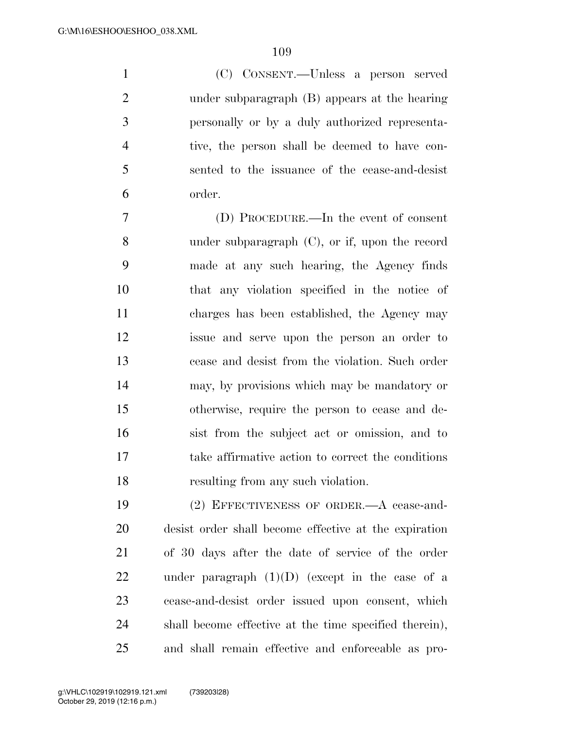(C) CONSENT.—Unless a person served under subparagraph (B) appears at the hearing personally or by a duly authorized representa- tive, the person shall be deemed to have con- sented to the issuance of the cease-and-desist order.

 (D) PROCEDURE.—In the event of consent under subparagraph (C), or if, upon the record made at any such hearing, the Agency finds that any violation specified in the notice of charges has been established, the Agency may issue and serve upon the person an order to cease and desist from the violation. Such order may, by provisions which may be mandatory or otherwise, require the person to cease and de- sist from the subject act or omission, and to take affirmative action to correct the conditions resulting from any such violation.

 (2) EFFECTIVENESS OF ORDER.—A cease-and- desist order shall become effective at the expiration of 30 days after the date of service of the order 22 under paragraph  $(1)(D)$  (except in the case of a cease-and-desist order issued upon consent, which shall become effective at the time specified therein), and shall remain effective and enforceable as pro-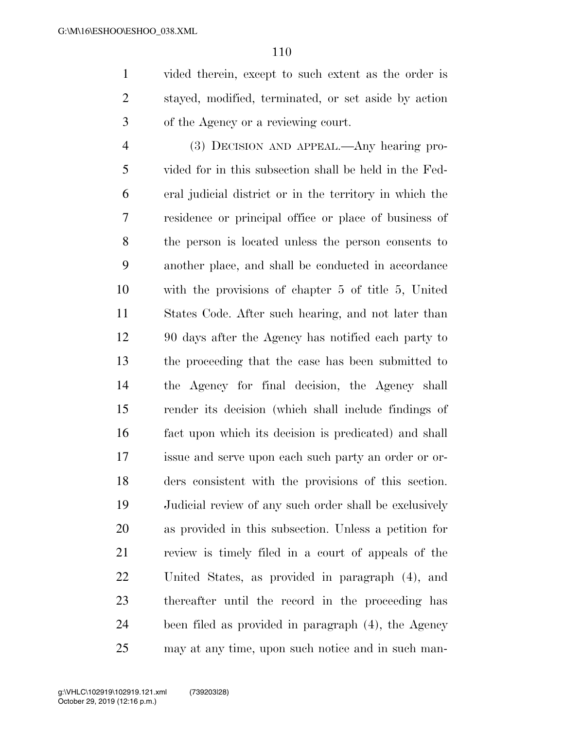vided therein, except to such extent as the order is stayed, modified, terminated, or set aside by action of the Agency or a reviewing court.

 (3) DECISION AND APPEAL.—Any hearing pro- vided for in this subsection shall be held in the Fed- eral judicial district or in the territory in which the residence or principal office or place of business of the person is located unless the person consents to another place, and shall be conducted in accordance with the provisions of chapter 5 of title 5, United States Code. After such hearing, and not later than 90 days after the Agency has notified each party to the proceeding that the case has been submitted to the Agency for final decision, the Agency shall render its decision (which shall include findings of fact upon which its decision is predicated) and shall issue and serve upon each such party an order or or- ders consistent with the provisions of this section. Judicial review of any such order shall be exclusively as provided in this subsection. Unless a petition for review is timely filed in a court of appeals of the United States, as provided in paragraph (4), and thereafter until the record in the proceeding has been filed as provided in paragraph (4), the Agency may at any time, upon such notice and in such man-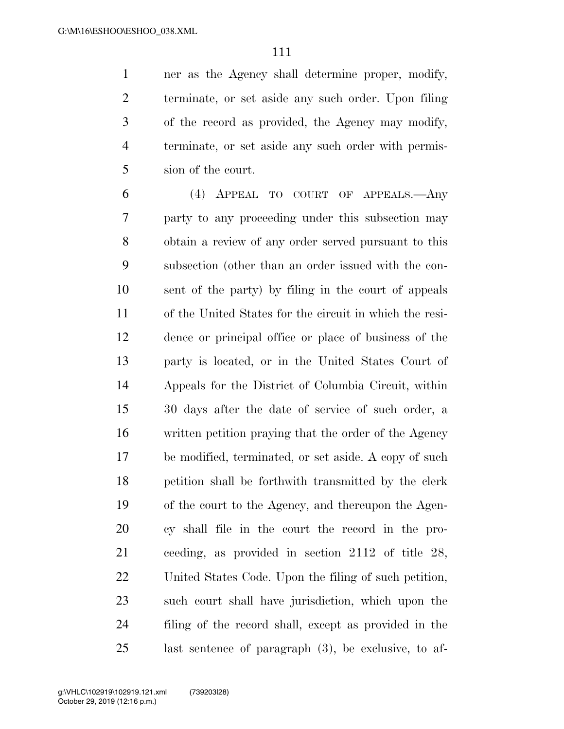ner as the Agency shall determine proper, modify, terminate, or set aside any such order. Upon filing of the record as provided, the Agency may modify, terminate, or set aside any such order with permis-sion of the court.

 (4) APPEAL TO COURT OF APPEALS.—Any party to any proceeding under this subsection may obtain a review of any order served pursuant to this subsection (other than an order issued with the con- sent of the party) by filing in the court of appeals of the United States for the circuit in which the resi- dence or principal office or place of business of the party is located, or in the United States Court of Appeals for the District of Columbia Circuit, within 30 days after the date of service of such order, a written petition praying that the order of the Agency be modified, terminated, or set aside. A copy of such petition shall be forthwith transmitted by the clerk of the court to the Agency, and thereupon the Agen- cy shall file in the court the record in the pro- ceeding, as provided in section 2112 of title 28, United States Code. Upon the filing of such petition, such court shall have jurisdiction, which upon the filing of the record shall, except as provided in the last sentence of paragraph (3), be exclusive, to af-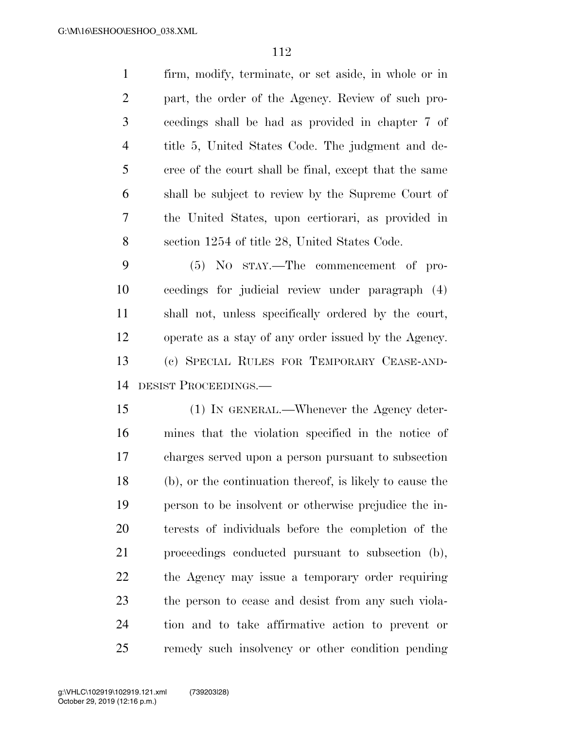firm, modify, terminate, or set aside, in whole or in part, the order of the Agency. Review of such pro- ceedings shall be had as provided in chapter 7 of title 5, United States Code. The judgment and de- cree of the court shall be final, except that the same shall be subject to review by the Supreme Court of the United States, upon certiorari, as provided in section 1254 of title 28, United States Code.

 (5) NO STAY.—The commencement of pro- ceedings for judicial review under paragraph (4) shall not, unless specifically ordered by the court, operate as a stay of any order issued by the Agency. (c) SPECIAL RULES FOR TEMPORARY CEASE-AND-DESIST PROCEEDINGS.—

 (1) IN GENERAL.—Whenever the Agency deter- mines that the violation specified in the notice of charges served upon a person pursuant to subsection (b), or the continuation thereof, is likely to cause the person to be insolvent or otherwise prejudice the in- terests of individuals before the completion of the proceedings conducted pursuant to subsection (b), the Agency may issue a temporary order requiring the person to cease and desist from any such viola- tion and to take affirmative action to prevent or remedy such insolvency or other condition pending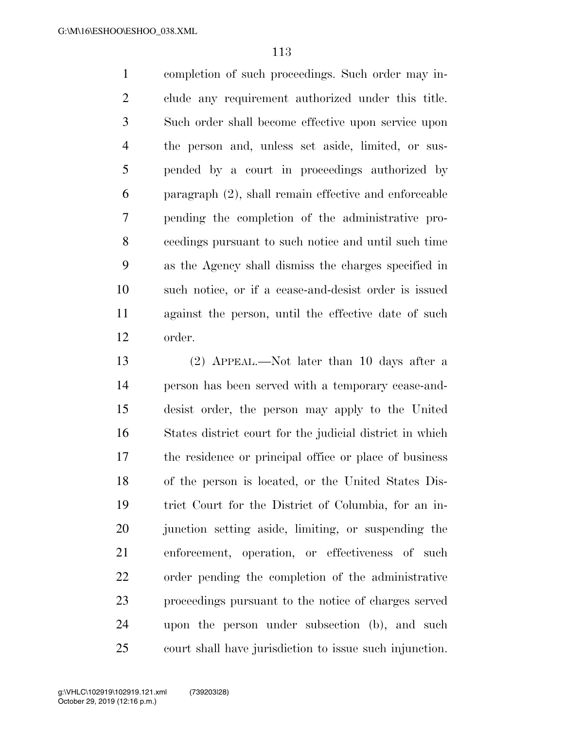completion of such proceedings. Such order may in- clude any requirement authorized under this title. Such order shall become effective upon service upon the person and, unless set aside, limited, or sus- pended by a court in proceedings authorized by paragraph (2), shall remain effective and enforceable pending the completion of the administrative pro- ceedings pursuant to such notice and until such time as the Agency shall dismiss the charges specified in such notice, or if a cease-and-desist order is issued against the person, until the effective date of such order.

 (2) APPEAL.—Not later than 10 days after a person has been served with a temporary cease-and- desist order, the person may apply to the United States district court for the judicial district in which the residence or principal office or place of business of the person is located, or the United States Dis- trict Court for the District of Columbia, for an in-20 junction setting aside, limiting, or suspending the enforcement, operation, or effectiveness of such order pending the completion of the administrative proceedings pursuant to the notice of charges served upon the person under subsection (b), and such court shall have jurisdiction to issue such injunction.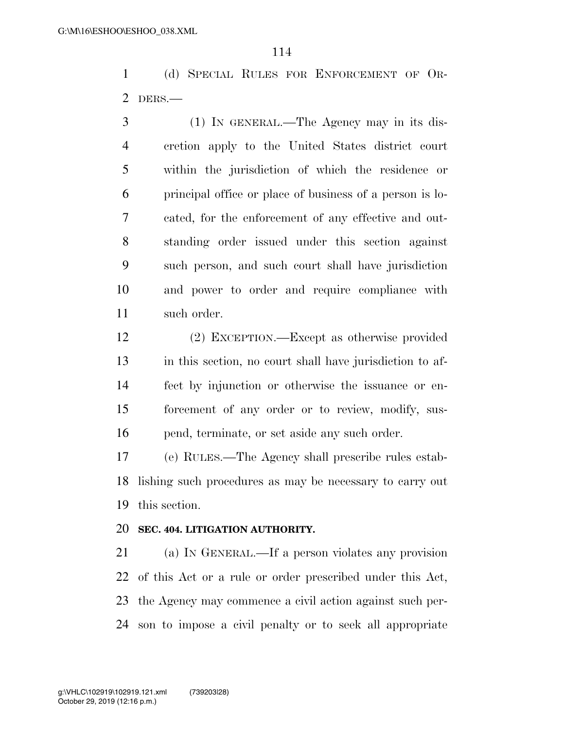(d) SPECIAL RULES FOR ENFORCEMENT OF OR-DERS.—

 (1) IN GENERAL.—The Agency may in its dis- cretion apply to the United States district court within the jurisdiction of which the residence or principal office or place of business of a person is lo- cated, for the enforcement of any effective and out- standing order issued under this section against such person, and such court shall have jurisdiction and power to order and require compliance with such order.

 (2) EXCEPTION.—Except as otherwise provided in this section, no court shall have jurisdiction to af- fect by injunction or otherwise the issuance or en- forcement of any order or to review, modify, sus-pend, terminate, or set aside any such order.

 (e) RULES.—The Agency shall prescribe rules estab- lishing such procedures as may be necessary to carry out this section.

# **SEC. 404. LITIGATION AUTHORITY.**

 (a) IN GENERAL.—If a person violates any provision of this Act or a rule or order prescribed under this Act, the Agency may commence a civil action against such per-son to impose a civil penalty or to seek all appropriate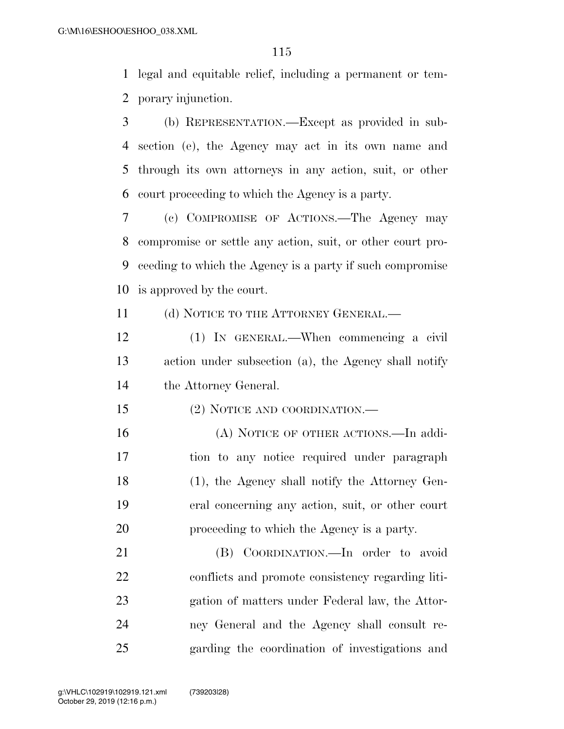legal and equitable relief, including a permanent or tem-porary injunction.

 (b) REPRESENTATION.—Except as provided in sub- section (e), the Agency may act in its own name and through its own attorneys in any action, suit, or other court proceeding to which the Agency is a party.

 (c) COMPROMISE OF ACTIONS.—The Agency may compromise or settle any action, suit, or other court pro- ceeding to which the Agency is a party if such compromise is approved by the court.

11 (d) NOTICE TO THE ATTORNEY GENERAL.—

 (1) IN GENERAL.—When commencing a civil action under subsection (a), the Agency shall notify the Attorney General.

(2) NOTICE AND COORDINATION.—

 (A) NOTICE OF OTHER ACTIONS.—In addi- tion to any notice required under paragraph (1), the Agency shall notify the Attorney Gen- eral concerning any action, suit, or other court proceeding to which the Agency is a party.

 (B) COORDINATION.—In order to avoid conflicts and promote consistency regarding liti- gation of matters under Federal law, the Attor- ney General and the Agency shall consult re-garding the coordination of investigations and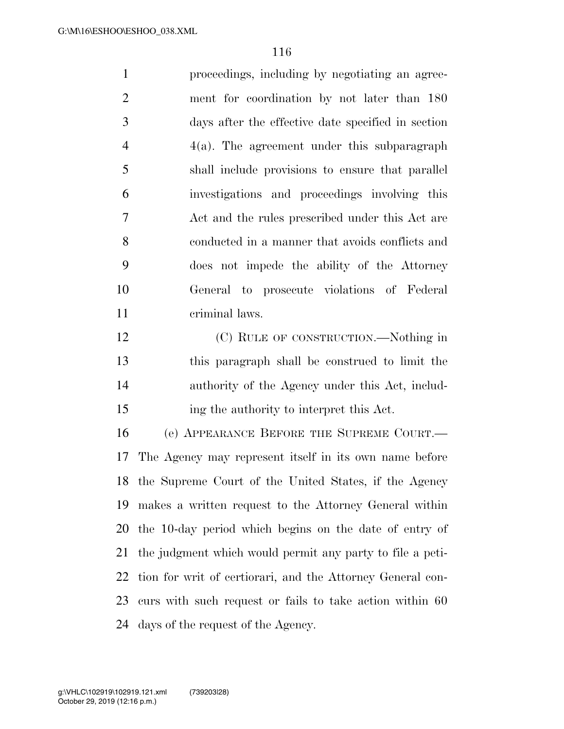proceedings, including by negotiating an agree- ment for coordination by not later than 180 days after the effective date specified in section  $4(a)$ . The agreement under this subparagraph shall include provisions to ensure that parallel investigations and proceedings involving this Act and the rules prescribed under this Act are conducted in a manner that avoids conflicts and does not impede the ability of the Attorney General to prosecute violations of Federal criminal laws.

12 (C) RULE OF CONSTRUCTION.—Nothing in this paragraph shall be construed to limit the authority of the Agency under this Act, includ-ing the authority to interpret this Act.

 (e) APPEARANCE BEFORE THE SUPREME COURT.— The Agency may represent itself in its own name before the Supreme Court of the United States, if the Agency makes a written request to the Attorney General within the 10-day period which begins on the date of entry of the judgment which would permit any party to file a peti- tion for writ of certiorari, and the Attorney General con- curs with such request or fails to take action within 60 days of the request of the Agency.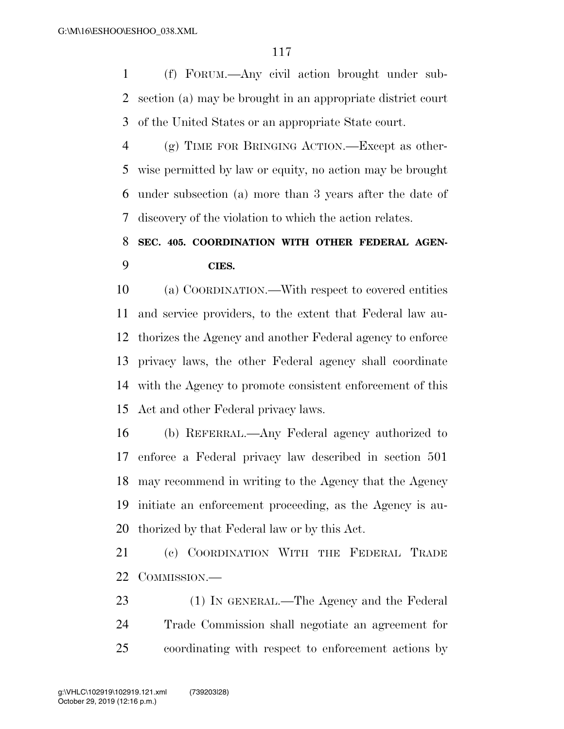(f) FORUM.—Any civil action brought under sub- section (a) may be brought in an appropriate district court of the United States or an appropriate State court.

 (g) TIME FOR BRINGING ACTION.—Except as other- wise permitted by law or equity, no action may be brought under subsection (a) more than 3 years after the date of discovery of the violation to which the action relates.

# **SEC. 405. COORDINATION WITH OTHER FEDERAL AGEN-CIES.**

 (a) COORDINATION.—With respect to covered entities and service providers, to the extent that Federal law au- thorizes the Agency and another Federal agency to enforce privacy laws, the other Federal agency shall coordinate with the Agency to promote consistent enforcement of this Act and other Federal privacy laws.

 (b) REFERRAL.—Any Federal agency authorized to enforce a Federal privacy law described in section 501 may recommend in writing to the Agency that the Agency initiate an enforcement proceeding, as the Agency is au-thorized by that Federal law or by this Act.

 (c) COORDINATION WITH THE FEDERAL TRADE COMMISSION.—

23 (1) IN GENERAL.—The Agency and the Federal Trade Commission shall negotiate an agreement for coordinating with respect to enforcement actions by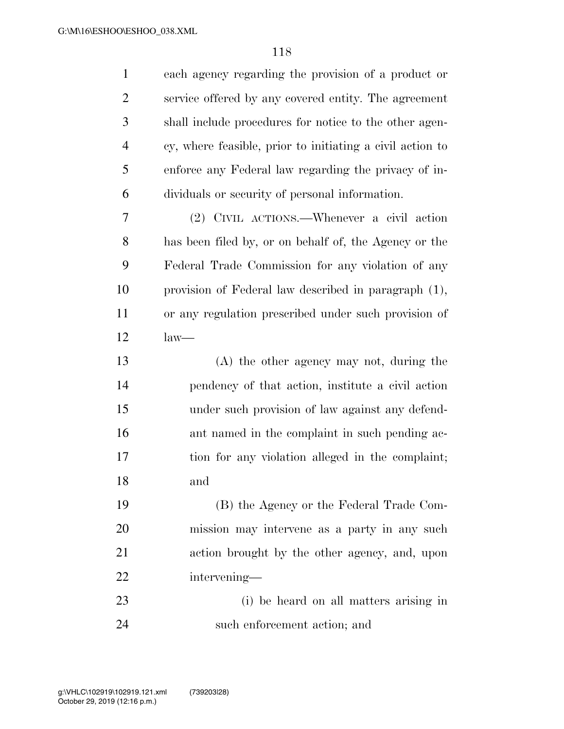| $\mathbf{1}$   | each agency regarding the provision of a product or       |
|----------------|-----------------------------------------------------------|
| $\overline{2}$ | service offered by any covered entity. The agreement      |
| 3              | shall include procedures for notice to the other agen-    |
| $\overline{4}$ | cy, where feasible, prior to initiating a civil action to |
| 5              | enforce any Federal law regarding the privacy of in-      |
| 6              | dividuals or security of personal information.            |
| 7              | (2) CIVIL ACTIONS.—Whenever a civil action                |
| 8              | has been filed by, or on behalf of, the Agency or the     |
| 9              | Federal Trade Commission for any violation of any         |
| 10             | provision of Federal law described in paragraph (1),      |
| 11             | or any regulation prescribed under such provision of      |
| 12             | $law-$                                                    |
| 13             | $(A)$ the other agency may not, during the                |
| 14             | pendency of that action, institute a civil action         |
| 15             | under such provision of law against any defend-           |
| 16             | ant named in the complaint in such pending ac-            |
| 17             | tion for any violation alleged in the complaint;          |
| 18             | and                                                       |
| 19             | (B) the Agency or the Federal Trade Com-                  |
| 20             | mission may intervene as a party in any such              |
| <u>21</u>      | action brought by the other agency, and, upon             |
| 22             | intervening-                                              |
| 23             | (i) be heard on all matters arising in                    |
| 24             | such enforcement action; and                              |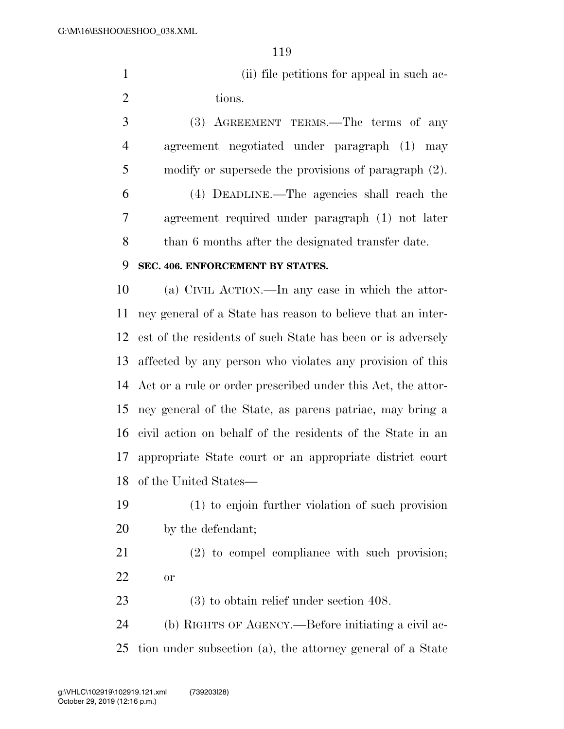1 (ii) file petitions for appeal in such ac-2 tions.

 (3) AGREEMENT TERMS.—The terms of any agreement negotiated under paragraph (1) may modify or supersede the provisions of paragraph (2).

 (4) DEADLINE.—The agencies shall reach the agreement required under paragraph (1) not later 8 than 6 months after the designated transfer date.

# **SEC. 406. ENFORCEMENT BY STATES.**

 (a) CIVIL ACTION.—In any case in which the attor- ney general of a State has reason to believe that an inter- est of the residents of such State has been or is adversely affected by any person who violates any provision of this Act or a rule or order prescribed under this Act, the attor- ney general of the State, as parens patriae, may bring a civil action on behalf of the residents of the State in an appropriate State court or an appropriate district court of the United States—

- (1) to enjoin further violation of such provision by the defendant;
- (2) to compel compliance with such provision; or

(3) to obtain relief under section 408.

 (b) RIGHTS OF AGENCY.—Before initiating a civil ac-tion under subsection (a), the attorney general of a State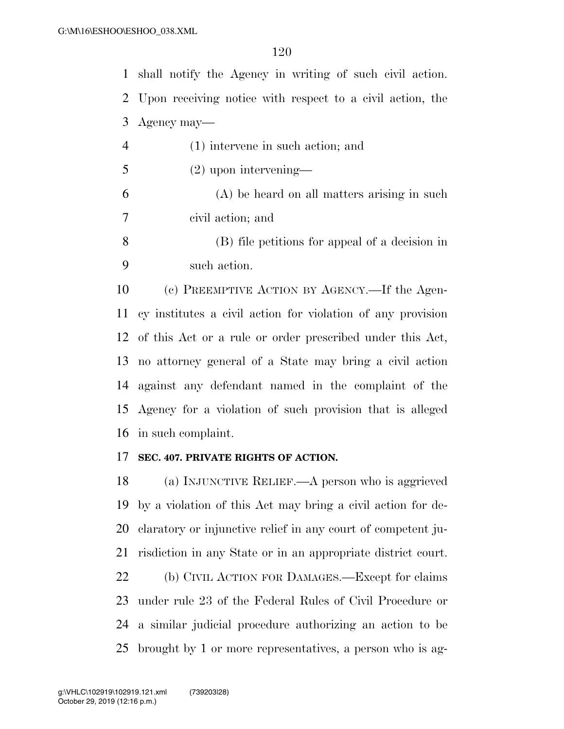shall notify the Agency in writing of such civil action. Upon receiving notice with respect to a civil action, the Agency may— (1) intervene in such action; and

- (2) upon intervening— (A) be heard on all matters arising in such civil action; and
- (B) file petitions for appeal of a decision in such action.

 (c) PREEMPTIVE ACTION BY AGENCY.—If the Agen- cy institutes a civil action for violation of any provision of this Act or a rule or order prescribed under this Act, no attorney general of a State may bring a civil action against any defendant named in the complaint of the Agency for a violation of such provision that is alleged in such complaint.

#### **SEC. 407. PRIVATE RIGHTS OF ACTION.**

 (a) INJUNCTIVE RELIEF.—A person who is aggrieved by a violation of this Act may bring a civil action for de- claratory or injunctive relief in any court of competent ju- risdiction in any State or in an appropriate district court. (b) CIVIL ACTION FOR DAMAGES.—Except for claims under rule 23 of the Federal Rules of Civil Procedure or a similar judicial procedure authorizing an action to be brought by 1 or more representatives, a person who is ag-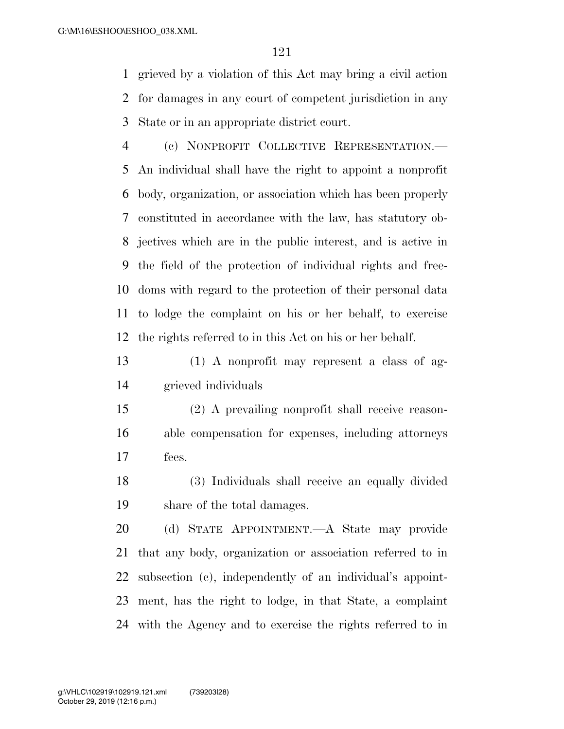grieved by a violation of this Act may bring a civil action for damages in any court of competent jurisdiction in any State or in an appropriate district court.

 (c) NONPROFIT COLLECTIVE REPRESENTATION.— An individual shall have the right to appoint a nonprofit body, organization, or association which has been properly constituted in accordance with the law, has statutory ob- jectives which are in the public interest, and is active in the field of the protection of individual rights and free- doms with regard to the protection of their personal data to lodge the complaint on his or her behalf, to exercise the rights referred to in this Act on his or her behalf.

 (1) A nonprofit may represent a class of ag-grieved individuals

 (2) A prevailing nonprofit shall receive reason- able compensation for expenses, including attorneys fees.

 (3) Individuals shall receive an equally divided share of the total damages.

 (d) STATE APPOINTMENT.—A State may provide that any body, organization or association referred to in subsection (c), independently of an individual's appoint- ment, has the right to lodge, in that State, a complaint with the Agency and to exercise the rights referred to in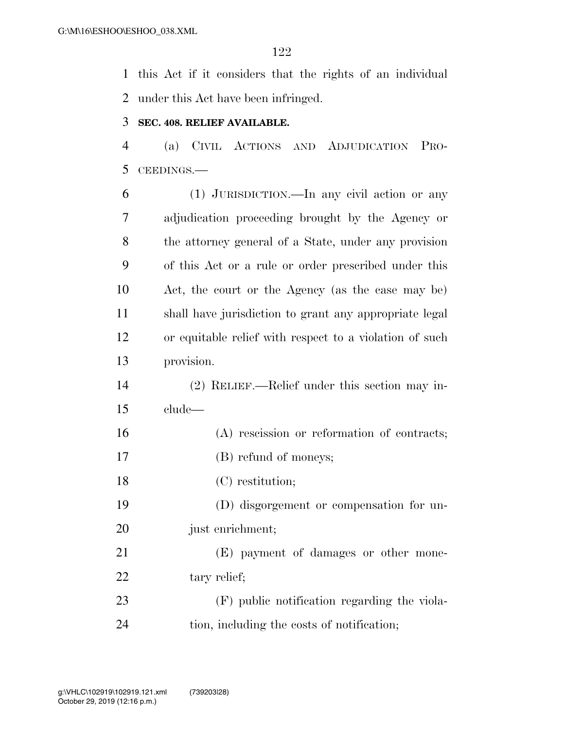this Act if it considers that the rights of an individual under this Act have been infringed.

### **SEC. 408. RELIEF AVAILABLE.**

 (a) CIVIL ACTIONS AND ADJUDICATION PRO-CEEDINGS.—

 (1) JURISDICTION.—In any civil action or any adjudication proceeding brought by the Agency or the attorney general of a State, under any provision of this Act or a rule or order prescribed under this Act, the court or the Agency (as the case may be) shall have jurisdiction to grant any appropriate legal or equitable relief with respect to a violation of such provision.

 (2) RELIEF.—Relief under this section may in-clude—

- (A) rescission or reformation of contracts;
- (B) refund of moneys;
- (C) restitution;

 (D) disgorgement or compensation for un-20 just enrichment;

 (E) payment of damages or other mone-22 tary relief;

 (F) public notification regarding the viola-tion, including the costs of notification;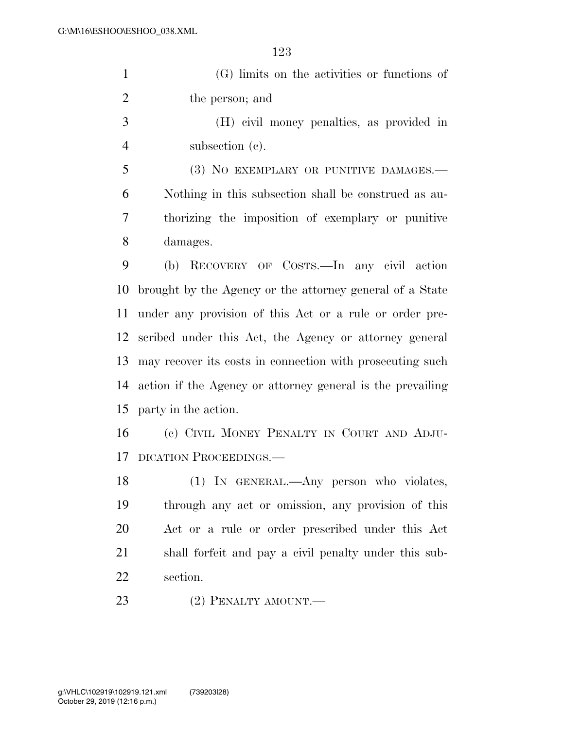(G) limits on the activities or functions of the person; and

 (H) civil money penalties, as provided in subsection (c).

 (3) NO EXEMPLARY OR PUNITIVE DAMAGES.— Nothing in this subsection shall be construed as au- thorizing the imposition of exemplary or punitive damages.

 (b) RECOVERY OF COSTS.—In any civil action brought by the Agency or the attorney general of a State under any provision of this Act or a rule or order pre- scribed under this Act, the Agency or attorney general may recover its costs in connection with prosecuting such action if the Agency or attorney general is the prevailing party in the action.

 (c) CIVIL MONEY PENALTY IN COURT AND ADJU-DICATION PROCEEDINGS.—

 (1) IN GENERAL.—Any person who violates, through any act or omission, any provision of this Act or a rule or order prescribed under this Act shall forfeit and pay a civil penalty under this sub-section.

23 (2) PENALTY AMOUNT.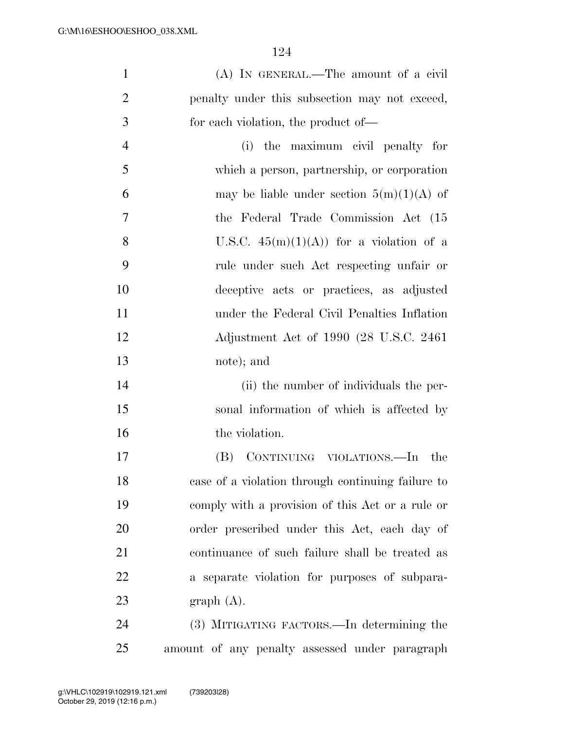| $\mathbf{1}$   | (A) IN GENERAL.—The amount of a civil             |
|----------------|---------------------------------------------------|
| $\overline{2}$ | penalty under this subsection may not exceed,     |
| 3              | for each violation, the product of—               |
| $\overline{4}$ | the maximum civil penalty for<br>(i)              |
| 5              | which a person, partnership, or corporation       |
| 6              | may be liable under section $5(m)(1)(A)$ of       |
| 7              | the Federal Trade Commission Act (15              |
| 8              | U.S.C. $45(m)(1)(A)$ for a violation of a         |
| 9              | rule under such Act respecting unfair or          |
| 10             | deceptive acts or practices, as adjusted          |
| 11             | under the Federal Civil Penalties Inflation       |
| 12             | Adjustment Act of 1990 (28 U.S.C. 2461)           |
| 13             | note); and                                        |
| 14             | (ii) the number of individuals the per-           |
| 15             | sonal information of which is affected by         |
| 16             | the violation.                                    |
| 17             | CONTINUING VIOLATIONS.—In<br>(B)<br>the           |
| 18             | case of a violation through continuing failure to |
| 19             | comply with a provision of this Act or a rule or  |
| 20             | order prescribed under this Act, each day of      |
| 21             | continuance of such failure shall be treated as   |
| 22             | a separate violation for purposes of subpara-     |
| 23             | graph(A).                                         |
| 24             | (3) MITIGATING FACTORS.—In determining the        |
| 25             | amount of any penalty assessed under paragraph    |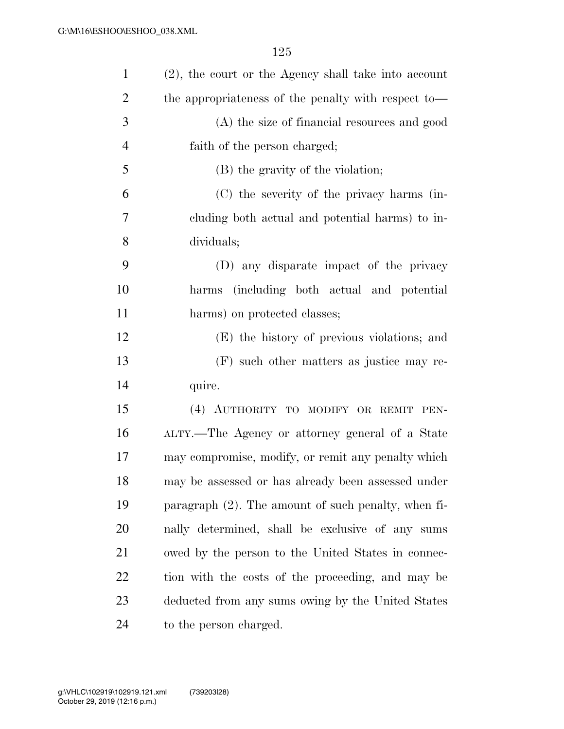| $\mathbf{1}$   | (2), the court or the Agency shall take into account   |
|----------------|--------------------------------------------------------|
| $\overline{2}$ | the appropriateness of the penalty with respect to-    |
| 3              | (A) the size of financial resources and good           |
| $\overline{4}$ | faith of the person charged;                           |
| 5              | (B) the gravity of the violation;                      |
| 6              | (C) the severity of the privacy harms (in-             |
| 7              | cluding both actual and potential harms) to in-        |
| 8              | dividuals;                                             |
| 9              | (D) any disparate impact of the privacy                |
| 10             | harms (including both actual and potential             |
| 11             | harms) on protected classes;                           |
| 12             | (E) the history of previous violations; and            |
| 13             | (F) such other matters as justice may re-              |
| 14             | quire.                                                 |
| 15             | (4) AUTHORITY TO MODIFY OR REMIT PEN-                  |
| 16             | ALTY.—The Agency or attorney general of a State        |
| 17             | may compromise, modify, or remit any penalty which     |
| 18             | may be assessed or has already been assessed under     |
| 19             | paragraph $(2)$ . The amount of such penalty, when fi- |
| 20             | nally determined, shall be exclusive of any sums       |
| 21             | owed by the person to the United States in connec-     |
| 22             | tion with the costs of the proceeding, and may be      |
| 23             | deducted from any sums owing by the United States      |
| 24             | to the person charged.                                 |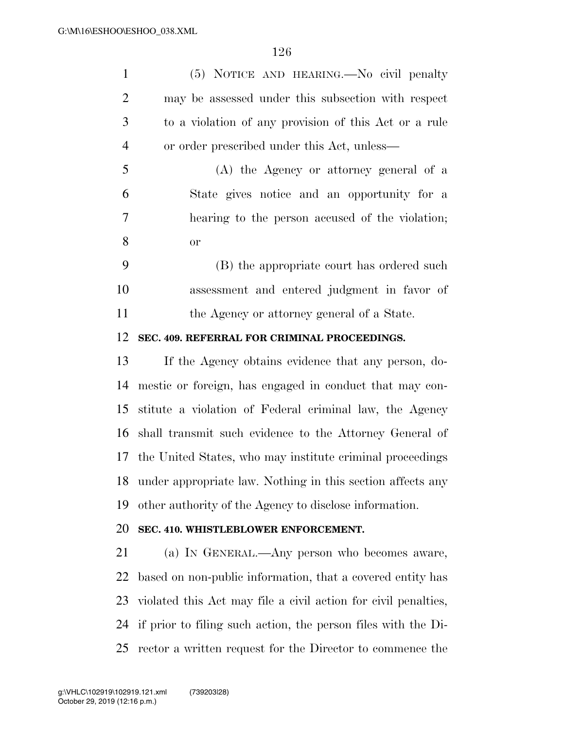| $\mathbf{1}$   | (5) NOTICE AND HEARING.—No civil penalty                       |
|----------------|----------------------------------------------------------------|
| $\overline{2}$ | may be assessed under this subsection with respect             |
| 3              | to a violation of any provision of this Act or a rule          |
| $\overline{4}$ | or order prescribed under this Act, unless—                    |
| 5              | (A) the Agency or attorney general of a                        |
| 6              | State gives notice and an opportunity for a                    |
| 7              | hearing to the person accused of the violation;                |
| 8              | <b>or</b>                                                      |
| 9              | (B) the appropriate court has ordered such                     |
| 10             | assessment and entered judgment in favor of                    |
| 11             | the Agency or attorney general of a State.                     |
| 12             | SEC. 409. REFERRAL FOR CRIMINAL PROCEEDINGS.                   |
| 13             | If the Agency obtains evidence that any person, do-            |
| 14             | mestic or foreign, has engaged in conduct that may con-        |
| 15             | stitute a violation of Federal criminal law, the Agency        |
| 16             | shall transmit such evidence to the Attorney General of        |
| 17             | the United States, who may institute criminal proceedings      |
| 18             | under appropriate law. Nothing in this section affects any     |
| 19             | other authority of the Agency to disclose information.         |
| 20             | SEC. 410. WHISTLEBLOWER ENFORCEMENT.                           |
| 21             | (a) IN GENERAL.—Any person who becomes aware,                  |
| 22             | based on non-public information, that a covered entity has     |
| 23             | violated this Act may file a civil action for civil penalties, |
| 24             | if prior to filing such action, the person files with the Di-  |
| 25             | rector a written request for the Director to commence the      |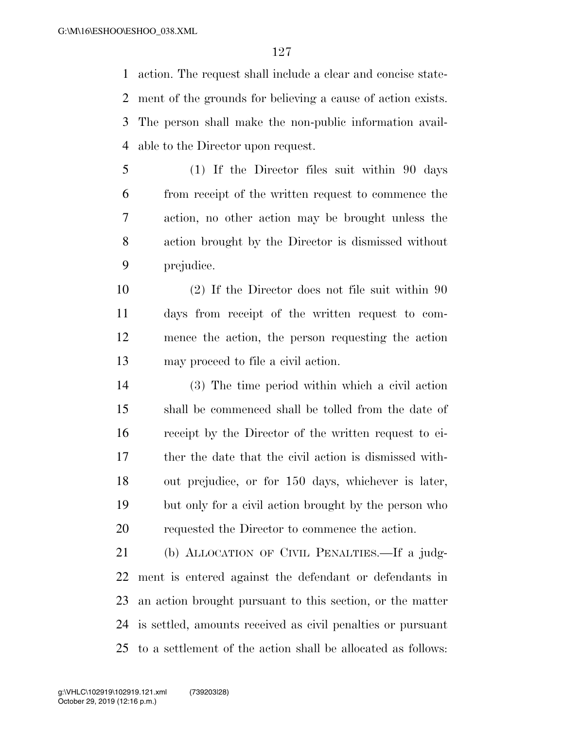action. The request shall include a clear and concise state- ment of the grounds for believing a cause of action exists. The person shall make the non-public information avail-able to the Director upon request.

- (1) If the Director files suit within 90 days from receipt of the written request to commence the action, no other action may be brought unless the action brought by the Director is dismissed without prejudice.
- (2) If the Director does not file suit within 90 days from receipt of the written request to com- mence the action, the person requesting the action may proceed to file a civil action.
- (3) The time period within which a civil action shall be commenced shall be tolled from the date of receipt by the Director of the written request to ei- ther the date that the civil action is dismissed with- out prejudice, or for 150 days, whichever is later, but only for a civil action brought by the person who requested the Director to commence the action.

 (b) ALLOCATION OF CIVIL PENALTIES.—If a judg- ment is entered against the defendant or defendants in an action brought pursuant to this section, or the matter is settled, amounts received as civil penalties or pursuant to a settlement of the action shall be allocated as follows: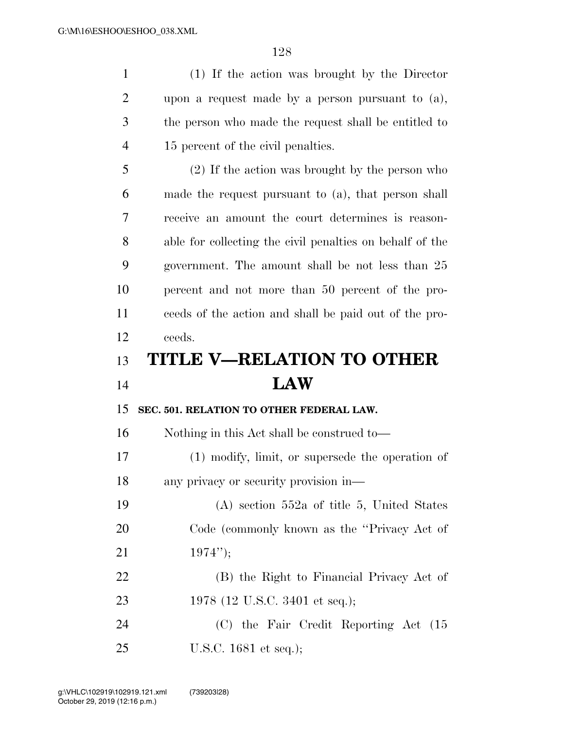| $\mathbf{1}$   | (1) If the action was brought by the Director            |
|----------------|----------------------------------------------------------|
| $\overline{2}$ | upon a request made by a person pursuant to $(a)$ ,      |
| 3              | the person who made the request shall be entitled to     |
| $\overline{4}$ | 15 percent of the civil penalties.                       |
| 5              | (2) If the action was brought by the person who          |
| 6              | made the request pursuant to (a), that person shall      |
| 7              | receive an amount the court determines is reason-        |
| 8              | able for collecting the civil penalties on behalf of the |
| 9              | government. The amount shall be not less than 25         |
| 10             | percent and not more than 50 percent of the pro-         |
| 11             | ceeds of the action and shall be paid out of the pro-    |
| 12             | ceeds.                                                   |
|                |                                                          |
| 13             | <b>TITLE V-RELATION TO OTHER</b>                         |
| 14             | <b>LAW</b>                                               |
| 15             | SEC. 501. RELATION TO OTHER FEDERAL LAW.                 |
| 16             | Nothing in this Act shall be construed to—               |
| 17             | $(1)$ modify, limit, or supersede the operation of       |
| 18             | any privacy or security provision in-                    |
| 19             | $(A)$ section 552a of title 5, United States             |
| <b>20</b>      | Code (commonly known as the "Privacy Act of              |
| 21             | $1974$ ");                                               |
| 22             | (B) the Right to Financial Privacy Act of                |
| 23             | 1978 (12 U.S.C. 3401 et seq.);                           |
| 24             | (C) the Fair Credit Reporting Act (15                    |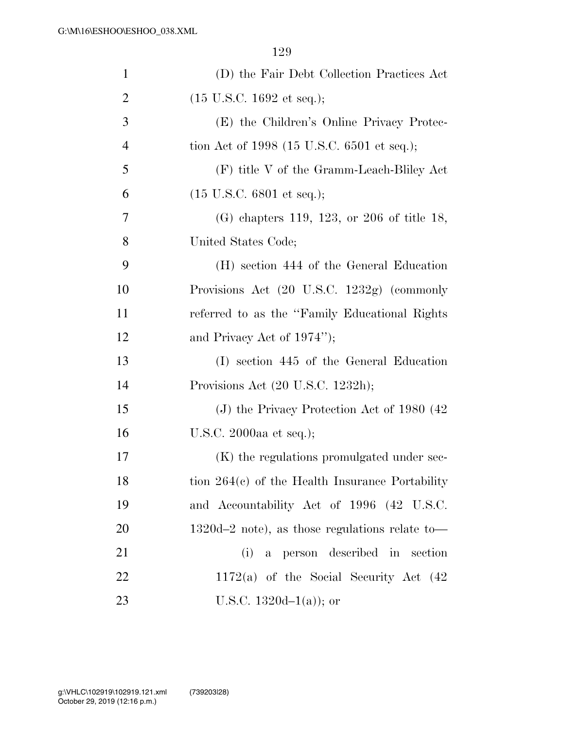| $\mathbf{1}$   | (D) the Fair Debt Collection Practices Act        |
|----------------|---------------------------------------------------|
| $\overline{2}$ | $(15 \text{ U.S.C. } 1692 \text{ et seq.});$      |
| 3              | (E) the Children's Online Privacy Protec-         |
| $\overline{4}$ | tion Act of 1998 (15 U.S.C. 6501 et seq.);        |
| 5              | (F) title V of the Gramm-Leach-Bliley Act         |
| 6              | $(15 \text{ U.S.C. } 6801 \text{ et seq.});$      |
| 7              | $(G)$ chapters 119, 123, or 206 of title 18,      |
| 8              | United States Code;                               |
| 9              | (H) section 444 of the General Education          |
| 10             | Provisions Act (20 U.S.C. 1232g) (commonly        |
| 11             | referred to as the "Family Educational Rights"    |
| 12             | and Privacy Act of $1974$ ");                     |
| 13             | (I) section 445 of the General Education          |
| 14             | Provisions Act (20 U.S.C. 1232h);                 |
| 15             | (J) the Privacy Protection Act of $1980(42)$      |
| 16             | U.S.C. 2000aa et seq.);                           |
| 17             | (K) the regulations promulgated under sec-        |
| 18             | tion $264(c)$ of the Health Insurance Portability |
| 19             | and Accountability Act of 1996 (42 U.S.C.         |
| <b>20</b>      | $1320d-2$ note), as those regulations relate to   |
| 21             | a person described in section<br>(i)              |
| 22             | $1172(a)$ of the Social Security Act $(42)$       |
| 23             | U.S.C. 1320d $-1(a)$ ; or                         |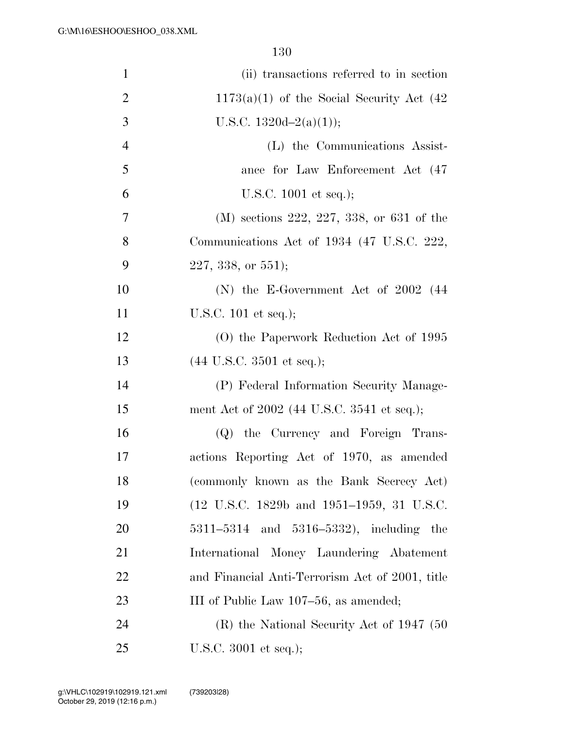| $\mathbf{1}$   | (ii) transactions referred to in section        |
|----------------|-------------------------------------------------|
| $\overline{2}$ | $1173(a)(1)$ of the Social Security Act (42)    |
| 3              | U.S.C. $1320d-2(a)(1)$ ;                        |
| $\overline{4}$ | (L) the Communications Assist-                  |
| 5              | ance for Law Enforcement Act (47)               |
| 6              | U.S.C. $1001$ et seq.);                         |
| $\tau$         | (M) sections 222, 227, 338, or 631 of the       |
| 8              | Communications Act of 1934 (47 U.S.C. 222,      |
| 9              | $227, 338, \text{ or } 551$ ;                   |
| 10             | (N) the E-Government Act of $2002$ (44          |
| 11             | U.S.C. 101 et seq.);                            |
| 12             | (O) the Paperwork Reduction Act of 1995         |
| 13             | $(44$ U.S.C. 3501 et seq.);                     |
| 14             | (P) Federal Information Security Manage-        |
| 15             | ment Act of 2002 (44 U.S.C. 3541 et seq.);      |
| 16             | (Q) the Currency and Foreign Trans-             |
| 17             | actions Reporting Act of 1970, as amended       |
| 18             | (commonly known as the Bank Secrecy Act)        |
| 19             | (12 U.S.C. 1829b and 1951–1959, 31 U.S.C.       |
| <b>20</b>      | $5311 - 5314$ and $5316 - 5332$ , including the |
| 21             | International Money Laundering Abatement        |
| 22             | and Financial Anti-Terrorism Act of 2001, title |
| 23             | III of Public Law 107–56, as amended;           |
| 24             | $(R)$ the National Security Act of 1947 (50)    |
| 25             | U.S.C. $3001$ et seq.);                         |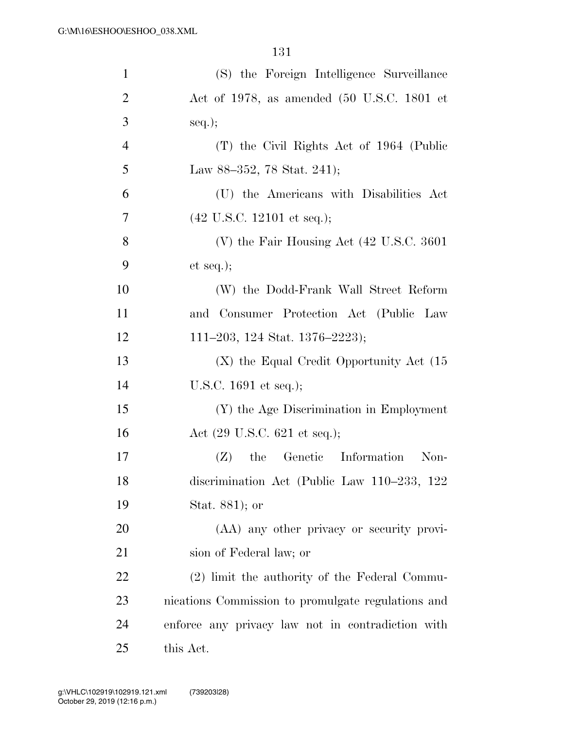| $\mathbf{1}$   | (S) the Foreign Intelligence Surveillance            |
|----------------|------------------------------------------------------|
| $\overline{2}$ | Act of 1978, as amended (50 U.S.C. 1801 et           |
| 3              | $seq.$ ;                                             |
| $\overline{4}$ | (T) the Civil Rights Act of 1964 (Public             |
| 5              | Law 88–352, 78 Stat. 241);                           |
| 6              | (U) the Americans with Disabilities Act              |
| 7              | $(42 \text{ U.S.C. } 12101 \text{ et seq.});$        |
| 8              | (V) the Fair Housing Act $(42 \text{ U.S.C. } 3601)$ |
| 9              | et seq.);                                            |
| 10             | (W) the Dodd-Frank Wall Street Reform                |
| 11             | and Consumer Protection Act (Public Law              |
| 12             | 111–203, 124 Stat. 1376–2223);                       |
| 13             | $(X)$ the Equal Credit Opportunity Act $(15)$        |
| 14             | U.S.C. $1691$ et seq.);                              |
| 15             | (Y) the Age Discrimination in Employment             |
| 16             | Act $(29 \text{ U.S.C. } 621 \text{ et seq.});$      |
| 17             | the Genetic Information<br>Non-<br>(Z)               |
| 18             | discrimination Act (Public Law 110-233, 122          |
| 19             | Stat. 881); or                                       |
| 20             | (AA) any other privacy or security provi-            |
| 21             | sion of Federal law; or                              |
| 22             | (2) limit the authority of the Federal Commu-        |
| 23             | nications Commission to promulgate regulations and   |
| 24             | enforce any privacy law not in contradiction with    |
| 25             | this Act.                                            |